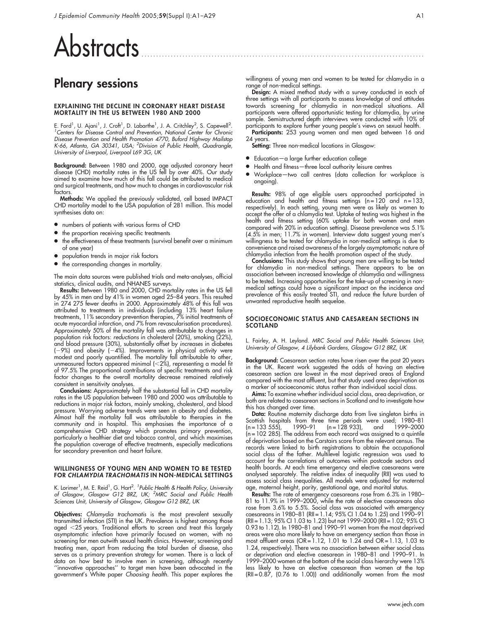# Abstracts

# Plenary sessions

#### EXPLAINING THE DECLINE IN CORONARY HEART DISEASE MORTALITY IN THE US BETWEEN 1980 AND 2000

E. Ford<sup>1</sup>, U. Ajani<sup>1</sup>, J. Croft<sup>1</sup>, D. Labarthe<sup>1</sup>, J. A. Critchley<sup>2</sup>, S. Capewell<sup>2</sup>.<br><sup>7</sup>Centers for Disease Control and Prevention, National Center for Chronic Disease Prevention and Health Promotion 4770, Buford Highway Mailstop<br>K-66, Atlanta, GA 30341, USA; <sup>2</sup>Division of Public Health, Quadrangle, University of Liverpool, Liverpool L69 3G, UK

Background: Between 1980 and 2000, age adjusted coronary heart disease (CHD) mortality rates in the US fell by over 40%. Our study aimed to examine how much of this fall could be attributed to medical and surgical treatments, and how much to changes in cardiovascular risk factors.

Methods: We applied the previously validated, cell based IMPACT CHD mortality model to the USA population of 281 million. This model synthesises data on:

- $\bullet$  numbers of patients with various forms of CHD
- $\bullet$  the proportion receiving specific treatments
- the effectiveness of these treatments (survival benefit over a minimum of one year)
- population trends in major risk factors
- $\bullet$  the corresponding changes in mortality.

The main data sources were published trials and meta-analyses, official statistics, clinical audits, and NHANES surveys.

Results: Between 1980 and 2000, CHD mortality rates in the US fell by 45% in men and by 41% in women aged 25–84 years. This resulted in 274 275 fewer deaths in 2000. Approximately 48% of this fall was attributed to treatments in individuals (including 13% heart failure treatments, 11% secondary prevention therapies, 7% initial treatments of acute myocardial infarction, and 7% from revascularisation procedures). Approximately 50% of the mortality fall was attributable to changes in population risk factors: reductions in cholesterol (20%), smoking (22%), and blood pressure (30%), substantially offset by increases in diabetes (-9%) and obesity (-4%). Improvements in physical activity were modest and poorly quantified. The mortality fall attributable to other, unmeasured factors appeared minimal ( ${<}2\%)$ , representing a model fit of 97.5% The proportional contributions of specific treatments and risk factor changes to the overall mortality decrease remained relatively consistent in sensitivity analyses.

**Conclusions:** Approximately half the substantial fall in CHD mortality rates in the US population between 1980 and 2000 was attributable to reductions in major risk factors, mainly smoking, cholesterol, and blood pressure. Worrying adverse trends were seen in obesity and diabetes. Almost half the mortality fall was attributable to therapies in the community and in hospital. This emphasises the importance of a comprehensive CHD strategy which promotes primary prevention, particularly a healthier diet and tobacco control, and which maximises the population coverage of effective treatments, especially medications for secondary prevention and heart failure.

#### WILLINGNESS OF YOUNG MEN AND WOMEN TO BE TESTED FOR CHLAMYDIA TRACHOMATIS IN NON-MEDICAL SETTINGS

K. Lorimer<sup>1</sup>, M. E. Reid<sup>1</sup>, G. Hart<sup>2</sup>. <sup>1</sup>Public Health & Health Policy, University<br>of Glasgow, Glasgow G12 8RZ, UK; <sup>2</sup>MRC Social and Public Health Sciences Unit, University of Glasgow, Glasgow G12 8RZ, UK

**Objectives:** Chlamydia trachomatis is the most prevalent sexually transmitted infection (STI) in the UK. Prevalence is highest among those aged ,25 years. Traditional efforts to screen and treat this largely asymptomatic infection have primarily focused on women, with no screening for men outwith sexual health clinics. However, screening and treating men, apart from reducing the total burden of disease, also serves as a primary prevention strategy for women. There is a lack of data on how best to involve men in screening, although recently ''innovative approaches'' to target men have been advocated in the government's White paper *Choosing health*. This paper explores the

willingness of young men and women to be tested for chlamydia in a range of non-medical settings.

Design: A mixed method study with a survey conducted in each of three settings with all participants to assess knowledge of and attitudes towards screening for chlamydia in non-medical situations. All participants were offered opportunistic testing for chlamydia, by urine sample. Semistructured depth interviews were conducted with 10% of participants to explore further young people's views on sexual health.

Participants: 253 young women and men aged between 16 and 24 years.

Setting: Three non-medical locations in Glasgow:

- $\bullet$  Education—a large further education college
- Health and fitness-three local authority leisure centres
- Workplace—two call centres (data collection for workplace is ongoing).

Results: 98% of age eligible users approached participated in education and health and fitness settings  $(n = 120 \text{ and } n = 133)$ , respectively). In each setting, young men were as likely as women to accept the offer of a chlamydia test. Uptake of testing was highest in the health and fitness setting (60% uptake for both women and men compared with 20% in education setting). Disease prevalence was 5.1% (4.5% in men; 11.7% in women). Interview data suggest young men's willingness to be tested for chlamydia in non-medical settings is due to convenience and raised awareness of the largely asymptomatic nature of chlamydia infection from the health promotion aspect of the study.

**Conclusions:** This study shows that young men are willing to be tested for chlamydia in non-medical settings. There appears to be an association between increased knowledge of chlamydia and willingness to be tested. Increasing opportunities for the take-up of screening in nonmedical settings could have a significant impact on the incidence and prevalence of this easily treated STI, and reduce the future burden of unwanted reproductive health sequelae.

#### SOCIOECONOMIC STATUS AND CAESAREAN SECTIONS IN SCOTLAND

L. Fairley, A. H. Leyland. MRC Social and Public Health Sciences Unit, University of Glasgow, 4 Lilybank Gardens, Glasgow G12 8RZ, UK

Background: Caesarean section rates have risen over the past 20 years in the UK. Recent work suggested the odds of having an elective caesarean section are lowest in the most deprived areas of England compared with the most affluent, but that study used area deprivation as a marker of socioeconomic status rather than individual social class.

Aims: To examine whether individual social class, area deprivation, or both are related to caesarean sections in Scotland and to investigate how this has changed over time.

Data: Routine maternity discharge data from live singleton births in Scottish hospitals from three time periods were used; 1980–81 (n = 133 555), 1990–91 (n = 128 933), and 1999–2000 (n = 102 285). The address from each record was assigned to a quintile of deprivation based on the Carstairs score from the relevant census. The records were linked to birth registrations to obtain the occupational social class of the father. Multilevel logistic regression was used to account for the correlations of outcomes within postcode sectors and health boards. At each time emergency and elective caesareans were analysed separately. The relative index of inequality (RII) was used to assess social class inequalities. All models were adjusted for maternal age, maternal height, parity, gestational age, and marital status.

**Results:** The rate of emergency caesareans rose from 6.3% in 1980– 81 to 11.9% in 1999–2000, while the rate of elective caesareans also rose from 3.6% to 5.5%. Social class was associated with emergency caesareans in 1980–81 (RII = 1.14; 95% CI 1.04 to 1.25) and 1990–91 (RII = 1.13; 95% CI 1.03 to 1.23) but not 1999–2000 (RII = 1.02; 95% CI 0.93 to 1.12). In 1980–81 and 1990–91 women from the most deprived areas were also more likely to have an emergency section than those in most affluent areas (OR = 1.12, 1.01 to 1.24 and OR = 1.13, 1.03 to 1.24, respectively). There was no association between either social class or deprivation and elective caesarean in 1980–81 and 1990–91. In 1999–2000 women at the bottom of the social class hierarchy were 13% less likely to have an elective caesarean than women at the top (RII = 0.87, (0.76 to 1.00)) and additionally women from the most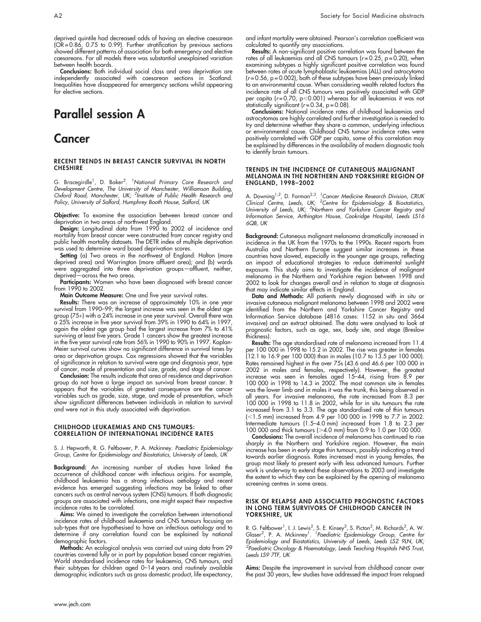deprived quintile had decreased odds of having an elective caesarean (OR = 0.86, 0.75 to 0.99). Further stratification by previous sections showed different patterns of association for both emergency and elective caesareans. For all models there was substantial unexplained variation between health boards.

Conclusions: Both individual social class and area deprivation are independently associated with caesarean sections in Scotland. Inequalities have disappeared for emergency sections whilst appearing for elective sections.

# Parallel session A

### **Cancer**

#### RECENT TRENDS IN BREAST CANCER SURVIVAL IN NORTH **CHESHIRE**

G. Bracegirdle<sup>1</sup>, D. Baker<sup>2</sup>. <sup>1</sup>National Primary Care Research and Development Centre, The University of Manchester, Williamson Building, Oxford Road, Manchester, UK; <sup>2</sup>Institute of Public Health Research and Policy, University of Salford, Humphrey Booth House, Salford, UK

Objective: To examine the association between breast cancer and deprivation in two areas of northwest England.

Design: Longitudinal data from 1990 to 2002 of incidence and mortality from breast cancer were constructed from cancer registry and public health mortality datasets. The DETR index of multiple deprivation was used to determine ward based deprivation scores.

Setting (a) Two areas in the northwest of England: Halton (more deprived area) and Warrington (more affluent area); and (b) wards were aggregated into three deprivation groups—affluent, neither, deprived—across the two areas.

Participants: Women who have been diagnosed with breast cancer from 1990 to 2002.

Main Outcome Measure: One and five year survival rates.

Results: There was an increase of approximately 10% in one year survival from 1990-99; the largest increase was seen in the oldest age group (75+) with a 24% increase in one year survival. Overall there was a 25% increase in five year survival from 39% in 1990 to 64% in 1997, again the oldest age group had the largest increase from 7% to 41% surviving at least five years. Grade 1 cancers show the greatest increase in the five year survival rate from 56% in 1990 to 90% in 1997. Kaplan-Meier survival curves show no significant difference in survival times by area or deprivation groups. Cox regressions showed that the variables of significance in relation to survival were age and diagnosis year, type of cancer, mode of presentation and size, grade, and stage of cancer.

Conclusion: The results indicate that area of residence and deprivation group do not have a large impact on survival from breast cancer. It appears that the variables of greatest consequence are the cancer variables such as grade, size, stage, and mode of presentation, which show significant differences between individuals in relation to survival and were not in this study associated with deprivation.

#### CHILDHOOD LEUKAEMIAS AND CNS TUMOURS: CORRELATION OF INTERNATIONAL INCIDENCE RATES

S. J. Hepworth, R. G. Feltbower, P. A. Mckinney. Paediatric Epidemiology Group, Centre for Epidemiology and Biostatistics, University of Leeds, UK

Background: An increasing number of studies have linked the occurrence of childhood cancer with infectious origins. For example, childhood leukaemia has a strong infectious aetiology and recent evidence has emerged suggesting infections may be linked to other cancers such as central nervous system (CNS) tumours. If both diagnostic groups are associated with infections, one might expect their respective incidence rates to be correlated.

**Aims:** We aimed to investigate the correlation between international incidence rates of childhood leukaemia and CNS tumours focusing on sub-types that are hypothesised to have an infectious aetiology and to determine if any correlation found can be explained by national demographic factors.

Methods: An ecological analysis was carried out using data from 29 countries covered fully or in part by population based cancer registries. World standardised incidence rates for leukaemia, CNS tumours, and their subtypes for children aged 0–14 years and routinely available demographic indicators such as gross domestic product, life expectancy, and infant mortality were obtained. Pearson's correlation coefficient was calculated to quantify any associations.

Results: A non-significant positive correlation was found between the rates of all leukaemias and all CNS tumours ( $r = 0.25$ ,  $p = 0.20$ ), when examining subtypes a highly significant positive correlation was found between rates of acute lymphoblastic leukaemias (ALL) and astrocytoma  $(r = 0.56, p = 0.002)$ , both of these subtypes have been previously linked to an environmental cause. When considering wealth related factors the incidence rate of all CNS tumours was positively associated with GDP per capita (r=0.70, p $<$ 0.001) whereas for all leukaemias it was not statistically significant ( $r = 0.34$ ,  $p = 0.08$ ).

Conclusions: National incidence rates of childhood leukaemias and astrocytomas are highly correlated and further investigation is needed to try and determine whether they share a common, underlying infectious or environmental cause. Childhood CNS tumour incidence rates were positively correlated with GDP per capita, some of this correlation may be explained by differences in the availability of modern diagnostic tools to identify brain tumours.

#### TRENDS IN THE INCIDENCE OF CUTANEOUS MALIGNANT MELANOMA IN THE NORTHERN AND YORKSHIRE REGION OF ENGLAND, 1998–2002

A. Downing<sup>1,2</sup>, D. Forman<sup>2,3</sup>. <sup>1</sup>Cancer Medicine Research Division, CRUK<br>Clinical Centre, Leeds, UK; <sup>2</sup>Centre for Epidemiology & Biostatistics,<br>University of Leeds, UK; <sup>3</sup>Northern and Yorkshire Cancer Registry and Information Service, Arthington House, Cookridge Hospital, Leeds LS16  $6$ QB,  $IJK$ 

Background: Cutaneous malignant melanoma dramatically increased in incidence in the UK from the 1970s to the 1990s. Recent reports from Australia and Northern Europe suggest similar increases in these countries have slowed, especially in the younger age groups, reflecting an impact of educational strategies to reduce detrimental sunlight exposure. This study aims to investigate the incidence of malignant melanoma in the Northern and Yorkshire region between 1998 and 2002 to look for changes overall and in relation to stage at diagnosis that may indicate similar effects in England.

Data and Methods: All patients newly diagnosed with in situ or invasive cutaneous malignant melanoma between 1998 and 2002 were identified from the Northern and Yorkshire Cancer Registry and Information Service database (4816 cases: 1152 in situ and 3664 invasive) and an extract obtained. The data were analysed to look at prognostic factors, such as age, sex, body site, and stage (Breslow thickness).

Results: The age standardised rate of melanoma increased from 11.4 per 100 000 in 1998 to 15.2 in 2002. The rise was greater in females (12.1 to 16.9 per 100 000) than in males (10.7 to 13.5 per 100 000). Rates remained highest in the over 75s (43.6 and 46.6 per 100 000 in 2002 in males and females, respectively). However, the greatest increase was seen in females aged 15–44, rising from 8.9 per 100 000 in 1998 to 14.3 in 2002. The most common site in females was the lower limb and in males it was the trunk, this being observed in all years. For invasive melanoma, the rate increased from 8.3 per 100 000 in 1998 to 11.8 in 2002, while for in situ tumours the rate increased from 3.1 to 3.3. The age standardised rate of thin tumours (,1.5 mm) increased from 4.9 per 100 000 in 1998 to 7.7 in 2002. Intermediate tumours (1.5–4.0 mm) increased from 1.8 to 2.3 per 100 000 and thick tumours (>4.0 mm) from 0.9 to 1.0 per 100 000.

Conclusions: The overall incidence of melanoma has continued to rise sharply in the Northern and Yorkshire region. However, the main increase has been in early stage thin tumours, possibly indicating a trend towards earlier diagnosis. Rates increased most in young females, the group most likely to present early with less advanced tumours. Further work is underway to extend these observations to 2003 and investigate the extent to which they can be explained by the opening of melanoma screening centres in some areas.

#### RISK OF RELAPSE AND ASSOCIATED PROGNOSTIC FACTORS IN LONG TERM SURVIVORS OF CHILDHOOD CANCER IN YORKSHIRE, UK

R. G. Feltbower<sup>1</sup>, I. J. Lewis<sup>2</sup>, S. E. Kinsey<sup>2</sup>, S. Picton<sup>2</sup>, M. Richards<sup>2</sup>, A. W.<br>Glaser<sup>2</sup>, P. A. Mckinney<sup>1</sup>. 'Paediatric Epidemiology Group, Centre for Epidemiology and Biostatistics, University of Leeds, Leeds LS2 9LN, UK; <sup>2</sup>Paediatric Oncology & Haematology, Leeds Teaching Hospitals NHS Trust, Leeds LS9 7TF, UK

Aims: Despite the improvement in survival from childhood cancer over the past 30 years, few studies have addressed the impact from relapsed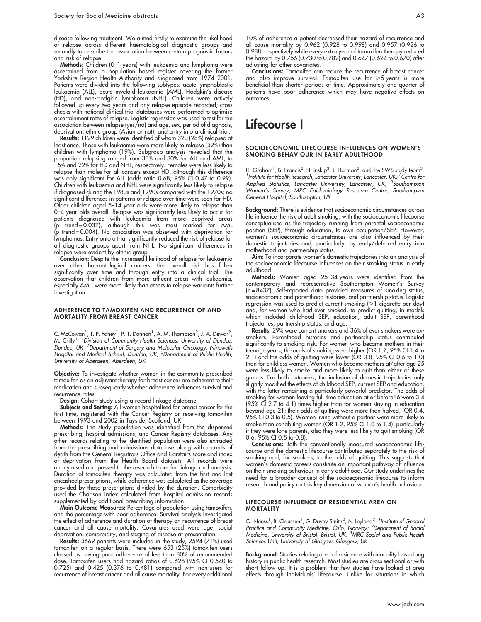disease following treatment. We aimed firstly to examine the likelihood of relapse across different haematological diagnostic groups and secondly to describe the association between certain prognostic factors and risk of relapse.

Methods: Children (0–1 years) with leukaemia and lymphoma were ascertained from a population based register covering the former Yorkshire Region Health Authority and diagnosed from 1974–2001. Patients were divided into the following subtypes: acute lymphoblastic leukaemia (ALL), acute myeloid leukaemia (AML), Hodgkin's disease (HD), and non-Hodgkin lymphoma (NHL). Children were actively followed up every two years and any relapse episode recorded; cross checks with national clinical trial databases were performed to optimise ascertainment rates of relapse. Logistic regression was used to test for the association between relapse (yes/no) and age, sex, period of diagnosis, deprivation, ethnic group (Asian or not), and entry into a clinical trial.

Results: 1129 children were identified of whom 320 (28%) relapsed at least once. Those with leukaemia were more likely to relapse (32%) than children with lymphoma (19%). Subgroup analysis revealed that the proportion relapsing ranged from 33% and 30% for ALL and AML, to 15% and 22% for HD and NHL, respectively. Females were less likely to relapse than males for all cancers except HD, although this difference was only significant for ALL (odds ratio 0.68; 95% CI 0.47 to 0.99). Children with leukaemia and NHL were significantly less likely to relapse if diagnosed during the 1980s and 1990s compared with the 1970s; no significant differences in patterns of relapse over time were seen for HD. Older children aged 5–14 year olds were more likely to relapse than 0–4 year olds overall. Relapse was significantly less likely to occur for patients diagnosed with leukaemia from more deprived areas (p trend = 0.037), although this was most marked for AML (p trend = 0.004). No association was observed with deprivation for lymphomas. Entry onto a trial significantly reduced the risk of relapse for all diagnostic groups apart from NHL. No significant differences in relapse were evident by ethnic group.

Conclusion: Despite the increased likelihood of relapse for leukaemia over other haematological cancers, the overall risk has fallen significantly over time and through entry into a clinical trial. The observation that children from more affluent areas with leukaemia, especially AML, were more likely than others to relapse warrants further investigation.

#### ADHERENCE TO TAMOXIFEN AND RECURRENCE OF AND MORTALITY FROM BREAST CANCER

C. McCowan<sup>1</sup>, T. P. Fahey<sup>1</sup>, P. T. Donnan<sup>1</sup>, A. M. Thompson<sup>2</sup>, J. A. Dewar<sup>2</sup>, M. Crilly<sup>3</sup>. <sup>1</sup> Division of Community Health Sciences, University of Dundee, Dundee, UK; <sup>2</sup>Department of Surgery and Molecular Oncology, Ninewells Hospital and Medical School, Dundee, UK; <sup>3</sup>Department of Public Health, University of Aberdeen, Aberdeen, UK

Objective: To investigate whether women in the community prescribed tamoxifen as an adjuvant therapy for breast cancer are adherent to their medication and subsequently whether adherence influences survival and recurrence rates.

Design: Cohort study using a record linkage database.

Subjects and Setting: All women hospitalised for breast cancer for the first time, registered with the Cancer Registry or receiving tamoxifen between 1993 and 2002 in Tayside, Scotland, UK.

**Methods:** The study population was identitied trom the dispensed prescribing, hospital admissions, and Cancer Registry databases. Any other records relating to the identified population were also extracted from the prescribing and admissions database along with records of death from the General Registrars Office and Carstairs score and index of deprivation from the Health Board datasets. All records were anonymised and passed to the research team for linkage and analysis. Duration of tamoxifen therapy was calculated from the first and last encashed prescriptions, while adherence was calculated as the coverage provided by those prescriptions divided by the duration. Comorbidity used the Charlson index calculated from hospital admission records supplemented by additional prescribing information.

Main Outcome Measures: Percentage of population using tamoxifen, and the percentage with poor adherence. Survival analysis investigated the effect of adherence and duration of therapy on recurrence of breast cancer and all cause mortality. Covariates used were age, social deprivation, comorbidity, and staging of disease at presentation.

**Results:** 3669 patients were included in the study, 2594 (71%) used tamoxifen on a regular basis. There were 653 (25%) tamoxifen users classed as having poor adherence of less than 80% of recommended dose. Tamoxifen users had hazard ratios of 0.626 (95% CI 0.540 to 0.725) and 0.425 (0.376 to 0.481) compared with non-users for recurrence of breast cancer and all cause mortality. For every additional 10% of adherence a patient decreased their hazard of recurrence and all cause mortality by 0.962 (0.928 to 0.998) and 0.957 (0.926 to 0.988) respectively while every extra year of tamoxifen therapy reduced the hazard by 0.756 (0.730 to 0.782) and 0.647 (0.624 to 0.670) after adjusting for other covariates.

Conclusions: Tamoxifen can reduce the recurrence of breast cancer and also improve survival. Tamoxifen use for ≥5 years is more beneficial than shorter periods of time. Approximately one quarter of patients have poor adherence which may have negative effects on outcomes.

### Lifecourse I

#### SOCIOECONOMIC LIFECOURSE INFLUENCES ON WOMEN'S SMOKING BEHAVIOUR IN EARLY ADULTHOOD

H. Graham<sup>1</sup>, B. Francis<sup>2</sup>, H. Inskip<sup>3</sup>, J. Harman<sup>2</sup>, and the SWS study team<sup>3</sup>.<br>Unstitute for Health Research Lancaster University Lancaster UK: <sup>2</sup>Centre for Institute for Health Research, Lancaster University, Lancaster, UK; <sup>2</sup> Centre for Applied Statistics, Lancaster University, Lancaster, UK; <sup>3</sup>Southampton Women's Survey, MRC Epidemiology Resource Centre, Southampton General Hospital, Southampton, UK

Background: There is evidence that socioeconomic circumstances across life influence the risk of adult smoking, with the socioeconomic lifecourse conceptualised as the trajectory running from parental socioeconomic position (SEP), through education, to own occupation/SEP. However, women's socioeconomic circumstances are also influenced by their domestic trajectories and, particularly, by early/deferred entry into motherhood and partnership status.

Aim: To incorporate women's domestic trajectories into an analysis of the socioeconomic lifecourse influences on their smoking status in early adulthood.

Methods: Women aged 25–34 years were identified from the contemporary and representative Southampton Women's Survey (n = 8437). Self-reported data provided measures of smoking status, socioeconomic and parenthood histories, and partnership status. Logistic regression was used to predict current smoking  $(\geq 1)$  cigarette per day) and, for women who had ever smoked, to predict quitting, in models which included childhood SEP, education, adult SEP, parenthood trajectories, partnership status, and age.

Results: 29% were current smokers and 36% of ever smokers were exsmokers. Parenthood histories and partnership status contributed significantly to smoking risk. For women who became mothers in their teenage years, the odds of smoking were higher (OR 1.7, 95% CI 1.4 to 2.1) and the odds of quitting were lower (OR 0.8, 95% CI 0.6 to 1.0) than for childless women. Women who became mothers at/after age 25 were less likely to smoke and more likely to quit than either of these groups. For both outcomes, the inclusion of domestic trajectories only slightly modified the effects of childhood SEP, current SEP and education, with the latter remaining a particularly powerful predictor. The odds of smoking for women leaving full time education at or before16 were 3.4 (95% CI 2.7 to 4.1) times higher than for women staying in education beyond age 21; their odds of quitting were more than halved, (OR 0.4, 95% CI 0.3 to 0.5). Women living without a partner were more likely to smoke than cohabiting women (OR 1.2, 95% CI 1.0 to 1.4), particularly if they were lone parents; also they were less likely to quit smoking (OR 0.6, 95% CI 0.5 to 0.8).

Conclusions: Both the conventionally measured socioeconomic lifecourse and the domestic lifecourse contributed separately to the risk of smoking and, for smokers, to the odds of quitting. This suggests that women's domestic careers constitute an important pathway of influence on their smoking behaviour in early adulthood. Our study underlines the need for a broader concept of the socioeconomic lifecourse to inform research and policy on this key dimension of women's health behaviour.

#### LIFECOURSE INFLUENCE OF RESIDENTIAL AREA ON **MORTALITY**

O. Naess<sup>1</sup>, B. Claussen<sup>1</sup>, G. Davey Smith<sup>2</sup>, A. Leyland<sup>3</sup>. *<sup>1</sup>Institute of General* Practice and Community Medicine, Oslo, Norway; <sup>2</sup>Department of Social Medicine, University of Bristol, Bristol, UK; <sup>3</sup>MRC Social and Public Health Sciences Unit, University of Glasgow, Glasgow, UK

Background: Studies relating area of residence with mortality has a long history in public health research. Most studies are cross sectional or with short follow up. It is a problem that few studies have looked at area effects through individuals' lifecourse. Unlike for situations in which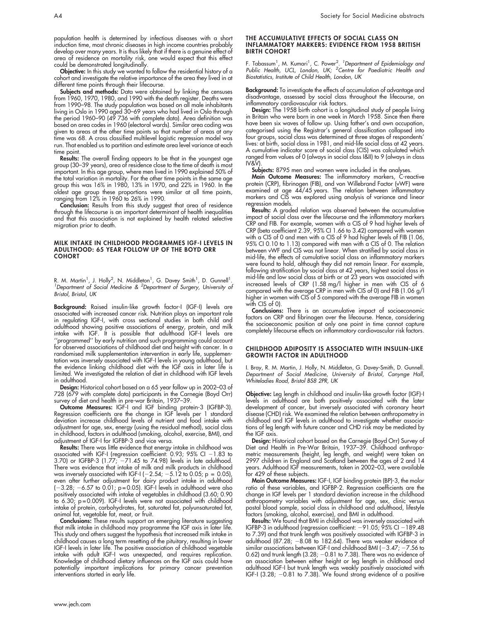population health is determined by infectious diseases with a short induction time, most chronic diseases in high income countries probably develop over many years. It is thus likely that if there is a genuine effect of area of residence on mortality risk, one would expect that this effect could be demonstrated longitudinally.

Objective: In this study we wanted to follow the residential history of a cohort and investigate the relative importance of the area they lived in at different time points through their lifecourse.

**Subjects and methods:** Data were obtained by linking the censuses from 1960, 1970, 1980, and 1990 with the death register. Deaths were from 1990–98. The study population was based on all male inhabitants living in Oslo in 1990 aged 30–69 years who had lived in Oslo through the period 1960–90 (49 736 with complete data). Area definition was based on area codes in 1960 (electoral wards). Similar area coding was given to areas at the other time points so that number of areas at any time was 68. A cross classified multilevel logistic regression model was run. That enabled us to partition and estimate area level variance at each time point.

**Results:** The overall finding appears to be that in the youngest age group (30–39 years), area of residence close to the time of death is most important. In this age group, where men lived in 1990 explained 50% of the total variation in mortality. For the other time points in the same age group this was 16% in 1980, 13% in 1970, and 22% in 1960. In the oldest age group these proportions were similar at all time points, ranging from 12% in 1960 to 26% in 1990.

Conclusion: Results from this study suggest that area of residence through the lifecourse is an important determinant of health inequalities and that this association is not explained by health related selective migration prior to death.

#### MILK INTAKE IN CHILDHOOD PROGRAMMES IGF-I LEVELS IN ADULTHOOD: 65 YEAR FOLLOW UP OF THE BOYD ORR **COHORT**

R. M. Martin<sup>1</sup>, J. Holly<sup>2</sup>, N. Middleton<sup>1</sup>, G. Davey Smith<sup>1</sup>, D. Gunnell<sup>1</sup>.<br><sup>1</sup>Department of Social Medicine & <sup>2</sup>Department of Surgery, University of Bristol, Bristol, UK

Background: Raised insulin-like growth factor-I (IGF-I) levels are associated with increased cancer risk. Nutrition plays an important role in regulating IGF-I, with cross sectional studies in both child and adulthood showing positive associations of energy, protein, and milk intake with IGF. It is possible that adulthood IGF-I levels are ''programmed'' by early nutrition and such programming could account for observed associations of childhood diet and height with cancer. In a randomised milk supplementation intervention in early life, supplementation was inversely associated with IGF-I levels in young adulthood, but the evidence linking childhood diet with the IGF axis in later life is limited. We investigated the relation of diet in childhood with IGF levels in adulthood.

Design: Historical cohort based on a 65 year follow up in 2002–03 of 728 (679 with complete data) participants in the Carnegie (Boyd Orr) survey of diet and health in pre-war Britain, 1937–39.

Outcome Measures: IGF-I and IGF binding protein-3 (IGFBP-3). Regression coefficients are the change in IGF levels per 1 standard deviation increase childhood levels of nutrient and food intake with adjustment for age, sex, energy (using the residual method), social class in childhood, factors in adulthood (smoking, alcohol, exercise, BMI), and adjustment of IGF-I for IGFBP-3 and vice versa.

Results: There was little evidence that energy intake in childhood was associated with IGF-I (regression coefficient: 0.93; 95% CI –1.83 to 3.70) or IGFBP-3 (1.77; 271.45 to 74.98) levels in late adulthood. There was evidence that intake of milk and milk products in childhood was inversely associated with IGF-I ( $-2.54$ ;  $-5.12$  to 0.05; p = 0.05), even after further adjustment for dairy product intake in adulthood (–3.28; –6.57 to 0.01; p=0.05). IGF-I levels in adulthood were also positively associated with intake of vegetables in childhood (3.60; 0.90 to 6.30; p = 0.009). IGF-I levels were not associated with childhood intake of protein, carbohydrates, fat, saturated fat, polyunsaturated fat, animal fat, vegetable fat, meat, or fruit.

Conclusions: These results support an emerging literature suggesting that milk intake in childhood may programme the IGF axis in later life. This study and others suggest the hypothesis that increased milk intake in childhood causes a long term resetting of the pituitary, resulting in lower IGF-I levels in later life. The positive association of childhood vegetable intake with adult IGF-I was unexpected, and requires replication. Knowledge of childhood dietary influences on the IGF axis could have potentially important implications for primary cancer prevention interventions started in early life.

#### THE ACCUMULATIVE EFFECTS OF SOCIAL CLASS ON INFLAMMATORY MARKERS: EVIDENCE FROM 1958 BRITISH BIRTH COHORT

F. Tabassum<sup>1</sup>, M. Kumari<sup>1</sup>, C. Power<sup>2</sup>. <sup>1</sup>Department of Epidemiology and<br>Public Health, UCL, London, UK; <sup>2</sup>Centre for Paediatric Health and Biostatistics, Institute of Child Health, London, UK

Background: To investigate the effects of accumulation of advantage and disadvantage, assessed by social class throughout the lifecourse, on inflammatory cardiovascular risk factors.

Design: The 1958 birth cohort is a longitudinal study of people living in Britain who were born in one week in March 1958. Since then there have been six waves of follow up. Using father's and own occupation, categorised using the Registrar's general classification collapsed into four groups, social class was determined at three stages of respondents' lives: at birth, social class in 1981, and mid-life social class at 42 years. A cumulative indicator score of social class (CIS) was calculated which ranged from values of 0 (always in social class I&II) to 9 (always in class IV&V).

**Subjects:** 8795 men and women were included in the analyses.

**Main Outcome Measures:** The inflammatory markers, C-reactive protein (CRP), fibrinogen (FIB), and von Willebrand Factor (vWF) were examined at age  $44/45$  years. The relation between inflammatory markers and CIS was explored using analysis of variance and linear regression models.

**Results:** A graded relation was observed between the accumulative impact of social class over the lifecourse and the inflammatory markers CRP and FIB. For example, women with a CIS of 9 had higher levels of CRP (beta coefficient 2.39, 95% CI 1.66 to 3.42) compared with women with a CIS of 0 and men with a CIS of 9 had higher levels of FIB (1.06, 95% CI 0.10 to 1.13) compared with men with a CIS of 0. The relation between vWF and CIS was not linear. When stratified by social class in mid-life, the effects of cumulative social class on inflammatory markers were found to hold, although they did not remain linear. For example, following stratification by social class at 42 years, highest social class in mid-life and low social class at birth or at 23 years was associated with increased levels of CRP (1.58 mg/l higher in men with CIS of 6 compared with the average CRP in men with CIS of 0) and FIB (1.06 g/l higher in women with CIS of 5 compared with the average FIB in women with CIS of 0).

Conclusions: There is an accumulative impact of socioeconomic factors on CRP and fibrinogen over the lifecourse. Hence, considering the socioeconomic position at only one point in time cannot capture completely lifecourse effects on inflammatory cardiovascular risk factors.

#### CHILDHOOD ADIPOSITY IS ASSOCIATED WITH INSULIN-LIKE GROWTH FACTOR IN ADULTHOOD

I. Bray, R. M. Martin, J. Holly, N. Middleton, G. Davey-Smith, D. Gunnell. Department of Social Medicine, University of Bristol, Canynge Hall, Whiteladies Road, Bristol BS8 2PR, UK

Objective: Leg length in childhood and insulin-like growth factor (IGF)-I levels in adulthood are both positively associated with the later development of cancer, but inversely associated with coronary heart disease (CHD) risk. We examined the relation between anthropometry in childhood and IGF levels in adulthood to investigate whether associations of leg length with future cancer and CHD risk may be mediated by the IGF axis.

**Design:** Historical cohort based on the Carnegie (Boyd Orr) Survey of Diet and Health in Pre-War Britain, 1937–39. Childhood anthropometric measurements (height, leg length, and weight) were taken on 2997 children in England and Scotland between the ages of 2 and 14 years. Adulthood IGF measurements, taken in 2002–03, were available for 429 of these subjects.

Main Outcome Measures: IGF-I, IGF binding protein (BP)-3, the molar ratio of these variables, and IGFBP-2. Regression coefficients are the change in IGF levels per 1 standard deviation increase in the childhood anthropometry variables with adjustment for age, sex, clinic versus postal blood sample, social class in childhood and adulthood, lifestyle factors (smoking, alcohol, exercise), and BMI in adulthood.

**Results:** We found that BMI in childhood was inversely associated with IGFBP-3 in adulthood (regression coefficient: –91.05; 95% CI –189.48 to 7.39) and that trunk length was positively associated with IGFBP-3 in adulthood  $(87.28; -8.08)$  to 182.64). There was weaker evidence of similar associations between IGF-I and childhood BMI ( $-3.47; -7.56$  to 0.62) and trunk length  $(3.28, -0.81$  to  $7.38)$ . There was no evidence of an association between either height or leg length in childhood and adulthood IGF-I but trunk length was weakly positively associated with IGF-I (3.28; –0.81 to 7.38). We found strong evidence of a positive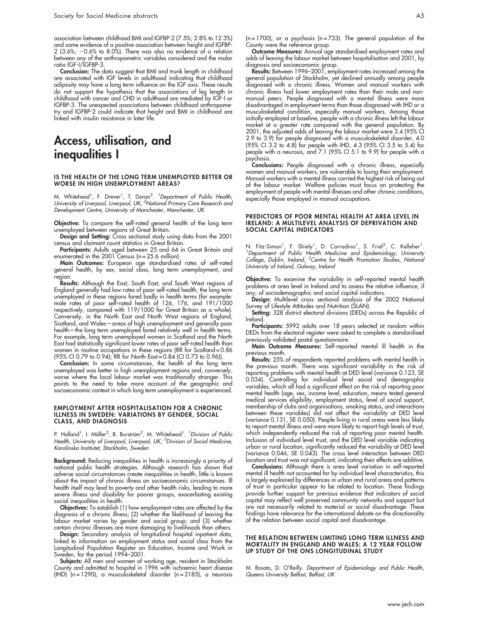association between childhood BMI and IGFBP-2 (7.5%; 2.8% to 12.3%) and some evidence of a positive association between height and IGFBP- $2$  (3.6%;  $-0.6\%$  to 8.0%). There was also no evidence of a relation between any of the anthropometric variables considered and the molar ratio IGF-I/IGFBP-3.

Conclusion: The data suggest that BMI and trunk length in childhood are associated with IGF levels in adulthood indicating that childhood adiposity may have a long term influence on the IGF axis. These results do not support the hypothesis that the associations of leg length in childhood with cancer and CHD in adulthood are mediated by IGF-I or IGFBP-3. The unexpected associations between childhood anthropometry and IGFBP-2 could indicate that height and BMI in childhood are linked with insulin resistance in later life.

# Access, utilisation, and inequalities I

#### IS THE HEALTH OF THE LONG TERM UNEMPLOYED BETTER OR WORSE IN HIGH UNEMPLOYMENT AREAS?

M. Whitehead<sup>1</sup>, F. Drever<sup>1</sup>, T. Doran<sup>2</sup>. <sup>1</sup>Department of Public Health, University of Liverpool, Liverpool, UK; <sup>2</sup>National Primary Care Research and Development Centre, University of Manchester, Manchester, UK

Objective: To compare the self-rated general health of the long term unemployed between regions of Great Britain.

Design and Setting: Cross sectional study using data from the 2001 census and claimant count statistics in Great Britain.

Participants: Adults aged between 25 and 64 in Great Britain and enumerated in the 2001 Census ( $n = 25.6$  million).

Main Outcomes: European age standardised rates of self-rated general health, by sex, social class, long term unemployment, and region.

Results: Although the East, South East, and South West regions of England generally had low rates of poor self-rated health, the long term unemployed in these regions fared badly in health terms (for example: male rates of poor self-rated health of 126, 176, and 191/1000 respectively, compared with 119/1000 for Great Britain as a whole). Conversely, in the North East and North West regions of England, Scotland, and Wales—areas of high unemployment and generally poor health—the long term unemployed fared relatively well in health terms. For example, long term unemployed women in Scotland and the North East had statistically significant lower rates of poor self-rated health than women in routine occupations in these regions (RR for Scotland = 0.86 (95% CI 0.79 to 0.94); RR for North East = 0.84 (CI 0.73 to 0.96)).

Conclusion: In some circumstances, the health of the long term unemployed was better in high unemployment regions and, conversely, worse where the local labour market was traditionally stronger. This points to the need to take more account of the geographic and socioeconomic context in which long term unemployment is experienced.

#### EMPLOYMENT AFTER HOSPITALISATION FOR A CHRONIC ILLNESS IN SWEDEN: VARIATIONS BY GENDER, SOCIAL CLASS, AND DIAGNOSIS

P. Holland<sup>1</sup>, I. Möller<sup>2</sup>, B. Burström<sup>2</sup>, M. Whitehead<sup>1</sup>. *<sup>1</sup> Division of Public* Health, University of Liverpool, Liverpool, UK; <sup>2</sup>Division of Social Medicine, Karolinska Institutet, Stockholm, Sweden

**Background:** Reducing inequalities in health is increasingly a priority of national public health strategies. Although research has shown that adverse social circumstances create inequalities in health, little is known about the impact of chronic illness on socioeconomic circumstances. Ill health itself may lead to poverty and other health risks, leading to more severe illness and disability for poorer groups, exacerbating existing social inequalities in health.

Objectives: To establish (1) how employment rates are affected by the diagnosis of a chronic illness; (2) whether the likelihood of leaving the labour market varies by gender and social group; and (3) whether certain chronic illnesses are more damaging to livelihoods than others.

Design: Secondary analysis of longitudinal hospital inpatient data, linked to information on employment status and social class from the Longitudinal Population Register on Education, Income and Work in Sweden, for the period 1994–2001.

Subjects: All men and women of working age, resident in Stockholm County and admitted to hospital in 1996 with ischaemic heart disease (IHD)  $(n = 1290)$ , a musculoskeletal disorder  $(n = 2185)$ , a neurosis ( $n = 1700$ ), or a psychosis ( $n = 733$ ). The general population of the County were the reference group.

Outcome Measures: Annual age standardised employment rates and odds of leaving the labour market between hospitalisation and 2001, by diagnosis and socioeconomic group.

Results: Between 1996–2001, employment rates increased among the general population of Stockholm, yet declined annually among people diagnosed with a chronic illness. Women and manual workers with chronic illness had lower employment rates than their male and nonmanual peers. People diagnosed with a mental illness were more disadvantaged in employment terms than those diagnosed with IHD or a musculoskeletal condition, especially manual workers. Among those initially employed at baseline, people with a chronic illness left the labour market at a greater rate compared with the general population. By 2001, the adjusted odds of leaving the labour market were 3.4 (95% CI 2.9 to 3.9) for people diagnosed with a musculoskeletal disorder, 4.0 (95% CI 3.2 to 4.8) for people with IHD, 4.3 (95% CI 3.5 to 5.4) for people with a neurosis, and 7.1 (95% CI 5.1 to 9.9) for people with a psychosis.

Conclusions: People diagnosed with a chronic illness, especially women and manual workers, are vulnerable to losing their employment. Manual workers with a mental illness carried the highest risk of being out of the labour market. Welfare policies must focus on protecting the employment of people with mental illnesses and other chronic conditions, especially those employed in manual occupations.

#### PREDICTORS OF POOR MENTAL HEALTH AT AREA LEVEL IN IRELAND: A MULTILEVEL ANALYSIS OF DEPRIVATION AND SOCIAL CAPITAL INDICATORS

N. Fitz-Simon<sup>1</sup>, F. Shiely<sup>1</sup>, D. Corradino<sup>1</sup>, S. Friel<sup>2</sup>, C. Kelleher<sup>1</sup> N. Fitz-Simon', F. Shiely', D. Corradino', S. Friel<sup>2</sup>, C. Kelleher'.<br><sup>1</sup>Department of Public Health Medicine and Epidemiology, University College, Dublin, Ireland, <sup>2</sup>Centre for Health Promotion Studies, National University of Ireland, Galway, Ireland

Objective: To examine the variability in self-reported mental health problems at area level in Ireland and to assess the relative influence, if any, of sociodemographic and social capital indicators.

Design: Multilevel cross sectional analysis of the 2002 National Survey of Lifestyle Attitudes and Nutrition (SLAN).

Setting: 328 district electoral divisions (DEDs) across the Republic of Ireland.

Participants: 5992 adults over 18 years selected at random within DEDs from the electoral register were asked to complete a standardised previously validated postal questionnaire.

Main Outcome Measures: Self-reported mental ill health in the previous month.

Results: 25% of respondents reported problems with mental health in the previous month. There was significant variability in the risk of reporting problems with mental health at DED level (variance 0.123, SE 0.034). Controlling for individual level social and demographic variables, which all had a significant effect on the risk of reporting poor mental health (age, sex, income level, education, means tested general medical services eligibility, employment status, level of social support, membership of clubs and organisations, smoking status, and interactions between these variables) did not affect the variability at DED level (variance 0.131, SE 0.050). People living in rural areas were less likely to report mental illness and were more likely to report high levels of trust, which independently reduced the risk of reporting poor mental health. Inclusion of individual level trust, and the DED level variable indicating urban or rural location, significantly reduced the variability at DED level (variance 0.046, SE 0.043). The cross level interaction between DED location and trust was not significant, indicating their effects are additive.

Conclusions: Although there is area level variation in self-reported mental ill health not accounted for by individual level characteristics, this is largely explained by differences in urban and rural areas and patterns of trust in particular appear to be related to location. These findings provide further support for previous evidence that indicators of social capital may reflect well preserved community networks and support but are not necessarily related to material or social disadvantage. These findings have relevance for the international debate on the directionality of the relation between social capital and disadvantage.

#### THE RELATION BETWEEN LIMITING LONG TERM ILLNESS AND MORTALITY IN ENGLAND AND WALES: A 12 YEAR FOLLOW UP STUDY OF THE ONS LONGITUDINAL STUDY

M. Rosato, D. O'Reilly. Department of Epidemiology and Public Health, Queens University Belfast, Belfast, UK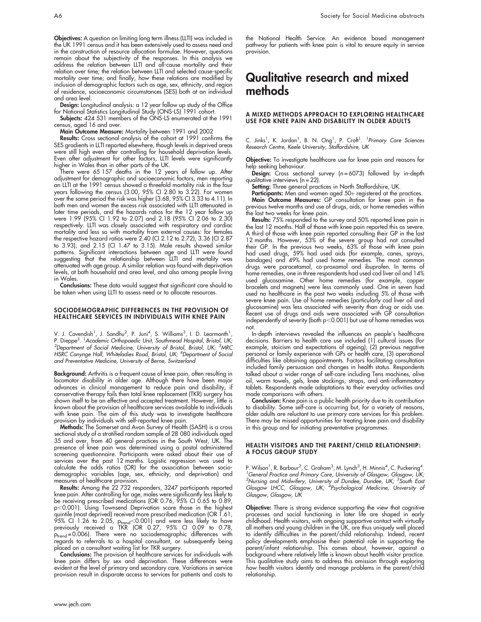Objectives: A question on limiting long term illness (LLTI) was included in the UK 1991 census and it has been extensively used to assess need and in the construction of resource allocation formulae. However, questions remain about the subjectivity of the responses. In this analysis we address the relation between LLTI and all-cause mortality and their relation over time; the relation between LLTI and selected cause-specific mortality over time; and finally, how these relations are modified by inclusion of demographic factors such as age, sex, ethnicity, and region of residence, socioeconomic circumstances (SES) both at an individual and area level.

Design: Longitudinal analysis: a 12 year follow up study of the Office for National Statistics Longitudinal Study (ONS-LS) 1991 cohort.

Subjects: 424 531 members of the ONS-LS enumerated at the 1991 census, aged 16 and over.

Main Outcome Measure: Mortality between 1991 and 2002

Results: Cross sectional analysis of the cohort at 1991 confirms the SES gradients in LLTI reported elsewhere, though levels in deprived areas were still high even after controlling for household deprivation levels. Even after adjustment for other factors, LLTI levels were significantly higher in Wales than in other parts of the UK.

There were 65 157 deaths in the 12 years of follow up. After adjustment for demographic and socioeconomic factors, men reporting an LLTI at the 1991 census showed a threefold mortality risk in the four years following the census (3.00, 95% CI 2.80 to 3.22). For women over the same period the risk was higher (3.68, 95% CI 3.33 to 4.11). In both men and women the excess risk associated with LLTI attenuated in later time periods, and the hazards ratios for the 12 year follow up were 1.99 (95% CI 1.92 to 2.07) and 2.18 (95% CI 2.06 to 2.30) respectively. LLTI was closely associated with respiratory and cardiac mortality and less so with mortality from external causes: for females the respective hazard ratios were 2.40 (CI 2.12 to 2.72), 3.36 (CI 2.87 to 3.93), and 2.15 (CI 1.47 to 3.15). Male results showed similar patterns. Significant interactions between age and LLTI were found suggesting that the relationship between LLTI and mortality was attenuated with age group. A similar relation was found with deprivation levels, at both household and area level, and also among people living in Wales.

Conclusions: These data would suggest that significant care should to be taken when using LLTI to assess need or to allocate resources.

#### SOCIODEMOGRAPHIC DIFFERENCES IN THE PROVISION OF HEALTHCARE SERVICES IN INDIVIDUALS WITH KNEE PAIN

V. J. Cavendish<sup>1</sup>, J. Sandhu<sup>2</sup>, P. Juni<sup>4</sup>, S. Williams<sup>3</sup>, I. D. Learmonth<sup>1</sup>, P. Dieppe<sup>3, 1</sup>Academic Orthopaedic Unit, Southmead Hospital, Bristol, UK;<br><sup>2</sup>Department of Social Medicine, University of Bristol, Bristol, UK; <sup>3</sup>MPC Department of Social Medicine, University of Bristol, Bristol, UK; <sup>3</sup>MRC HSRC Canynge Hall, Whiteladies Road, Bristol, UK; <sup>4</sup>Department of Social and Preventative Medicine, University of Berne, Switzerland

Background: Arthritis is a frequent cause of knee pain, often resulting in locomotor disability in older age. Although there have been major advances in clinical management to reduce pain and disability, if conservative therapy fails then total knee replacement (TKR) surgery has shown itself to be an effective and accepted treatment. However, little is known about the provision of healthcare services available to individuals with knee pain. The aim of this study was to investigate healthcare provision by individuals with self-reported knee pain.

**Methods:** The Somerset and Avon Survey ot Health (SASH) is a cross sectional study of a stratified random sample of 28 080 individuals aged 35 and over, from 40 general practices in the South West, UK. The presence of knee pain was determined using a postal administered screening questionnaire. Participants were asked about their use of services over the past 12 months. Logistic regression was used to calculate the odds ratios (OR) for the association between sociodemographic variables (age, sex, ethnicity, and deprivation) and measures of healthcare provision.

**Results:** Among the 22 732 responders, 3247 participants reported knee pain. After controlling for age, males were significantly less likely to be receiving prescribed medications (OR 0.76, 95% CI 0.65 to 0.89, p<0.001). Using Townsend Deprivation score those in the highest quintile (most deprived) received more prescribed medication (OR 1.61, 95% CI 1.26 to 2.05,  $p_{\mathsf{trend}}$ <0.001) and were less likely to have previously received a TKR (OR 0.27, 95% CI 0.09 to 0.78, p<sub>trend</sub>=0.006). There were no sociodemographic differences with<br>regards to referrals to a hospital consultant, or subsequently being placed on a consultant waiting list for TKR surgery.

Conclusions: The provision of healthcare services for individuals with knee pain differs by sex and deprivation. These differences were evident at the level of primary and secondary care. Variations in service provision result in disparate access to services for patients and costs to

the National Health Service. An evidence based management pathway for patients with knee pain is vital to ensure equity in service provision.

# Qualitative research and mixed methods

#### A MIXED METHODS APPROACH TO EXPLORING HEALTHCARE USE FOR KNEE PAIN AND DISABILITY IN OLDER ADULTS

C. Jinks<sup>1</sup>, K. Jordan<sup>1</sup>, B. N. Ong<sup>1</sup>, P. Croft<sup>1</sup>. <sup>1</sup>Primary Care Sciences Research Centre, Keele University, Staffordshire, UK

Objective: To investigate healthcare use for knee pain and reasons for help seeking behaviour.

Design: Cross sectional survey (n=6073) followed by in-depth qualitative interviews (n = 22).

Setting: Three general practices in North Staffordshire, UK.

**Participants:** Men and women aged 50+ registered at the practices. Main Outcome Measures: GP consultation for knee pain in the previous twelve months and use of drugs, aids, or home remedies within the last two weeks for knee pain.

Results: 75% responded to the survey and 50% reported knee pain in the last 12 months. Half of those with knee pain reported this as severe. A third of those with knee pain reported consulting their GP in the last 12 months. However, 53% of the severe group had not consulted their GP. In the previous two weeks, 63% of those with knee pain had used drugs, 59% had used aids (for example, canes, sprays, bandages) and 49% had used home remedies. The most common drugs were paracetamol, co-proxamol and ibuprofen. In terms of home remedies, one in three respondents had used cod liver oil and 14% used glucosamine. Other home remedies (for example, copper bracelets and magnets) were less commonly used. One in seven had used no healthcare in the past two weeks including 5% of those with severe knee pain. Use of home remedies (particularly cod liver oil and glucosamine) was less associated with severity than drug or aids use. Recent use of drugs and aids were associated with GP consultation independently of severity (both  $p<0.001$ ) but use of home remedies was not.

In-depth interviews revealed the influences on people's healthcare decisions. Barriers to health care use included (1) cultural issues (for example, stoicism and expectations of ageing), (2) previous negative personal or family experience with GPs or health care, (3) operational difficulties like obtaining appointments. Factors facilitating consultation included family persuasion and changes in health status. Respondents talked about a wider range of self-care including Tens machines, olive oil, warm towels, gels, knee stockings, straps, and anti-inflammatory tablets. Respondents made adaptations to their everyday activities and made comparisons with others.

Conclusion: Knee pain is a public health priority due to its contribution to disability. Some self-care is occurring but, for a variety of reasons, older adults are reluctant to use primary care services for this problem. There may be missed opportunities for treating knee pain and disability in this group and for initiating preventative programmes.

#### HEALTH VISITORS AND THE PARENT/CHILD RELATIONSHIP: A FOCUS GROUP STUDY

P. Wilson<sup>1</sup>, R. Barbour<sup>2</sup>, C. Graham<sup>3</sup>, M. Lynch<sup>3</sup>, H. Minnis<sup>4</sup>, C. Puckering<sup>4</sup>.<br><sup>1</sup> Conoral Practice and Primary Caro, University of Glasgow, Glasgow, UK.  ${}^{1}$ General Practice and Primary Care, University of Glasgow, Glasgow, UK; <sup>2</sup>Nursing and Midwifery, University of Dundee, Dundee, UK; <sup>3</sup>South East<br>Glasgow LHCC, Glasgow, UK; <sup>4</sup>Psychological Medicine, University of Glasgow, Glasgow, UK

**Objective:** There is strong evidence supporting the view that cognitive processes and social functioning in later life are shaped in early childhood. Health visitors, with ongoing supportive contact with virtually all mothers and young children in the UK, are thus uniquely well placed to identify difficulties in the parent/child relationship. Indeed, recent policy developments emphasise their potential role in supporting the parent/infant relationship. This comes about, however, against a background where relatively little is known about health visitor practice. This qualitative study aims to address this omission through exploring how health visitors identify and manage problems in the parent/child relationship.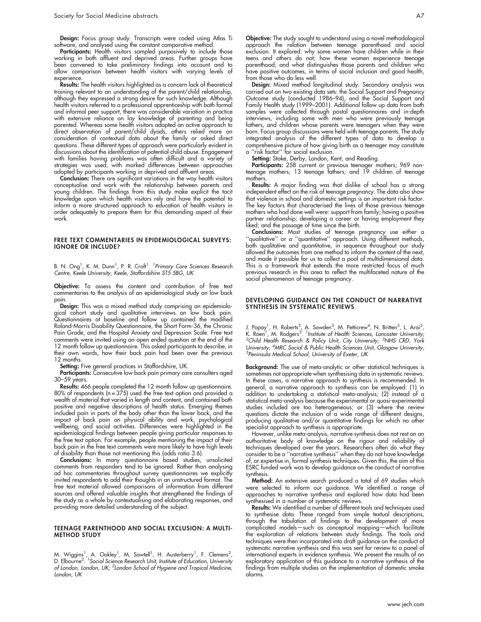Design: Focus group study. Transcripts were coded using Atlas Ti software, and analysed using the constant comparative method.

Participants: Health visitors sampled purposively to include those working in both affluent and deprived areas. Further groups have been convened to take preliminary findings into account and to allow comparison between health visitors with varying levels of experience

Results: The health visitors highlighted as a concern lack of theoretical training relevant to an understanding of the parent/child relationship, although they expressed a strong desire for such knowledge. Although health visitors referred to a professional apprenticeship with both formal and informal peer support, there was considerable variation in practice with extensive reliance on lay knowledge of parenting and being parented. Whereas some health visitors adopted an active approach to direct observation of parent/child dyads, others relied more on consideration of contextual data about the family or asked direct questions. These different types of approach were particularly evident in discussions about the identification of potential child abuse. Engagement with families having problems was often difficult and a variety of strategies was used, with marked differences between approaches adopted by participants working in deprived and affluent areas.

Conclusion: There are significant variations in the way health visitors conceptualise and work with the relationship between parents and young children. The findings from this study make explicit the tacit knowledge upon which health visitors rely and have the potential to inform a more structured approach to education of health visitors in order adequately to prepare them for this demanding aspect of their work.

#### FREE TEXT COMMENTARIES IN EPIDEMIOLOGICAL SURVEYS: IGNORE OR INCLUDE?

B. N. Ong<sup>1</sup>, K. M. Dunn<sup>1</sup>, P. R. Croft<sup>1</sup>. <sup>1</sup>Primary Care Sciences Research Centre, Keele University, Keele, Staffordshire ST5 5BG, UK

Objective: To assess the content and contribution of free text commentaries to the analysis of an epidemiological study on low back pain.

Design: This was a mixed method study comprising an epidemiological cohort study and qualitative interviews on low back pain. Questionnaires at baseline and follow up contained the modified Roland-Morris Disability Questionnaire, the Short Form-36, the Chronic Pain Grade, and the Hospital Anxiety and Depression Scale. Free text comments were invited using an open ended question at the end of the 12 month follow up questionnaire. This asked participants to describe, in their own words, how their back pain had been over the previous 12 months.

Setting: Five general practices in Staffordshire, UK.

Participants: Consecutive low back pain primary care consulters aged 30–59 years.

Results: 466 people completed the 12 month follow up questionnaire. 80% of respondents (n = 375) used the free text option and provided a wealth of material that varied in length and content, and contained both positive and negative descriptions of health status. Emerging themes included pain in parts of the body other than the lower back, and the impact of back pain on physical ability and work, psychological wellbeing, and social activities. Differences were highlighted in the epidemiological findings between people giving particular responses to the free text option. For example, people mentioning the impact of their back pain in the free text comments were more likely to have high levels of disability than those not mentioning this (odds ratio 3.6).

Conclusions: In many questionnaire based studies, unsolicited comments from responders tend to be ignored. Rather than analysing ad hoc commentaries throughout survey questionnaires we explicitly invited respondents to add their thoughts in an unstructured format. The free text material allowed comparisons of information from different sources and offered valuable insights that strengthened the findings of the study as a whole by contextualising and elaborating responses, and providing more detailed understanding of the subject.

#### TEENAGE PARENTHOOD AND SOCIAL EXCLUSION: A MULTI-METHOD STUDY

M. Wiggins<sup>1</sup>, A. Oakley<sup>1</sup>, M. Sawtell<sup>1</sup>, H. Austerberry<sup>1</sup>, F. Clemens<sup>2</sup>,<br>D. Elbourne<sup>2</sup>. <sup>1</sup>Social Science Research Unit, Institute of Education, University of London, London, UK; <sup>2</sup>London School of Hygiene and Tropical Medicine, London, UK

Objective: The study sought to understand using a novel methodological approach the relation between teenage parenthood and social exclusion. It explored: why some women have children while in their teens and others do not; how these women experience teenage parenthood; and what distinguishes those parents and children who have positive outcomes, in terms of social inclusion and good health, from those who do less well.

**Design:** Mixed method longitudinal study. Secondary analysis was carried out on two existing data sets: the Social Support and Pregnancy Outcome study (conducted 1986–94), and the Social Support and Family Health study (1999–2001). Additional follow up data from both samples were collected through postal questionnaires and in-depth interviews, including some with men who were previously teenage fathers, and children whose parents were teenagers when they were born. Focus group discussions were held with teenage parents. The study integrated analysis of the different types of data to develop a comprehensive picture of how giving birth as a teenager may constitute a ''risk factor'' for social exclusion.

Setting: Stoke, Derby, London, Kent, and Reading.

**Participants:** 258 current or previous teenager mothers; 969 nonteenage mothers; 13 teenage fathers; and 19 children of teenage mothers.

**Results:** A major finding was that dislike of school has a strong independent effect on the risk of teenage pregnancy. The data also show that violence in school and domestic settings is an important risk factor. The key factors that characterised the lives of those previous teenage mothers who had done well were: support from family; having a positive partner relationship; developing a career or having employment they liked; and the passage of time since the birth.

**Conclusions:** Most studies of teenage pregnancy use either a ''qualitative'' or a ''quantitative'' approach. Using different methods, both qualitative and quantitative, in sequence throughout our study allowed the outcomes from one method to inform the content of the next, and made it possible for us to collect a pool of multidimensional data. This is a framework that extends the more restricted focus of much previous research in this area to reflect the multifaceted nature of the social phenomenon of teenage pregnancy.

#### DEVELOPING GUIDANCE ON THE CONDUCT OF NARRATIVE SYNTHESIS IN SYSTEMATIC REVIEWS

J. Popay<sup>1</sup>, H. Roberts<sup>2</sup>, A. Sowden<sup>3</sup>, M. Petticrew<sup>4</sup>, N. Britten<sup>5</sup>, L. Arai<sup>2</sup>,<br>K. Roen<sup>1</sup>, M. Rodgers<sup>3</sup>. <sup>1</sup>Institute of Health Sciences, Lancaster University;<br><sup>2</sup>Child Health Research & Policy Unit, City Universit Child Health Research & Policy Unit, City University; <sup>3</sup>NHS CRD, York University; <sup>4</sup>MRC Social & Public Health Sciences Unit, Glasgow University;<br><sup>5</sup>Popinsula Medical School, University of Exeter, UK  $5$ Peninsula Medical School, University of Exeter, UK

Background: The use of meta-analytic or other statistical techniques is sometimes not appropriate when synthesising data in systematic reviews. In these cases, a narrative approach to synthesis is recommended. In general, a narrative approach to synthesis can be employed: (1) in addition to undertaking a statistical meta-analysis; (2) instead of a statistical meta-analysis because the experimental or quasi-experimental studies included are too heterogeneous; or (3) where the review questions dictate the inclusion of a wide range of different designs, producing qualitative and/or quantitative findings for which no other specialist approach to synthesis is appropriate.

However, unlike meta-analysis, narrative synthesis does not rest on an authoritative body of knowledge on the rigour and reliability of techniques developed over the years. Researchers often do what they consider to be a "narrative synthesis" when they do not have knowledge of, or expertise in, formal synthesis techniques. Given this, the aim of this ESRC funded work was to develop guidance on the conduct of narrative synthesis.

Method: An extensive search produced a total of 69 studies which were selected to inform our guidance. We identified a range of approaches to narrative synthesis and explored how data had been synthesised in a number of systematic reviews.

Results: We identified a number of different tools and techniques used to synthesise data. These ranged from simple textual descriptions, through the tabulation of findings to the development of more complicated models—such as conceptual mapping—which facilitate the exploration of relations between study findings. The tools and techniques were then incorporated into draft guidance on the conduct of systematic narrative synthesis and this was sent for review to a panel of international experts in evidence synthesis. We present the results of an exploratory application of this guidance to a narrative synthesis of the findings from multiple studies on the implementation of domestic smoke alarms.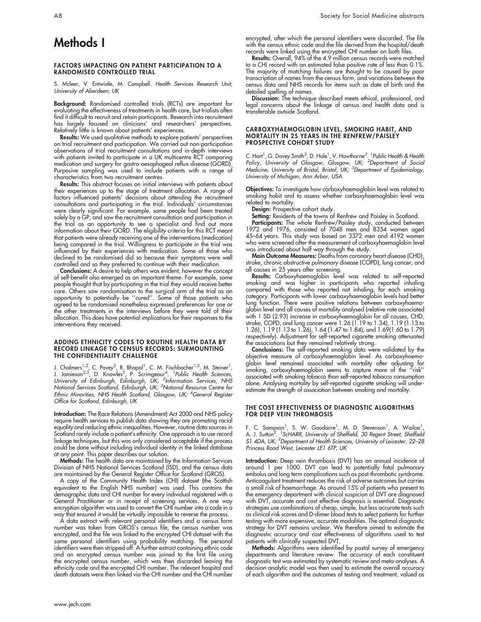# Methods I

#### FACTORS IMPACTING ON PATIENT PARTICIPATION TO A RANDOMISED CONTROLLED TRIAL

S. Mcleer, V. Entwistle, M. Campbell. Health Services Research Unit, University of Aberdeen, UK

Background: Randomised controlled trials (RCTs) are important for evaluating the effectiveness of treatments in health care, but trialists often find it difficult to recruit and retain participants. Research into recruitment has largely focused on clinicians' and researchers' perspectives. Relatively little is known about patients' experiences.

**Results:** We used qualitative methods to explore patients' perspectives on trial recruitment and participation. We carried out non-participation observations of trial recruitment consultations and in-depth interviews with patients invited to participate in a UK multicentre RCT comparing medication and surgery for gastro-oesophageal reflux disease (GORD). Purposive sampling was used to include patients with a range of characteristics from two recruitment centres.

Results: This abstract focuses on initial interviews with patients about their experiences up to the stage of treatment allocation. A range of factors influenced patients' decisions about attending the recruitment consultations and participating in the trial. Individuals' circumstances were clearly significant. For example, some people had been treated solely by a GP, and saw the recruitment consultation and participation in the trial as an opportunity to see a specialist and find out more information about their GORD. The eligibility criteria for this RCT meant that patients were already receiving one of the interventions (medication) being compared in the trial. Willingness to participate in the trial was influenced by their experiences with medication. Some of those who declined to be randomised did so because their symptoms were well controlled and so they preferred to continue with their medication.

Conclusions: A desire to help others was evident, however the concept of self-benefit also emerged as an important theme. For example, some people thought that by participating in the trial they would receive better care. Others saw randomisation to the surgical arm of the trial as an opportunity to potentially be ''cured''. Some of those patients who agreed to be randomised nonetheless expressed preferences for one or the other treatments in the interviews before they were told of their allocation. This does have potential implications for their responses to the interventions they received.

#### ADDING ETHNICITY CODES TO ROUTINE HEALTH DATA BY RECORD LINKAGE TO CENSUS RECORDS: SURMOUNTING THE CONFIDENTIALITY CHALLENGE

J. Chalmers<sup>1,2</sup>, C. Povey<sup>2</sup>, R. Bhopal<sup>1</sup>, C. M. Fischbacher<sup>1,2</sup>, M. Steiner<sup>1</sup>,<br>J. Jamieson<sup>2,3</sup>, D. Knowles<sup>2</sup>, P. Scrimgeour<sup>4</sup>. <sup>1</sup>Public Health Sciences,<br>University of Edinburgh, Edinburgh, UK; <sup>2</sup>Information Servi Office for Scotland, Edinburgh, UK

Introduction: The Race Relations (Amendment) Act 2000 and NHS policy require health services to publish data showing they are promoting racial equality and reducing ethnic inequalities. However, routine data sources in Scotland rarely include a patient's ethnicity. One approach is to use record linkage techniques, but this was only considered acceptable if the process could be done without including individual identity in the linked database at any point. This paper describes our solution.

**Methods:** The health data are maintained by the Information Services Division of NHS National Services Scotland (ISD), and the census data are maintained by the General Register Office for Scotland (GROS).

A copy of the Community Health Index (CHI) dataset (the Scottish equivalent to the English NHS number) was used. This contains the demographic data and CHI number for every individual registered with a General Practitioner or in receipt of screening services. A one way encryption algorithm was used to convert the CHI number into a code in a way that ensured it would be virtually impossible to reverse the process.

A data extract with relevant personal identifiers and a census form number was taken from GROS's census file, the census number was encrypted, and the file was linked to the encrypted CHI dataset with the same personal identifiers using probability matching. The personal identifiers were then stripped off. A further extract containing ethnic code and an encrypted census number was joined to the first file using the encrypted census number, which was then discarded leaving the ethnicity code and the encrypted CHI number. The relevant hospital and death datasets were then linked via the CHI number and the CHI number

encrypted, after which the personal identifiers were discarded. The file with the census ethnic code and the file derived from the hospital/death records were linked using the encrypted CHI number on both files.

Results: Overall, 94% of the 4.9 million census records were matched to a CHI record with an estimated false positive rate of less than 0.1%. The majority of matching failures are thought to be caused by poor transcription of names from the census form, and variations between the census data and NHS records for items such as date of birth and the detailed spelling of names.

**Discussion:** The technique described meets ethical, professional, and legal concerns about the linkage of census and health data and is transferable outside Scotland.

#### CARBOXYHAEMOGLOBIN LEVEL, SMOKING HABIT, AND MORTALITY IN 25 YEARS IN THE RENFREW/PAISLEY PROSPECTIVE COHORT STUDY

C. Hart<sup>1</sup>, G. Davey Smith<sup>2</sup>, D. Hole<sup>1</sup>, V. Hawthorne<sup>3</sup>. <sup>7</sup>Public Health & Health<br>Policy, University of Glasgow, Glasgow, UK; <sup>2</sup>Department of Social<br>Medicine, University of Bristol, Bristol, UK; <sup>3</sup>Department of Epide University of Michigan, Ann Arbor, USA

Objectives: To investigate how carboxyhaemoglobin level was related to smoking habit and to assess whether carboxyhaemoglobin level was related to mortality.

**Design:** Prospective cohort study.

**Setting:** Residents of the towns of Renfrew and Paisley in Scotland.

**Participants:** The whole Renfrew/Paisley study, conducted between 1972 and 1976, consisted of 7048 men and 8354 women aged 45–64 years. This study was based on 3372 men and 4192 women who were screened after the measurement of carboxyhaemoglobin level was introduced about half way through the study.

**Main Outcome Measures:** Deaths from coronary heart disease (CHD), stroke, chronic obstructive pulmonary disease (COPD), lung cancer, and all causes in 25 years after screening.

Results: Carboxyhaemoglobin level was related to self-reported smoking and was higher in participants who reported inhaling compared with those who reported not inhaling, for each smoking category. Participants with lower carboxyhaemoglobin levels had better lung function. There were positive relations between carboxyhaemoglobin level and all causes of mortality analysed (relative rate associated with 1 SD (2.93) increase in carboxyhaemoglobin for all causes, CHD, stroke, COPD, and lung cancer were 1.26 (1.19 to 1.34), 1.19 (1.13 to 1.26), 1.19 (1.13 to 1.26), 1.64 (1.47 to 1.84), and 1.69(1.60 to 1.79) respectively). Adjustment for self-reported cigarette smoking attenuated the associations but they remained relatively strong.

Conclusions: The self-reported smoking data were validated by the objective measure of carboxyhaemoglobin level. As carboxyhaemoglobin level remained associated with mortality after adjusting for smoking, carboxyhaemoglobin seems to capture more of the ''risk'' associated with smoking tobacco than self-reported tobacco consumption alone. Analysing mortality by self-reported cigarette smoking will underestimate the strength of association between smoking and mortality.

#### THE COST EFFECTIVENESS OF DIAGNOSTIC ALGORITHMS FOR DEEP VEIN THROMBOSIS

F. C. Sampson<sup>1</sup>, S. W. Goodacre<sup>1</sup>, M. D. Stevenson<sup>1</sup>, A. Wailoo<sup>1</sup>,<br>A. J. Sutton<sup>2</sup>. <sup>1</sup>ScHARR, University of Sheffield, 30 Regent Street, Sheffield S1 4DA, UK; <sup>2</sup>Department of Health Sciences, University of Leicester, 22-28 Princess Road West, Leicester LE1 6TP, UK

Introduction: Deep vein thrombosis (DVT) has an annual incidence of around 1 per 1000. DVT can lead to potentially fatal pulmonary embolus and long term complications such as post-thrombotic syndrome. Anticoagulant treatment reduces the risk of adverse outcomes but carries a small risk of haemorrhage. As around 15% of patients who present to the emergency department with clinical suspicion of DVT are diagnosed with DVT, accurate and cost effective diagnosis is essential. Diagnostic strategies use combinations of cheap, simple, but less accurate tests such as clinical risk scores and D-dimer blood tests to select patients for further testing with more expensive, accurate modalities. The optimal diagnostic strategy for DVT remains unclear. We therefore aimed to estimate the diagnostic accuracy and cost effectiveness of algorithms used to test patients with clinically suspected DVT.

Methods: Algorithms were identified by postal survey of emergency departments and literature review. The accuracy of each constituent diagnostic test was estimated by systematic review and meta-analyses. A decision-analytic model was then used to estimate the overall accuracy of each algorithm and the outcomes of testing and treatment, valued as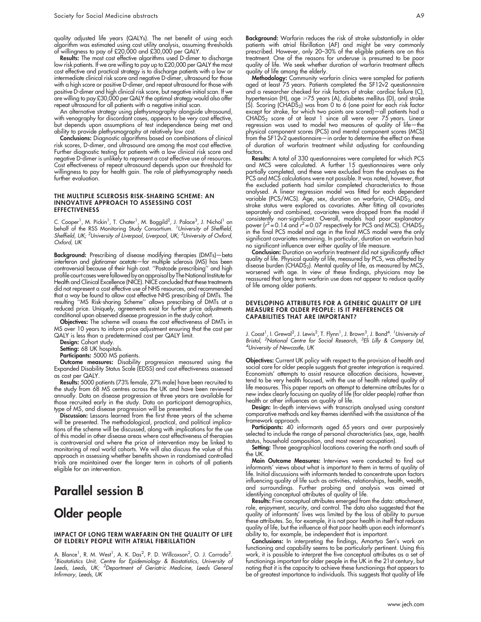quality adjusted life years (QALYs). The net benefit of using each algorithm was estimated using cost utility analysis, assuming thresholds of willingness to pay of £20,000 and £30,000 per QALY.

Results: The most cost effective algorithms used D-dimer to discharge low risk patients. If we are willing to pay up to £20,000 per QALY the most cost effective and practical strategy is to discharge patients with a low or intermediate clinical risk score and negative D-dimer, ultrasound for those with a high score or positive D-dimer, and repeat ultrasound for those with positive D-dimer and high clinical risk score, but negative initial scan. If we are willing to pay £30,000 per QALY the optimal strategy would also offer repeat ultrasound for all patients with a negative initial scan.

An alternative strategy using plethysmography alongside ultrasound, with venography for discordant cases, appears to be very cost effective, but depends upon assumptions of test independence being met and ability to provide plethysmography at relatively low cost.

Conclusions: Diagnostic algorithms based on combinations of clinical risk scores, D-dimer, and ultrasound are among the most cost effective. Further diagnostic testing for patients with a low clinical risk score and negative D-dimer is unlikely to represent a cost effective use of resources. Cost effectiveness of repeat ultrasound depends upon our threshold for willingness to pay for health gain. The role of plethysmography needs further evaluation.

#### THE MULTIPLE SCLEROSIS RISK-SHARING SCHEME: AN INNOVATIVE APPROACH TO ASSESSING COST **EFFECTIVENESS**

C. Cooper<sup>1</sup>, M. Pickin<sup>1</sup>, T. Chater<sup>1</sup>, M. Boggild<sup>2</sup>, J. Palace<sup>3</sup>, J. Nichol<sup>1</sup> on behalf of the RSS Monitoring Study Consortium. <sup>1</sup> University of Sheffield, Sheffield, UK; <sup>2</sup>University of Liverpool, Liverpool, UK; <sup>3</sup>University of Oxford, Oxford, UK

**Background:** Prescribing of disease modifying therapies (DMTs)—beta interferon and glatiramer acetate—for multiple sclerosis (MS) has been controversial because of their high cost. ''Postcode prescribing'' and high profile court cases werefollowed by an appraisal by The National Institute for Health and Clinical Excellence (NICE). NICE concluded that these treatments did not represent a cost effective use of NHS resources, and recommended that a way be found to allow cost effective NHS prescribing of DMTs. The resulting ''MS Risk-sharing Scheme'' allows prescribing of DMTs at a reduced price. Uniquely, agreements exist for further price adjustments conditional upon observed disease progression in the study cohort.

Objectives: The scheme will assess the cost effectiveness of DMTs in MS over 10 years to inform price adjustment ensuring that the cost per QALY is less than a predetermined cost per QALY limit.

Design: Cohort study.

Setting: 68 UK hospitals.

Participants: 5000 MS patients.

Outcome measures: Disability progression measured using the Expanded Disability Status Scale (EDSS) and cost effectiveness assessed as cost per QALY.

Results: 5000 patients (73% female, 27% male) have been recruited to the study from 68 MS centres across the UK and have been reviewed annually. Data on disease progression at three years are available for those recruited early in the study. Data on participant demographics, type of MS, and disease progression will be presented.

Discussion: Lessons learned from the first three years of the scheme will be presented. The methodological, practical, and political implications of the scheme will be discussed, along with implications for the use of this model in other disease areas where cost effectiveness of therapies is controversial and where the price of intervention may be linked to monitoring of real world cohorts. We will also discuss the value of this approach in assessing whether benefits shown in randomised controlled trials are maintained over the longer term in cohorts of all patients eligible for an intervention.

### Parallel session B

### Older people

#### IMPACT OF LONG TERM WARFARIN ON THE QUALITY OF LIFE OF ELDERLY PEOPLE WITH ATRIAL FIBRILLATION

A. Blance<sup>1</sup>, R. M. West<sup>1</sup>, A. K. Das<sup>2</sup>, P. D. Willcoxson<sup>2</sup>, O. J. Corrado<sup>2</sup>.<br><sup>1</sup> Biostatistics Unit Contra for Enidemiology & Biostatistics, University of <sup>1</sup> Biostatistics Unit, Centre for Epidemiology & Biostatistics, University of Leeds, Leeds, UK; <sup>2</sup>Department of Geriatric Medicine, Leeds General Infirmary, Leeds, UK

Background: Warfarin reduces the risk of stroke substantially in older patients with atrial fibrillation (AF) and might be very commonly prescribed. However, only 20–30% of the eligible patients are on this treatment. One of the reasons for underuse is presumed to be poor quality of life. We seek whether duration of warfarin treatment affects quality of life among the elderly.

Methodology: Community warfarin clinics were sampled for patients aged at least 75 years. Patients completed the SF12v2 questionnaire and a researcher checked for risk factors of stroke: cardiac failure (C), hypertension (H), age >75 years (A), diabetes mellitus (D), and stroke  $(S)$ . Scoring  $(CHADS<sub>2</sub>)$  was from 0 to 6 (one point for each risk factor except for stroke, for which two points are scored)—all patients had a CHADS<sub>2</sub> score of at least 1 since all were over 75 years. Linear regression was used to model two measures of quality of life—the physical component scores (PCS) and mental component scores (MCS) from the SF12v2 questionnaire—in order to determine the effect on these of duration of warfarin treatment whilst adjusting for confounding factors.

Results: A total of 330 questionnaires were completed for which PCS and MCS were calculated. A further 15 questionnaires were only partially completed, and these were excluded from the analyses as the PCS and MCS calculations were not possible. It was noted, however, that the excluded patients had similar completed characteristics to those analysed. A linear regression model was fitted for each dependent variable (PCS/MCS). Age, sex, duration on warfarin, CHADS<sub>2</sub>, and stroke status were explored as covariates. After fitting all covariates separately and combined, covariates were dropped from the model if consistently non-significant. Overall, models had poor explanatory power ( $r^2$  = 0.14 and  $r^2$  = 0.07 respectively for PCS and MCS). CHADS<sub>2</sub> in the final PCS model and age in the final MCS model were the only significant covariates remaining. In particular, duration on warfarin had no significant influence over either quality of life measure.

Conclusion: Duration on warfarin treatment did not significantly affect quality of life. Physical quality of life, measured by PCS, was affected by disease burden (CHADS<sub>2</sub>). Mental quality of life, as measured by MCS, worsened with age. In view of these findings, physicians may be reassured that long term warfarin use does not appear to reduce quality of life among older patients.

#### DEVELOPING ATTRIBUTES FOR A GENERIC QUALITY OF LIFE MEASURE FOR OLDER PEOPLE: IS IT PREFERENCES OR CAPABILITIES THAT ARE IMPORTANT?

J. Coast<sup>1</sup>, I. Grewal<sup>2</sup>, J. Lewis<sup>2</sup>, T. Flynn<sup>1</sup>, J. Brown<sup>3</sup>, J. Bond<sup>4. 1</sup>University of Bristol, <sup>2</sup>National Centre for Social Research, <sup>3</sup>Eli Lilly & Company Ltd,<br><sup>4</sup>University of Newcastle UK University of Newcastle, UK

Objectives: Current UK policy with respect to the provision of health and social care for older people suggests that greater integration is required. Economists' attempts to assist resource allocation decisions, however, tend to be very health focused, with the use of health related quality of life measures. This paper reports an attempt to determine attributes for a new index clearly focusing on quality of life (for older people) rather than health or other influences on quality of life.

Design: In-depth interviews with transcripts analysed using constant comparative methods and key themes identified with the assistance of the framework approach.

Participants: 40 informants aged 65 years and over purposively selected to include the range of personal characteristics (sex, age, health status, household composition, and most recent occupation).

Setting: Three geographical locations covering the north and south of the UK.

**Main Outcome Measures:** Interviews were conducted to find out informants' views about what is important to them in terms of quality of life. Initial discussions with informants tended to concentrate upon factors influencing quality of life such as activities, relationships, health, wealth, and surroundings. Further probing and analysis was aimed at identifying conceptual attributes of quality of life.

Results: Five conceptual attributes emerged from the data: attachment, role, enjoyment, security, and control. The data also suggested that the quality of informants' lives was limited by the loss of ability to pursue these attributes. So, for example, it is not poor health in itself that reduces quality of life, but the influence of that poor health upon each informant's ability to, for example, be independent that is important.

Conclusions: In interpreting the findings, Amartya Sen's work on functioning and capability seems to be particularly pertinent. Using this work, it is possible to interpret the five conceptual attributes as a set of functionings important for older people in the UK in the 21st century, but noting that it is the capacity to achieve these functionings that appears to be of greatest importance to individuals. This suggests that quality of life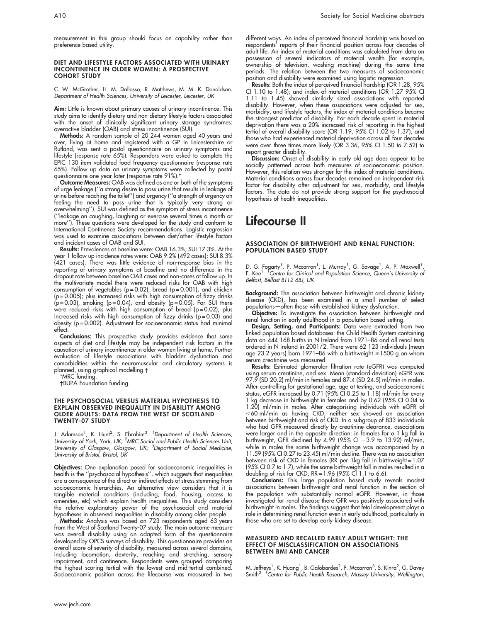measurement in this group should focus on capability rather than preference based utility.

#### DIET AND LIFESTYLE FACTORS ASSOCIATED WITH URINARY INCONTINENCE IN OLDER WOMEN: A PROSPECTIVE COHORT STUDY

C. W. McGrother, H. M. Dallosso, R. Matthews, M. M. K. Donaldson. Department of Health Sciences, University of Leicester, Leicester, UK

Aim: Little is known about primary causes of urinary incontinence. This study aims to identify dietary and non-dietary lifestyle factors associated with the onset of clinically significant urinary storage syndromes: overactive bladder (OAB) and stress incontinence (SUI).

Methods: A random sample of 20 244 women aged 40 years and over, living at home and registered with a GP in Leicestershire or Rutland, was sent a postal questionnaire on urinary symptoms and lifestyle (response rate 65%). Responders were asked to complete the EPIC 130 item validated food frequency questionnaire (response rate 65%). Follow up data on urinary symptoms were collected by postal questionnaire one year later (response rate 91%).\*

Outcome Measures: OAB was defined as one or both of the symptoms of urge leakage (''a strong desire to pass urine that results in leakage of urine before reaching the toilet'') and urgency (''a strength of urgency on feeling the need to pass urine that is typically very strong or overwhelming''). SUI was defined as the symptom of stress incontinence (''leakage on coughing, laughing or exercise several times a month or more''). These questions were developed for the study and conform to International Continence Society recommendations. Logistic regression was used to examine associations between diet/other lifestyle factors and incident cases of OAB and SUI.

Results: Prevalences at baseline were: OAB 16.3%; SUI 17.3%. At the year 1 follow up incidence rates were: OAB 9.2% (492 cases); SUI 8.3% (421 cases). There was little evidence of non-response bias in the reporting of urinary symptoms at baseline and no difference in the dropout rate between baseline OAB cases and non-cases at follow up. In the multivariate model there were reduced risks for OAB with high consumption of vegetables ( $p = 0.02$ ), bread ( $p = 0.001$ ), and chicken (p = 0.005); plus increased risks with high consumption of fizzy drinks (p=0.03), smoking (p=0.04), and obesity (p=0.05). For SUI there were reduced risks with high consumption of bread (p = 0.02); plus increased risks with high consumption of fizzy drinks ( $p = 0.03$ ) and obesity (p = 0.002). Adjustment for socioeconomic status had minimal effect.

**Conclusions:** This prospective study provides evidence that some aspects of diet and lifestyle may be independent risk factors in the causation of urinary incontinence in older women living at home. Further evaluation of lifestyle associations with bladder dysfunction and comorbidities within the neuromuscular and circulatory systems is planned, using graphical modelling.

\*MRC funding.

BUPA Foundation funding.

#### THE PSYCHOSOCIAL VERSUS MATERIAL HYPOTHESIS TO EXPLAIN OBSERVED INEQUALITY IN DISABILITY AMONG OLDER ADULTS: DATA FROM THE WEST OF SCOTLAND TWENTY-07 STUDY

J. Adamson<sup>1</sup>, K. Hunt<sup>2</sup>, S. Ebrahim<sup>3</sup>. <sup>1</sup>Department of Health Sciences, University of York, York, UK; <sup>2</sup>MRC Social and Public Health Sciences Unit, University of Glasgow, Glasgow, UK; <sup>3</sup>Department of Social Medicine, University of Bristol, Bristol, UK

Objectives: One explanation posed for socioeconomic inequalities in health is the ''psychosocial hypothesis'', which suggests that inequalities are a consequence of the direct or indirect effects of stress stemming from socioeconomic hierarchies. An alternative view considers that it is tangible material conditions (including, food, housing, access to amenities, etc) which explain health inequalities. This study considers the relative explanatory power of the psychosocial and material hypotheses in observed inequalities in disability among older people.

**Methods:** Analysis was based on 723 respondents aged 63 years from the West of Scotland Twenty-07 study. The main outcome measure was overall disability using an adapted form of the questionnaire developed by OPCS surveys of disability. This questionnaire provides an overall score of severity of disability, measured across several domains, including locomotion, dexterity, reaching and stretching, sensory impairment, and continence. Respondents were grouped comparing the highest scoring tertial with the lowest and mid-tertial combined. Socioeconomic position across the lifecourse was measured in two

different ways. An index of perceived financial hardship was based on respondents' reports of their financial position across four decades of adult life. An index of material conditions was calculated from data on possession of several indicators of material wealth (for example, ownership of television, washing machine) during the same time periods. The relation between the two measures of socioeconomic position and disability were examined using logistic regression.

Results: Both the index of perceived financial hardship (OR 1.28, 95% CI 1.10 to 1.48); and index of material conditions (OR 1.27 95% CI 1.11 to 1.45) showed similarly sized associations with reported disability. However, when these associations were adjusted for sex, morbidity, and lifestyle factors, the index of material conditions became the strongest predictor of disability. For each decade spent in material deprivation there was a 20% increased risk of reporting in the highest tertial of overall disability score (OR 1.19, 95% CI 1.02 to 1.37), and those who had experienced material deprivation across all four decades were over three times more likely (OR 3.36, 95% CI 1.50 to 7.52) to report greater disability.

**Discussion:** Onset ot disability in early old age does appear to be socially patterned across both measures of socioeconomic position. However, this relation was stronger for the index of material conditions. Material conditions across four decades remained an independent risk factor for disability after adjustment for sex, morbidity, and lifestyle factors. The data do not provide strong support for the psychosocial hypothesis of health inequalities.

# Lifecourse II

#### ASSOCIATION OF BIRTHWEIGHT AND RENAL FUNCTION: POPULATION BASED STUDY

D. G. Fogarty<sup>1</sup>, P. Mccarron<sup>1</sup>, L. Murray<sup>1</sup>, G. Savage<sup>1</sup>, A. P. Maxwell<sup>1</sup>,<br>F. Kee<sup>1</sup>. 'Centre for Clinical and Population Science, Queen's University of Belfast, Belfast BT12 6BJ, UK

Background: The association between birthweight and chronic kidney disease (CKD), has been examined in a small number of select populations—often those with established kidney dysfunction.

Objective: To investigate the association between birthweight and renal function in early adulthood in a population based setting.

**Design, Setting, and Participants:** Data were extracted from two linked population based databases: the Child Health System containing data on 444 168 births in N Ireland from 1971–86 and all renal tests ordered in N Ireland in 2001/2. There were 62 123 individuals (mean age 23.2 years) born 1971–86 with a birthweight ≥1500 g on whom serum creatinine was measured.

Results: Estimated glomerular filtration rate (eGFR) was computed using serum creatinine, and sex. Mean (standard deviation) eGFR was 97.9 (SD 20.2) ml/min in females and 87.4 (SD 24.5) ml/min in males. After controlling for gestational age, age at testing, and socioeconomic status, eGFR increased by 0.71 (95% CI 0.25 to 1.18) ml/min for every 1 kg decrease in birthweight in females and by 0.62 (95% CI 0.04 to 1.20) ml/min in males. After categorising individuals with eGFR of  $<$ 60 ml/min as having CKD, neither sex showed an association between birthweight and risk of CKD. In a subgroup of 833 individuals who had GFR measured directly by creatinine clearance, associations were larger and in the opposite direction: in females for a 1 kg fall in birthweight, GFR declined by 4.99 (95% CI –3.9 to 13.92) ml/min, while in males the same birthweight change was accompanied by a 11.59 (95% CI 0.27 to 23.45) ml/min decline. There was no association between risk of CKD in females (RR per 1kg fall in birthweight = 1.07 (95% CI 0.7 to 1.7), while the same birthweight fall in males resulted in a doubling of risk for CKD, RR = 1.96 (95% CI 1.1 to 6.6).

Conclusions: This large population based study reveals modest associations between birthweight and renal function in the section of the population with substantially normal eGFR. However, in those investigated for renal disease there GFR was positively associated with birthweight in males. The findings suggest that fetal development plays a role in determining renal function even in early adulthood, particularly in those who are set to develop early kidney disease.

#### MEASURED AND RECALLED EARLY ADULT WEIGHT: THE EFFECT OF MISCLASSIFICATION ON ASSOCIATIONS BETWEEN BMI AND CANCER

M. Jeffreys<sup>1</sup>, K. Huang<sup>1</sup>, B. Galobardes<sup>2</sup>, P. Mccarron<sup>3</sup>, S. Kinra<sup>2</sup>, G. Davey<br>Smith<sup>2</sup>. *'Centre for Public Health Research, Massey University, Wellington,*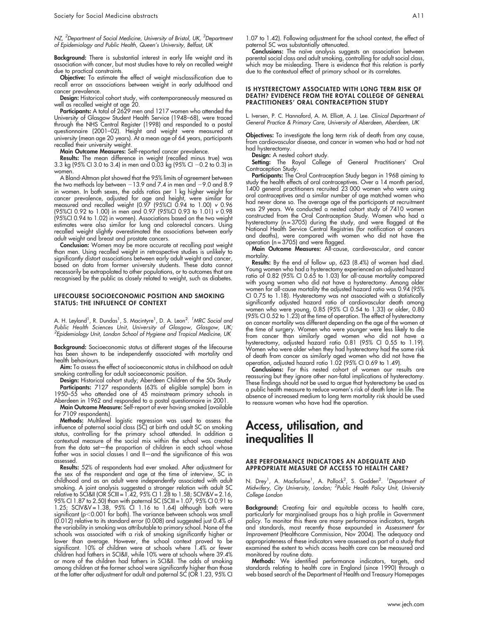NZ, <sup>2</sup>Department of Social Medicine, University of Bristol, UK, <sup>3</sup>Department of Epidemiology and Public Health, Queen's University, Belfast, UK

**Background:** There is substantial interest in early life weight and its association with cancer, but most studies have to rely on recalled weight due to practical constraints.

Objective: To estimate the effect of weight misclassification due to recall error on associations between weight in early adulthood and cancer prevalence.

Design: Historical cohort study, with contemporaneously measured as well as recalled weight at age 20.

Participants: A total of 2629 men and 1217 women who attended the University of Glasgow Student Health Service (1948–68), were traced through the NHS Central Register (1998) and responded to a postal questionnaire (2001–02). Height and weight were measured at university (mean age 20 years). At a mean age of 64 years, participants recalled their university weight.

Main Outcome Measures: Self-reported cancer prevalence.

Results: The mean difference in weight (recalled minus true) was 3.3 kg (95% CI 3.0 to 3.4) in men and 0.03 kg (95% CI –0.2 to 0.3) in women

A Bland-Altman plot showed that the 95% limits of agreement between the two methods lay between  $-13.9$  and 7.4 in men and  $-9.0$  and 8.9 in women. In both sexes, the odds ratios per 1 kg higher weight for cancer prevalence, adjusted for age and height, were similar for measured and recalled weight (0.97 (95%CI 0.94 to 1.00) v 0.96 (95%CI 0.92 to 1.00) in men and 0.97 (95%CI 0.93 to 1.01) v 0.98 (95%CI 0.94 to 1.02) in women). Associations based on the two weight estimates were also similar for lung and colorectal cancers. Using recalled weight slightly overestimated the associations between early adult weight and breast and prostate cancers.

Conclusion: Women may be more accurate at recalling past weight than men. Using recalled weight in retrospective studies is unlikely to significantly distort associations between early adult weight and cancer, based on data from former university students. These data cannot necessarily be extrapolated to other populations, or to outcomes that are recognised by the public as closely related to weight, such as diabetes.

#### LIFECOURSE SOCIOECONOMIC POSITION AND SMOKING STATUS: THE INFLUENCE OF CONTEXT

A. H. Leyland<sup>1</sup>, R. Dundas<sup>1</sup>, S. Macintyre<sup>1</sup>, D. A. Leon<sup>2. 1</sup>MRC Social and Public Health Sciences Unit, University of Glasgow, Glasgow, UK; <sup>2</sup> Epidemiology Unit, London School of Hygiene and Tropical Medicine, UK

Background: Socioeconomic status at different stages of the lifecourse has been shown to be independently associated with mortality and health behaviours.

Aim: To assess the effect of socioeconomic status in childhood on adult smoking controlling for adult socioeconomic position.

Design: Historical cohort study; Aberdeen Children of the 50s Study Participants: 7127 respondents (63% of eligible sample) born in 1950–55 who attended one of 45 mainstream primary schools in

Aberdeen in 1962 and responded to a postal questionnaire in 2001. Main Outcome Measure: Self-report of ever having smoked (available for 7109 respondents).

**Methods:** Multilevel logistic regression was used to assess the influence of paternal social class (SC) at birth and adult SC on smoking status, controlling for the primary school attended. In addition a contextual measure of the social mix within the school was created from the data set—the proportion of children in each school whose father was in social classes I and II-and the significance of this was assessed.

Results: 52% of respondents had ever smoked. After adjustment for the sex of the respondent and age at the time of interview, SC in childhood and as an adult were independently associated with adult smoking. A joint analysis suggested a stronger relation with adult SC relative to SCI&II (OR SCIII = 1.42, 95% CI 1.28 to 1.58; SCIV&V = 2.16, 95% CI 1.87 to 2.50) than with paternal SC (SCIII = 1.07, 95% CI 0.91 to 1.25; SCIV&V =  $1.38$ , 95% CI 1.16 to 1.64) although both were significant (p<0.001 for both). The variance between schools was small (0.012) relative to its standard error (0.008) and suggested just 0.4% of the variability in smoking was attributable to primary school. None of the schools was associated with a risk of smoking significantly higher or lower than average. However, the school context proved to be significant. 10% of children were at schools where 1.4% or fewer children had fathers in SCI&II, while 10% were at schools where 39.4% or more of the children had fathers in SCI&II. The odds of smoking among children at the former school were significantly higher than those at the latter after adjustment for adult and paternal SC (OR 1.23, 95% CI

1.07 to 1.42). Following adjustment for the school context, the effect of paternal SC was substantially attenuated.

Conclusions: The naive analysis suggests an association between parental social class and adult smoking, controlling for adult social class, which may be misleading. There is evidence that this relation is partly due to the contextual effect of primary school or its correlates.

#### IS HYSTERECTOMY ASSOCIATED WITH LONG TERM RISK OF DEATH? EVIDENCE FROM THE ROYAL COLLEGE OF GENERAL PRACTITIONERS' ORAL CONTRACEPTION STUDY

L. Iversen, P. C. Hannaford, A. M. Elliott, A. J. Lee. Clinical Department of General Practice & Primary Care, University of Aberdeen, Aberdeen, UK

Objectives: To investigate the long term risk of death from any cause, from cardiovascular disease, and cancer in women who had or had not had hysterectomy.

**Design:** A nested cohort study.

**Setting:** The Royal College of General Practitioners' Oral Contraception Study.

**Participants:** The Oral Contraception Study began in 1968 aiming to study the health effects of oral contraceptives. Over a 14 month period, 1400 general practitioners recruited 23 000 women who were using oral contraceptives and a similar number of age matched women who had never done so. The average age of the participants at recruitment was 29 years. We conducted a nested cohort study of 7410 women constructed from the Oral Contraception Study. Women who had a hysterectomy (n = 3705) during the study, and were flagged at the National Health Service Central Registries (for notification of cancers and deaths), were compared with women who did not have the operation ( $n = 3705$ ) and were flagged.

Main Outcome Measures: All-cause, cardiovascular, and cancer mortality

Results: By the end of follow up, 623 (8.4%) of women had died. Young women who had a hysterectomy experienced an adjusted hazard ratio of 0.82 (95% CI 0.65 to 1.03) for all-cause mortality compared with young women who did not have a hysterectomy. Among older women for all-cause mortality the adjusted hazard ratio was 0.94 (95% CI 0.75 to 1.18). Hysterectomy was not associated with a statistically significantly adjusted hazard ratio of cardiovascular death among women who were young, 0.85 (95% CI 0.54 to 1.33) or older, 0.80 (95% CI 0.52 to 1.23) at the time of operation. The effect of hysterectomy on cancer mortality was different depending on the age of the women at the time of surgery. Women who were younger were less likely to die from cancer than similarly aged women who did not have a hysterectomy, adjusted hazard ratio 0.81 (95% CI 0.55 to 1.19). Women who were older when they had hysterectomy had the same risk of death from cancer as similarly aged women who did not have the operation, adjusted hazard ratio 1.02 (95% CI 0.69 to 1.49).

Conclusions: For this nested cohort of women our results are reassuring but they ignore other non-fatal implications of hysterectomy. These findings should not be used to argue that hysterectomy be used as a public health measure to reduce women's risk of death later in life. The absence of increased medium to long term mortality risk should be used to reassure women who have had the operation.

# Access, utilisation, and inequalities II

#### ARE PERFORMANCE INDICATORS AN ADEQUATE AND APPROPRIATE MEASURE OF ACCESS TO HEALTH CARE?

N. Drey<sup>1</sup>, A. Macfarlane<sup>1</sup>, A. Pollock<sup>2</sup>, S. Godden<sup>2</sup>. 'Department of<br>Midwifery, City University, London; <sup>2</sup>Public Health Policy Unit, University College London

Background: Creating fair and equitable access to health care, particularly for marginalised groups has a high profile in Government policy. To monitor this there are many performance indicators, targets and standards, most recently those expounded in Assessment for Improvement (Healthcare Commission, Nov 2004). The adequacy and appropriateness of these indicators were assessed as part of a study that examined the extent to which access health care can be measured and monitored by routine data.

Methods: We identified performance indicators, targets, and standards relating to health care in England (since 1990) through a web based search of the Department of Health and Treasury Homepages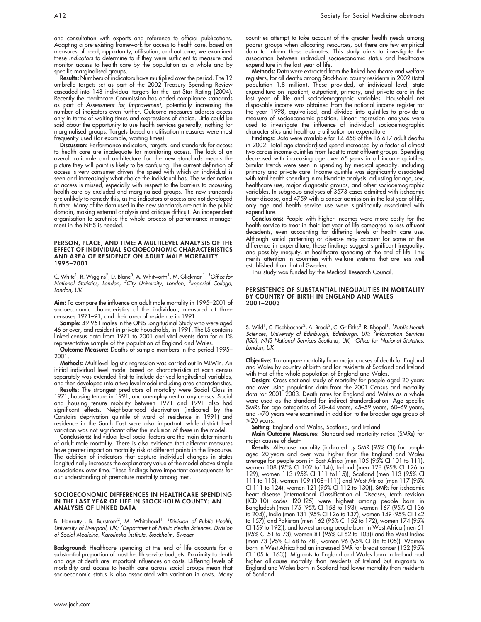and consultation with experts and reference to official publications. Adapting a pre-existing framework for access to health care, based on measures of need, opportunity, utilisation, and outcome, we examined these indicators to determine to if they were sufficient to measure and monitor access to health care by the population as a whole and by specific marginalised groups.

Results: Numbers of indicators have multiplied over the period. The 12 umbrella targets set as part of the 2002 Treasury Spending Review cascaded into 148 individual targets for the last Star Rating (2004). Recently the Healthcare Commission has added compliance standards as part of Assessment for Improvement, potentially increasing the number of indicators even further. Outcome measures address access only in terms of waiting times and expressions of choice. Little could be said about the opportunity to use health services generally, nothing for marginalised groups. Targets based on utilisation measures were most frequently used (for example, waiting times).

Discussion: Performance indicators, targets, and standards for access to health care are inadequate for monitoring access. The lack of an overall rationale and architecture for the new standards means the picture they will paint is likely to be confusing. The current definition of access is very consumer driven: the speed with which an individual is seen and increasingly what choice the individual has. The wider notion of access is missed, especially with respect to the barriers to accessing health care by excluded and marginalised groups. The new standards are unlikely to remedy this, as the indicators of access are not developed further. Many of the data used in the new standards are not in the public domain, making external analysis and critique difficult. An independent organisation to scrutinise the whole process of performance management in the NHS is needed.

#### PERSON, PLACE, AND TIME: A MULTILEVEL ANALYSIS OF THE EFFECT OF INDIVIDUAL SOCIOECONOMIC CHARACTERISTICS AND AREA OF RESIDENCE ON ADULT MALE MORTALITY 1995–2001

C. White<sup>1</sup>, R. Wiggins<sup>2</sup>, D. Blane<sup>3</sup>, A. Whitworth<sup>1</sup>, M. Glickman<sup>1</sup>. *<sup>1</sup> Office for* National Statistics, London, <sup>2</sup>City University, London, <sup>3</sup>Imperial College, London, UK

Aim: To compare the influence on adult male mortality in 1995–2001 of socioeconomic characteristics of the individual, measured at three censuses 1971–91, and their area of residence in 1991.

**Sample:** 49 951 males in the ONS Longitudinal Study who were aged 46 or over, and resident in private households, in 1991. The LS contains linked census data from 1971 to 2001 and vital events data for a 1% representative sample of the population of England and Wales.

Outcome Measure: Deaths of sample members in the period 1995– 2001.

Methods: Multilevel logistic regression was carried out in MLWin. An initial individual level model based on characteristics at each census separately was extended first to include derived longitudinal variables, and then developed into a two level model including area characteristics.

**Results:** The strongest predictors of mortality were Social Class in 1971, housing tenure in 1991, and unemployment at any census. Social and housing tenure mobility between 1971 and 1991 also had significant effects. Neighbourhood deprivation (indicated by the Carstairs deprivation quintile of ward of residence in 1991) and residence in the South East were also important, while district level variation was not significant after the inclusion of these in the model.

Conclusions: Individual level social factors are the main determinants of adult male mortality. There is also evidence that different measures have greater impact on mortality risk at different points in the lifecourse. The addition of indicators that capture individual changes in states longitudinally increases the explanatory value of the model above simple associations over time. These findings have important consequences for our understanding of premature mortality among men.

#### SOCIOECONOMIC DIFFERENCES IN HEALTHCARE SPENDING IN THE LAST YEAR OF LIFE IN STOCKHOLM COUNTY: AN ANALYSIS OF LINKED DATA

B. Hanratty<sup>1</sup>, B. Burström<sup>2</sup>, M. Whitehead<sup>1</sup>. <sup>1</sup>Division of Public Health,<br>University of Liverpool, UK; <sup>2</sup>Department of Public Health Sciences, Division of Social Medicine, Karolinska Institute, Stockholm, Sweden

**Background:** Healthcare spending at the end of life accounts for a substantial proportion of most health service budgets. Proximity to death and age at death are important influences on costs. Differing levels of morbidity and access to health care across social groups mean that socioeconomic status is also associated with variation in costs. Many countries attempt to take account of the greater health needs among poorer groups when allocating resources, but there are few empirical data to inform these estimates. This study aims to investigate the association between individual socioeconomic status and healthcare expenditure in the last year of life.

Methods: Data were extracted from the linked healthcare and welfare registers, for all deaths among Stockholm county residents in 2002 (total population 1.8 million). These provided, at individual level, state expenditure on inpatient, outpatient, primary, and private care in the last year of life and sociodemographic variables. Household net disposable income was obtained from the national income register for the year 1998, equivalised, and divided into quintiles to provide a measure of socioeconomic position. Linear regression analyses were used to investigate the influence of individual sociodemographic characteristics and healthcare utilisation on expenditure.

Findings: Data were available for 14 458 of the 16 617 adult deaths in 2002. Total age standardised spend increased by a factor of almost two across income quintiles from least to most affluent groups. Spending decreased with increasing age over 65 years in all income quintiles. Similar trends were seen in spending by medical specialty, including primary and private care. Income quintile was significantly associated with total health spending in multivariate analysis, adjusting for age, sex, healthcare use, major diagnostic groups, and other sociodemographic variables. In subgroup analyses of 3573 cases admitted with ischaemic heart disease, and 4759 with a cancer admission in the last year of life, only age and health service use were significantly associated with expenditure.

Conclusions: People with higher incomes were more costly for the health service to treat in their last year of life compared to less affluent decedents, even accounting for differing levels of health care use. Although social patterning of disease may account for some of the difference in expenditure, these findings suggest significant inequality, and possibly inequity, in healthcare spending at the end of life. This merits attention in countries with welfare systems that are less well established than that of Sweden.

This study was funded by the Medical Research Council.

#### PERSISTENCE OF SUBSTANTIAL INEQUALITIES IN MORTALITY BY COUNTRY OF BIRTH IN ENGLAND AND WALES 2001–2003

S. Wild<sup>1</sup>, C. Fischbacher<sup>2</sup>, A. Brock<sup>3</sup>, C. Griffiths<sup>3</sup>, R. Bhopal<sup>1</sup>. <sup>1</sup>Public Health Sciences, University of Edinburgh, Edinburgh, UK; <sup>2</sup>Information Services<br>(ISD), NHS National Services Scotland, UK; <sup>3</sup>Office for National Statistics, London, UK

Objective: To compare mortality from major causes of death for England and Wales by country of birth and for residents of Scotland and Ireland with that of the whole population of England and Wales.

Design: Cross sectional study of mortality for people aged 20 years and over using population data from the 2001 Census and mortality data for 2001–2003. Death rates for England and Wales as a whole were used as the standard for indirect standardisation. Age specific SMRs for age categories of 20–44 years, 45–59 years, 60–69 years, and ≥70 years were examined in addition to the broader age group of >20 years.

Setting: England and Wales, Scotland, and Ireland.

Main Outcome Measures: Standardised mortality ratios (SMRs) for major causes of death

Results: All-cause mortality (indicated by SMR (95% CI)) for people aged 20 years and over was higher than the England and Wales average for people born in East Africa (men 105 (95% CI 101 to 111), women 108 (95% CI 102 to114)), Ireland (men 128 (95% CI 126 to 129), women 113 (95% CI 111 to115)), Scotland (men 113 (95% CI 111 to 115), women 109 (108–111)) and West Africa (men 117 (95% CI 111 to 124), women 121 (95% CI 112 to 130)). SMRs for ischaemic heart disease (International Classification of Diseases, tenth revision (ICD–10) codes I20–I25) were highest among people born in Bangladesh (men 175 (95% CI 158 to 193), women 167 (95% CI 136 to 204)), India (men 131 (95% CI 126 to 137), women 149 (95% CI 142 to 157)) and Pakistan (men 162 (95% CI 152 to 172), women 174 (95% CI 159 to 192)), and lowest among people born in West Africa (men 61 (95% CI 51 to 73), women 81 (95% CI 62 to 103)) and the West Indies (men 73 (95% CI 68 to 78), women 96 (95% CI 88 to105)). Women born in West Africa had an increased SMR for breast cancer (132 (95% CI 105 to 163)). Migrants to England and Wales born in Ireland had higher all-cause mortality than residents of Ireland but migrants to England and Wales born in Scotland had lower mortality than residents of Scotland.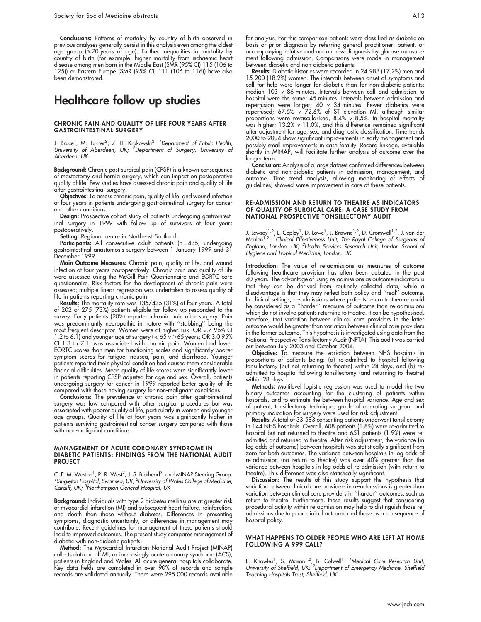Conclusions: Patterns of mortality by country of birth observed in previous analyses generally persist in this analysis even among the oldest age group (>70 years of age). Further inequalities in mortality by country of birth (for example, higher mortality from ischaemic heart disease among men born in the Middle East (SMR (95% CI) 115 (106 to 125)) or Eastern Europe (SMR (95% CI) 111 (106 to 116)) have also been demonstrated.

# Healthcare follow up studies

#### CHRONIC PAIN AND QUALITY OF LIFE FOUR YEARS AFTER GASTROINTESTINAL SURGERY

J. Bruce<sup>1</sup>, M. Turner<sup>2</sup>, Z. H. Krukowski<sup>2</sup>. *<sup>1</sup>Department of Public Health,* University of Aberdeen, UK; <sup>2</sup>Department of Surgery, University of Aberdeen, UK

Background: Chronic post-surgical pain (CPSP) is a known consequence of mastectomy and hernia surgery, which can impact on postoperative quality of life. Few studies have assessed chronic pain and quality of life after gastrointestinal surgery.

Objectives: To assess chronic pain, quality of life, and wound infection at four years in patients undergoing gastrointestinal surgery for cancer and other conditions.

Design: Prospective cohort study of patients undergoing gastrointestinal surgery in 1999 with follow up of survivors at four years postoperatively.

Setting: Regional centre in Northeast Scotland.

Participants: All consecutive adult patients (n=435) undergoing gastrointestinal anastomosis surgery between 1 January 1999 and 31 December 1999.

Main Outcome Measures: Chronic pain, quality of life, and wound infection at four years postoperatively. Chronic pain and quality of life were assessed using the McGill Pain Questionnaire and EORTC core questionnaire. Risk factors for the development of chronic pain were assessed; multiple linear regression was undertaken to assess quality of life in patients reporting chronic pain.

Results: The mortality rate was 135/435 (31%) at four years. A total of 202 of 275 (73%) patients eligible for follow up responded to the survey. Forty patients (20%) reported chronic pain after surgery. Pain was predominantly neuropathic in nature with ''stabbing'' being the most frequent descriptor. Women were at higher risk (OR 2.7 95% CI 1.2 to 6.1) and younger age at surgery ( $\leqslant$  65 v  $>$  65 years; OR 3.0 95% CI 1.3 to 7.1) was associated with chronic pain. Women had lower EORTC scores than men for functioning scales and significantly poorer symptom scores for fatigue, nausea, pain, and diarrhoea. Younger patients reported their physical condition had caused them considerable financial difficulties. Mean quality of life scores were significantly lower in patients reporting CPSP adjusted for age and sex. Overall, patients undergoing surgery for cancer in 1999 reported better quality of life compared with those having surgery for non-malignant conditions.

Conclusions: The prevalence of chronic pain after gastrointestinal surgery was low compared with other surgical procedures but was associated with poorer quality of life, particularly in women and younger age groups. Quality of life at four years was significantly higher in patients surviving gastrointestinal cancer surgery compared with those with non-malignant conditions.

#### MANAGEMENT OF ACUTE CORONARY SYNDROME IN DIABETIC PATIENTS: FINDINGS FROM THE NATIONAL AUDIT PROJECT

C. F. M. Weston<sup>1</sup>, R. R. West<sup>2</sup>, J. S. Birkhead<sup>3</sup>, and MINAP Steering Group.<br><sup>1</sup> Singleton Hospital, Sycansea, UK: <sup>2</sup> University of Wales Collage of Medicine Singleton Hospital, Swansea, UK; <sup>2</sup>University of Wales College of Medicine, Cardiff, UK; <sup>3</sup>Northampton General Hospital, UK

Background: Individuals with type 2 diabetes mellitus are at greater risk of myocardial infarction (MI) and subsequent heart failure, reinfarction, and death than those without diabetes. Differences in presenting symptoms, diagnostic uncertainly, or differences in management may contribute. Recent guidelines for management of these patients should lead to improved outcomes. The present study compares management of diabetic with non-diabetic patients.

Method: The Myocardial Infarction National Audit Project (MINAP) collects data on all MI, or increasingly acute coronary syndrome (ACS), patients in England and Wales. All acute general hospitals collaborate. Key data fields are completed in over 90% of records and sample records are validated annually. There were 295 000 records available

for analysis. For this comparison patients were classified as diabetic on basis of prior diagnosis by referring general practitioner, patient, or accompanying relative and not on new diagnosis by glucose measurement following admission. Comparisons were made in management between diabetic and non-diabetic patients.

Results: Diabetic histories were recorded in 24 983 (17.2%) men and 15 200 (18.2%) women. The intervals between onset of symptoms and call for help were longer for diabetic than for non-diabetic patients; median 103 v 86 minutes. Intervals between call and admission to hospital were the same; 45 minutes. Intervals between admission and reperfusion were longer; 40 v 34 minutes. Fewer diabetics were reperfused; 67.5% v 72.6% of ST elevation MI, although similar proportions were revascularised, 8.4% v 8.5%. In hospital mortality was higher; 13.2% v 11.0%, and this difference remained significant after adjustment for age, sex, and diagnostic classification. Time trends 2000 to 2004 show significant improvements in early management and possibly small improvements in case fatality. Record linkage, available shortly in MINAP, will facilitate further analysis of outcome over the longer term.

Conclusion: Analysis of a large dataset confirmed differences between diabetic and non-diabetic patients in admission, management, and outcome. Time trend analysis, allowing monitoring of effects of guidelines, showed some improvement in care of these patients.

#### RE-ADMISSION AND RETURN TO THEATRE AS INDICATORS OF QUALITY OF SURGICAL CARE: A CASE STUDY FROM NATIONAL PROSPECTIVE TONSILLECTOMY AUDIT

J. Lewsey<sup>1,2</sup>, L. Copley<sup>1</sup>, D. Lowe<sup>1</sup>, J. Browne<sup>1,2</sup>, D. Cromwell<sup>1,2</sup>, J. van der Meulen<sup>1,2</sup>. <sup>1</sup>Clinical Effectiveness Unit, The Royal College of Surgeons of England, London, UK; <sup>2</sup>Health Services Research Unit, London School of Hygiene and Tropical Medicine, London, UK

Introduction: The value of re-admissions as measures of outcome following healthcare provision has often been debated in the past 40 years. The advantage of using re-admissions as outcome indicators is that they can be derived from routinely collected data, while a disadvantage is that they may reflect both policy and ''real'' outcome. In clinical settings, re-admissions where patients return to theatre could be considered as a ''harder'' measure of outcome than re-admissions which do not involve patients returning to theatre. It can be hypothesised, therefore, that variation between clinical care providers in the latter outcome would be greater than variation between clinical care providers in the former outcome. This hypothesis is investigated using data from the National Prospective Tonsillectomy Audit (NPTA). This audit was carried out between July 2003 and October 2004.

**Objective:** To measure the variation between NHS hospitals in proportions of patients being: (a) re-admitted to hospital following tonsillectomy (but not returning to theatre) within 28 days, and (b) readmitted to hospital following tonsillectomy (and returning to theatre) within 28 days.

Methods: Multilevel logistic regression was used to model the two binary outcomes accounting for the clustering of patients within hospitals, and to estimate the between-hospital variance. Age and sex of patient, tonsillectomy technique, grade of operating surgeon, and primary indication for surgery were used for risk adjustment.

Results: A total of 33 583 consenting patients underwent tonsillectomy in 144 NHS hospitals. Overall, 608 patients (1.8%) were re-admitted to hospital but not returned to theatre and 651 patients (1.9%) were readmitted and returned to theatre. After risk adjustment, the variance (in log odds of outcome) between hospitals was statistically significant from zero for both outcomes. The variance between hospitals in log odds of re-admission (no return to theatre) was over 40% greater than the variance between hospitals in log odds of re-admission (with return to theatre). This difference was also statistically significant.

Discussion: The results of this study support the hypothesis that variation between clinical care providers in re-admissions is greater than variation between clinical care providers in ''harder'' outcomes, such as return to theatre. Furthermore, these results suggest that considering procedural activity within re-admission may help to distinguish those readmissions due to poor clinical outcome and those as a consequence of hospital policy.

#### WHAT HAPPENS TO OLDER PEOPLE WHO ARE LEFT AT HOME FOLLOWING A 999 CALL?

E. Knowles<sup>1</sup>, S. Mason<sup>1,2</sup>, B. Colwell<sup>1</sup>. <sup>1</sup>Medical Care Research Unit,<br>University of Sheffield, UK; <sup>2</sup>Department of Emergency Medicine, Sheffield Teaching Hospitals Trust, Sheffield, UK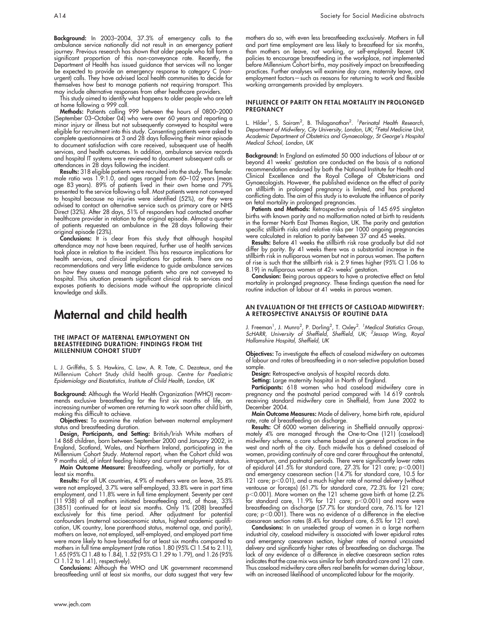Background: In 2003–2004, 37.3% of emergency calls to the ambulance service nationally did not result in an emergency patient journey. Previous research has shown that older people who fall form a significant proportion of this non-conveyance rate. Recently, the Department of Health has issued guidance that services will no longer be expected to provide an emergency response to category C (nonurgent) calls. They have advised local health communities to decide for themselves how best to manage patients not requiring transport. This may include alternative responses from other healthcare providers.

This study aimed to identify what happens to older people who are left at home following a 999 call.

Methods: Patients calling 999 between the hours of 0800–2000 (September 03–October 04) who were over 60 years and reporting a minor injury or illness but not subsequently conveyed to hospital were eligible for recruitment into this study. Consenting patients were asked to complete questionnaires at 3 and 28 days following their minor episode to document satisfaction with care received, subsequent use of health services, and health outcomes. In addition, ambulance service records and hospital IT systems were reviewed to document subsequent calls or attendances in 28 days following the incident.

Results: 318 eligible patients were recruited into the study. The female: male ratio was 1.9:1.0, and ages ranged from 60–102 years (mean age 83 years). 89% of patients lived in their own home and 79% presented to the service following a fall. Most patients were not conveyed to hospital because no injuries were identified (52%), or they were advised to contact an alternative service such as primary care or NHS Direct (32%). After 28 days, 51% of responders had contacted another healthcare provider in relation to the original episode. Almost a quarter of patients requested an ambulance in the 28 days following their original episode (23%).

Conclusions: It is clear from this study that although hospital attendance may not have been required, further use of health services took place in relation to the incident. This has resource implications for health services, and clinical implications for patients. There are no recommendations and very little evidence to guide ambulance services on how they assess and manage patients who are not conveyed to hospital. This situation presents significant clinical risk to services and exposes patients to decisions made without the appropriate clinical knowledge and skills.

### Maternal and child health

#### THE IMPACT OF MATERNAL EMPLOYMENT ON BREASTFEEDING DURATION: FINDINGS FROM THE MILLENNIUM COHORT STUDY

L. J. Griffiths, S. S. Hawkins, C. Law, A. R. Tate, C. Dezateux, and the Millennium Cohort Study child health group. Centre for Paediatric Epidemiology and Biostatistics, Institute of Child Health, London, UK

Background: Although the World Health Organization (WHO) recommends exclusive breastfeeding for the first six months of life, an increasing number of women are returning to work soon after child birth, making this difficult to achieve.

Objectives: To examine the relation between maternal employment status and breastfeeding duration.

Design, Participants, and Setting: British/Irish White mothers of 14 868 children, born between September 2000 and January 2002, in England, Scotland, Wales, and Northern Ireland, participating in the Millennium Cohort Study. Maternal report, when the Cohort child was 9 months old, of infant feeding history and current employment status.

**Main Outcome Measure:** Breastfeeding, wholly or partially, for at least six months.

**Results:** For all UK countries, 4.9% of mothers were on leave, 35.8% were not employed, 3.7% were self-employed, 33.8% were in part time employment, and 11.8% were in full time employment. Seventy per cent (11 938) of all mothers initiated breastfeeding and, of those, 33% (3851) continued for at least six months. Only 1% (208) breastfed exclusively for this time period. After adjustment for potential confounders (maternal socioeconomic status, highest academic qualification, UK country, lone parenthood status, maternal age, and parity), mothers on leave, not employed, self-employed, and employed part time were more likely to have breastfed for at least six months compared to mothers in full time employment (rate ratios 1.80 (95% CI 1.54 to 2.11), 1.65 (95% CI 1.48 to 1.84), 1.52 (95% CI 1.29 to 1.79), and 1.26 (95% CI 1.12 to 1.41), respectively).

Conclusions: Although the WHO and UK government recommend breastfeeding until at least six months, our data suggest that very few mothers do so, with even less breastfeeding exclusively. Mothers in full and part time employment are less likely to breastfeed for six months, than mothers on leave, not working, or self-employed. Recent UK policies to encourage breastfeeding in the workplace, not implemented before Millennium Cohort births, may positively impact on breastfeeding practices. Further analyses will examine day care, maternity leave, and employment factors—such as reasons for returning to work and flexible working arrangements provided by employers.

#### INFLUENCE OF PARITY ON FETAL MORTALITY IN PROLONGED **PREGNANCY**

L. Hilder<sup>1</sup>, S. Sairam<sup>2</sup>, B. Thilaganathan<sup>2</sup>. *<sup>1</sup>Perinatal Health Research,* Department of Midwifery, City University, London, UK; <sup>2</sup>Fetal Medicine Unit, Academic Department of Obstetrics and Gynaecology, St George's Hospital Medical School, London, UK

Background: In England an estimated 50 000 inductions of labour at or beyond 41 weeks' gestation are conducted on the basis of a national recommendation endorsed by both the National Institute for Health and Clinical Excellence and the Royal College of Obstetricians and Gynaecologists. However, the published evidence on the effect of parity on stillbirth in prolonged pregnancy is limited, and has produced conflicting data. The aim of this study is to evaluate the influence of parity on fetal mortality in prolonged pregnancies.

Patients and Methods: Retrospective analysis of 145 695 singleton births with known parity and no malformation noted at birth to residents in the former North East Thames Region, UK. The parity and gestation specific stillbirth risks and relative risks per 1000 ongoing pregnancies were calculated in relation to parity between 37 and 45 weeks.

Results: Before 41 weeks the stillbirth risk rose gradually but did not differ by parity. By 41 weeks there was a substantial increase in the stillbirth risk in nulliparous women but not in parous women. The pattern of rise is such that the stillbirth risk is 2.9 times higher (95% CI 1.06 to 8.19) in nulliparous women at 42+ weeks' gestation.

Conclusion: Being parous appears to have a protective effect on fetal mortality in prolonged pregnancy. These findings question the need for routine induction of labour at 41 weeks in parous women.

#### AN EVALUATION OF THE EFFECTS OF CASELOAD MIDWIFERY: A RETROSPECTIVE ANALYSIS OF ROUTINE DATA

J. Freeman<sup>1</sup>, J. Munro<sup>2</sup>, P. Dorling<sup>2</sup>, T. Oxley<sup>2</sup>. <sup>1</sup>Medical Statistics Group,<br>ScHARR, University of Sheffield, Sheffield, UK; <sup>2</sup>Jessop Wing, Royal Hallamshire Hospital, Sheffield, UK

Objectives: To investigate the effects of caseload midwifery on outcomes of labour and rates of breastfeeding in a non-selective population based sample.

Design: Retrospective analysis of hospital records data.

Setting: Large maternity hospital in North of England.

**Participants:** 618 women who had caseload midwifery care in pregnancy and the postnatal period compared with 14 619 controls receiving standard midwifery care in Sheffield, from June 2002 to December 2004.

Main Outcome Measures: Mode of delivery, home birth rate, epidural rate, rate of breastfeeding on discharge.

Results: Of 6000 women delivering in Sheffield annually approximately 4% are managed through the One-to-One (121) (caseload) midwifery scheme, a care scheme based at six general practices in the west and north of the city. Each midwife has a defined caseload of women, providing continuity of care and carer throughout the antenatal, intrapartum, and postnatal periods. There were significantly lower rates of epidural (41.5% for standard care, 27.3% for 121 care; p $<$ 0.001) and emergency caesarean section (14.7% for standard care, 10.5 for 121 care;  $p<0.01$ ), and a much higher rate of normal delivery (without ventouse or forceps) (61.7% for standard care, 72.3% for 121 care; p<0.001). More women on the 121 scheme gave birth at home (2.2% for standard care, 11.9% for 121 care; p<0.001) and more were breastfeeding on discharge (57.7% for standard care, 76.1% for 121 care;  $p<0.001$ ). There was no evidence of a difference in the elective caesarean section rates (8.4% for standard care, 6.5% for 121 care).

Conclusions: In an unselected group of women in a large northern industrial city, caseload midwifery is associated with lower epidural rates and emergency caesarean section, higher rates of normal unassisted delivery and significantly higher rates of breastfeeding on discharge. The lack of any evidence of a difference in elective caesarean section rates indicates that the case mix was similar for both standard care and 121 care. Thus caseload midwifery care offers real benefits for women during labour, with an increased likelihood of uncomplicated labour for the majority.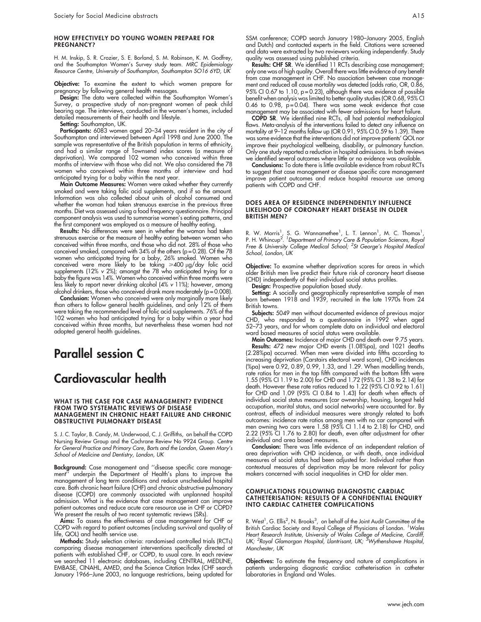#### HOW EFFECTIVELY DO YOUNG WOMEN PREPARE FOR PREGNANCY?

H. M. Inskip, S. R. Crozier, S. E. Borland, S. M. Robinson, K. M. Godfrey, and the Southampton Women's Survey study team. MRC Epidemiology Resource Centre, University of Southampton, Southampton SO16 6YD, UK

Objective: To examine the extent to which women prepare for pregnancy by following general health messages.

Design: The data were collected within the Southampton Women's Survey, a prospective study of non-pregnant women of peak child bearing age. The interviews, conducted in the women's homes, included detailed measurements of their health and lifestyle.

Setting: Southampton, UK.

Participants: 6083 women aged 20-34 years resident in the city of Southampton and interviewed between April 1998 and June 2000. The sample was representative of the British population in terms of ethnicity, and had a similar range of Townsend index scores (a measure of deprivation). We compared 102 women who conceived within three months of interview with those who did not. We also considered the 78 women who conceived within three months of interview and had anticipated trying for a baby within the next year.

Main Outcome Measures: Women were asked whether they currently smoked and were taking folic acid supplements, and if so the amount. Information was also collected about units of alcohol consumed and whether the woman had taken strenuous exercise in the previous three months. Diet was assessed using a food frequency questionnaire. Principal component analysis was used to summarise women's eating patterns, and the first component was employed as a measure of healthy eating.

Results: No differences were seen in whether the woman had taken strenuous exercise or the measure of healthy eating between women who conceived within three months, and those who did not. 28% of those who conceived smoked, compared with 34% of the others (p = 0.28). Of the 78 women who anticipated trying for a baby, 26% smoked. Women who conceived were more likely to be taking  $\geq 400$  µg/day folic acid supplements (12%  $v$  2%); amongst the 78 who anticipated trying for a baby the figure was 14%. Women who conceived within three months were less likely to report never drinking alcohol (4% v 11%); however, among alcohol drinkers, those who conceived drank more moderately ( $p = 0.008$ ).

Conclusion: Women who conceived were only marginally more likely than others to follow general health guidelines, and only 12% of them were taking the recommended level of folic acid supplements. 76% of the 102 women who had anticipated trying for a baby within a year had conceived within three months, but nevertheless these women had not adopted general health guidelines.

# Parallel session C

# Cardiovascular health

#### WHAT IS THE CASE FOR CASE MANAGEMENT? EVIDENCE FROM TWO SYSTEMATIC REVIEWS OF DISEASE MANAGEMENT IN CHRONIC HEART FAILURE AND CHRONIC OBSTRUCTIVE PULMONARY DISEASE

S. J. C. Taylor, B. Candy, M. Underwood, C. J. Griffiths, on behalf the COPD Nursing Review Group and the Cochrane Review No 9924 Group. Centre for General Practice and Primary Care, Barts and the London, Queen Mary's School of Medicine and Dentistry, London, UK

Background: Case management and "disease specific care management'' underpin the Department of Health's plans to improve the management of long term conditions and reduce unscheduled hospital care. Both chronic heart failure (CHF) and chronic obstructive pulmonary disease (COPD) are commonly associated with unplanned hospital admission. What is the evidence that case management can improve patient outcomes and reduce acute care resource use in CHF or COPD? We present the results of two recent systematic reviews (SRs).

Aims: To assess the effectiveness of case management for CHF or COPD with regard to patient outcomes (including survival and quality of life, QOL) and health service use.

Methods: Study selection criteria: randomised controlled trials (RCTs) comparing disease management interventions specifically directed at patients with established CHF, or COPD, to usual care. In each review we searched 11 electronic databases, including CENTRAL, MEDLINE, EMBASE, CINAHL, AMED, and the Science Citation Index (CHF search January 1966–June 2003, no language restrictions, being updated for

Results: CHF SR. We identified 11 RCTs describing case management; only one was of high quality. Overall there was little evidence of any benefit from case management in CHF. No association between case management and reduced all cause mortality was detected (odds ratio, OR, 0.86, 95% CI 0.67 to 1.10, p=0.23), although there was evidence of possible benefit when analysis was limited to better quality studies (OR 0.68, 95% CI 0.46 to 0.98,  $p = 0.04$ ). There was some weak evidence that case management may be associated with fewer admissions for heart failure.

COPD SR. We identified nine RCTs, all had potential methodological flaws. Meta-analysis of the interventions failed to detect any influence on mortality at 9-12 months follow up (OR 0.91, 95% CI 0.59 to 1.39). There was some evidence that the interventions did not improve patients' QOL nor improve their psychological wellbeing, disability, or pulmonary function. Only one study reported a reduction in hospital admissions. In both reviews we identified several outcomes where little or no evidence was available.

Conclusions: To date there is little available evidence from robust RCTs to suggest that case management or disease specific care management improve patient outcomes and reduce hospital resource use among patients with COPD and CHF.

#### DOES AREA OF RESIDENCE INDEPENDENTLY INFLUENCE LIKELIHOOD OF CORONARY HEART DISEASE IN OLDER BRITISH MEN?

R. W. Morris<sup>1</sup>, S. G. Wannamethee<sup>1</sup>, L. T. Lennon<sup>1</sup>, M. C. Thomas<sup>1</sup>,<br>P. H. Whincup<sup>2</sup>. <sup>1</sup>Department of Primary Care & Population Sciences, Royal Free & University College Medical School; <sup>2</sup>St George's Hospital Medical School, London, UK

Objective: To examine whether deprivation scores for areas in which older British men live predict their future risk of coronary heart disease (CHD) independently of their individual social status profiles.

Design: Prospective population based study.

**Setting:** A socially and geographically representative sample of men born between 1918 and 1939, recruited in the late 1970s from 24 British towns.

**Subjects:** 5049 men without documented evidence of previous major CHD, who responded to a questionnaire in 1992 when aged 52–73 years, and for whom complete data on individual and electoral ward based measures of social status were available.

Main Outcomes: Incidence of major CHD and death over 9.75 years. **Results:** 472 new major CHD events (1.08%pa), and 1021 deaths (2.28%pa) occurred. When men were divided into fifths according to increasing deprivation (Carstairs electoral ward score), CHD incidences (%pa) were 0.92, 0.89, 0.99, 1.33, and 1.29. When modelling trends, rate ratios for men in the top fifth compared with the bottom fifth were 1.55 (95% CI 1.19 to 2.00) for CHD and 1.72 (95% CI 1.38 to 2.14) for death. However these rate ratios reduced to 1.22 (95% CI 0.92 to 1.61) for CHD and 1.09 (95% CI 0.84 to 1.43) for death when effects of individual social status measures (car ownership, housing, longest held occupation, marital status, and social networks) were accounted for. By contrast, effects of individual measures were strongly related to both outcomes: incidence rate ratios among men with no car compared with men owning two cars were 1.58 (95% CI 1.14 to 2.18) for CHD, and 2.22 (95% CI 1.76 to 2.80) for death, even after adjustment for other individual and area based measures.

Conclusion: There was little evidence of an independent relation of area deprivation with CHD incidence, or with death, once individual measures of social status had been adjusted for. Individual rather than contextual measures of deprivation may be more relevant for policy makers concerned with social inequalities in CHD for older men.

#### COMPLICATIONS FOLLOWING DIAGNOSTIC CARDIAC CATHETERISATION: RESULTS OF A CONFIDENTIAL ENQUIRY INTO CARDIAC CATHETER COMPLICATIONS

R. West<sup>1</sup>, G. Ellis<sup>2</sup>, N. Brooks<sup>3</sup>, on behalf of the Joint Audit Committee of the British Cardiac Society and Royal College of Physicians of London. <sup>1</sup> Wales Heart Research Institute, University of Wales College of Medicine, Cardiff,<br>UK; <sup>2</sup>Royal Glamorgan Hospital, Llantrisant, UK; <sup>3</sup>Wythenshawe Hospital, Manchester, UK

Objectives: To estimate the frequency and nature of complications in patients undergoing diagnostic cardiac catheterisation in catheter laboratories in England and Wales.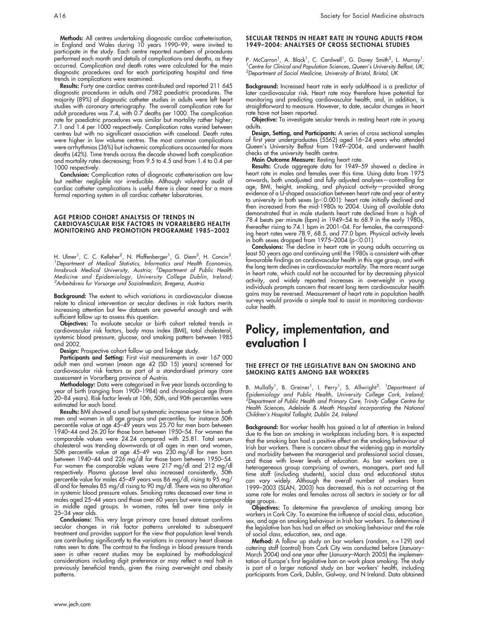Methods: All centres undertaking diagnostic cardiac catheterisation, in England and Wales during 10 years 1990–99, were invited to participate in the study. Each centre reported numbers of procedures performed each month and details of complications and deaths, as they occurred. Complication and death rates were calculated for the main diagnostic procedures and for each participating hospital and time trends in complications were examined.

Results: Forty one cardiac centres contributed and reported 211 645 diagnostic procedures in adults and 7582 paediatric procedures. The majority (89%) of diagnostic catheter studies in adults were left heart studies with coronary arteriography. The overall complication rate for adult procedures was 7.4, with 0.7 deaths per 1000. The complication rate for paediatric procedures was similar but mortality rather higher; 7.1 and 1.4 per 1000 respectively. Complication rates varied between centres but with no significant association with caseload. Death rates were higher in low volume centres. The most common complications were arrhythmias (36%) but ischaemic complications accounted for more deaths (42%). Time trends across the decade showed both complication and mortality rates decreasing; from 9.5 to 4.5 and from 1.4 to 0.4 per 1000 respectively.

Conclusion: Complication rates of diagnostic catheterisation are low but neither negligible nor irreducible. Although voluntary audit of cardiac catheter complications is useful there is clear need for a more formal reporting system in all cardiac catheter laboratories.

#### AGE PERIOD COHORT ANALYSIS OF TRENDS IN CARDIOVASCULAR RISK FACTORS IN VORARLBERG HEALTH MONITORING AND PROMOTION PROGRAMME 1985–2002

H. Ulmer<sup>1</sup>, C. C. Kelleher<sup>2</sup>, N. Pfaffenberger<sup>1</sup>, G. Diem<sup>3</sup>, H. Concin<sup>3</sup>.<br><sup>1</sup> Department of Medical Statistics Informatics and Health Economics Department of Medical Statistics, Informatics and Health Economics, Innsbruck Medical University, Austria; <sup>2</sup>Department of Public Health Medicine and Epidemiology, University College Dublin, Ireland; <sup>3</sup> Arbeitskreis fur Vorsorge und Sozialmedizin, Bregenz, Austria

Background: The extent to which variations in cardiovascular disease relate to clinical intervention or secular declines in risk factors merits increasing attention but few datasets are powerful enough and with sufficient follow up to assess this question.

Objectives: To evaluate secular or birth cohort related trends in cardiovascular risk factors, body mass index (BMI), total cholesterol, systemic blood pressure, glucose, and smoking pattern between 1985 and 2002.

Design: Prospective cohort follow up and linkage study.

Participants and Setting: First visit measurements in over 167 000 adult men and women (mean age 42 (SD 15) years) screened for cardiovascular risk factors as part of a standardised primary care assessment in Vorarlberg province of Austria.

Methodology: Data were categorised in five year bands according to year of birth (ranging from 1900–1984) and chronological age (from 20–84 years). Risk factor levels at 10th, 50th, and 90th percentiles were estimated for each band.

Results: BMI showed a small but systematic increase over time in both men and women in all age groups and percentiles; for instance 50th percentile value at age 45–49 years was 25.70 for men born between 1940–44 and 26.20 for those born between 1950–54. For women the comparable values were 24.24 compared with 25.81. Total serum cholesterol was trending downwards at all ages in men and women, 50th percentile value at age 45–49 was 230 mg/dl for men born between 1940–44 and 226 mg/dl for those born between 1950–54. For women the comparable values were 217 mg/dl and 212 mg/dl respectively. Plasma glucose level also increased consistently, 50th percentile value for males 45–49 years was 86 mg/dl, rising to 95 mg/ dl and for females 85 mg/dl rising to 90 mg/dl. There was no alteration in systemic blood pressure values. Smoking rates deceased over time in males aged 25–44 years and those over 60 years but were comparable in middle aged groups. In women, rates fell over time only in 25–34 year olds.

Conclusions: This very large primary care based dataset confirms secular changes in risk factor patterns unrelated to subsequent treatment and provides support for the view that population level trends are contributing significantly to the variations in coronary heart disease rates seen to date. The contrast to the findings in blood pressure trends seen in other recent studies may be explained by methodological considerations including digit preference or may reflect a real halt in previously beneficial trends, given the rising overweight and obesity patterns.

#### SECULAR TRENDS IN HEART RATE IN YOUNG ADULTS FROM 1949–2004: ANALYSES OF CROSS SECTIONAL STUDIES

P. McCarron<sup>1</sup>, A. Black<sup>1</sup>, C. Cardwell<sup>1</sup>, G. Davey Smith<sup>2</sup>, L. Murray<sup>1</sup>.<br><sup>1</sup> Centre for Clinical and Population Sciences. Queen's University Belfast UK: Centre for Clinical and Population Sciences, Queen's University Belfast, UK; <sup>2</sup>Department of Social Medicine, University of Bristol, Bristol, UK

Background: Increased heart rate in early adulthood is a predictor of later cardiovascular risk. Heart rate may therefore have potential for monitoring and predicting cardiovascular health, and, in addition, is straightforward to measure. However, to date, secular changes in heart rate have not been reported.

Objective: To investigate secular trends in resting heart rate in young adults.

**Design, Setting, and Participants:** A series of cross sectional samples of first year undergraduates (5562) aged 16–24 years who attended Queen's University Belfast from 1949–2004, and underwent health checks at the university health centre.

Main Outcome Measure: Resting heart rate.

Results: Crude aggregate data for 1949–59 showed a decline in heart rate in males and females over this time. Using data from 1975 onwards, both unadjusted and fully adjusted analyses—controlling for age, BMI, height, smoking, and physical activity—provided strong evidence of a U-shaped association between heart rate and year of entry to university in both sexes ( $p<$  0.001): heart rate initially declined and then increased from the mid-1980s to 2004. Using all available data demonstrated that in male students heart rate declined from a high of 78.4 beats per minute (bpm) in 1949–54 to 68.9 in the early 1980s, thereafter rising to 74.1 bpm in 2001–04. For females, the corresponding heart rates were 78.9, 68.5, and 77.0 bpm. Physical activity levels in both sexes dropped from  $1975-2004$  (p $< 0.01$ ).

Conclusions: The decline in heart rate in young adults occurring as least 50 years ago and continuing until the 1980s is consistent with other favourable findings on cardiovascular health in this age group, and with the long term declines in cardiovascular mortality. The more recent surge in heart rate, which could not be accounted for by decreasing physical activity, and widely reported increases in overweight in young individuals prompts concern that recent long term cardiovascular health gains may be reversed. Measurement of heart rate in population health surveys would provide a simple tool to assist in monitoring cardiovascular health.

### Policy, implementation, and evaluation I

#### THE EFFECT OF THE LEGISLATIVE BAN ON SMOKING AND SMOKING RATES AMONG BAR WORKERS

B. Mullally<sup>1</sup>, B. Greiner<sup>1</sup>, I. Perry<sup>1</sup>, S. Allwright<sup>2</sup>. *<sup>1</sup>Department of* Epidemiology and Public Health, University College Cork, Ireland;<br><sup>2</sup>Department of Public Health and Primary Care, Trinity College Centre for Health Sciences, Adelaide & Meath Hospital incorporating the National Children's Hospital Tallaght, Dublin 24, Ireland

Background: Bar worker health has gained a lot of attention in Ireland due to the ban on smoking in workplaces including bars. It is expected that the smoking ban had a positive effect on the smoking behaviour of Irish bar workers. There is concern about the widening gap in mortality and morbidity between the managerial and professional social classes, and those with lower levels of education. As bar workers are a heterogeneous group comprising of owners, managers, part and full time staff (including students), social class and educational status can vary widely. Although the overall number of smokers from<br>1999–2003 (SLAN, 2003) has decreased, this is not occurring at the same rate for males and females across all sectors in society or for all age groups.

Objectives: To determine the prevalence of smoking among bar workers in Cork City. To examine the influence of social class, education, sex, and age on smoking behaviour in Irish bar workers. To determine if the legislative ban has had an effect on smoking behaviour and the role of social class, education, sex, and age.

Method: A follow up study on bar workers (random,  $n = 129$ ) and catering staff (control) from Cork City was conducted before (January– March 2004) and one year after (January–March 2005) the implementation of Europe's first legislative ban on work place smoking. The study is part of a larger national study on bar workers' health, including participants from Cork, Dublin, Galway, and N Ireland. Data obtained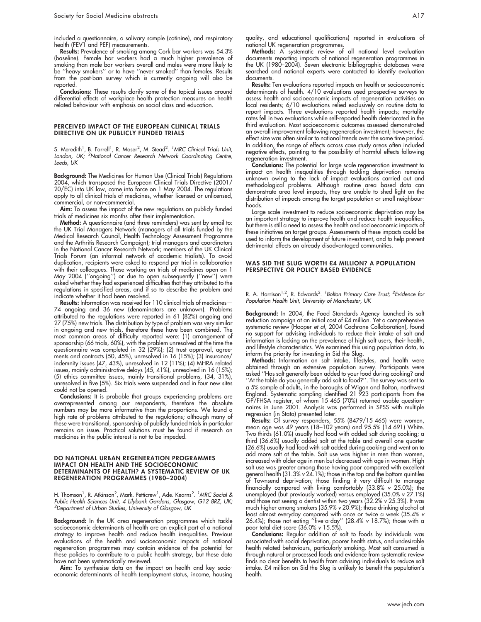included a questionnaire, a salivary sample (cotinine), and respiratory health (FEV1 and PEF) measurements.

Results: Prevalence of smoking among Cork bar workers was 54.3% (baseline). Female bar workers had a much higher prevalence of smoking than male bar workers overall and males were more likely to be ''heavy smokers'' or to have ''never smoked'' than females. Results from the post-ban survey which is currently ongoing will also be reported.

Conclusions: These results clarify some of the topical issues around differential effects of workplace health protection measures on health related behaviour with emphasis on social class and education.

#### PERCEIVED IMPACT OF THE EUROPEAN CLINICAL TRIALS DIRECTIVE ON UK PUBLICLY FUNDED TRIALS

S. Meredith<sup>1</sup>, B. Farrell<sup>1</sup>, R. Moser<sup>2</sup>, M. Stead<sup>2</sup>. <sup>1</sup>MRC Clinical Trials Unit, London, UK; <sup>2</sup>National Cancer Research Network Coordinating Centre, Leeds, UK

Background: The Medicines for Human Use (Clinical Trials) Regulations 2004, which transposed the European Clinical Trials Directive (2001/ 20/EC) into UK law, came into force on 1 May 2004. The regulations apply to all clinical trials of medicines, whether licensed or unlicensed, commercial, or non-commercial.

Aim: To assess the impact of the new regulations on publicly funded trials of medicines six months after their implementation.

Method: A questionnaire (and three reminders) was sent by email to: the UK Trial Managers Network (managers of all trials funded by the Medical Research Council, Health Technology Assessment Programme and the Arthritis Research Campaign); trial managers and coordinators in the National Cancer Research Network; members of the UK Clinical Trials Forum (an informal network of academic trialists). To avoid duplication, recipients were asked to respond per trial in collaboration with their colleagues. Those working on trials of medicines open on 1 May 2004 (''ongoing'') or due to open subsequently (''new'') were asked whether they had experienced difficulties that they attributed to the regulations in specified areas, and if so to describe the problem and indicate whether it had been resolved.

Results: Information was received for 110 clinical trials of medicines-74 ongoing and 36 new (denominators are unknown). Problems attributed to the regulations were reported in 61 (82%) ongoing and 27 (75%) new trials. The distribution by type of problem was very similar in ongoing and new trials, therefore these have been combined. The most common areas of difficulty reported were: (1) arrangement of sponsorship (66 trials, 60%), with the problem unresolved at the time the questionnaire was completed in 32 (29%); (2) trust approval, agreements and contracts (50, 45%), unresolved in 16 (15%); (3) insurance/ indemnity issues (47, 43%), unresolved in 12 (11%); (4) MHRA related issues, mainly administrative delays (45, 41%), unresolved in 16 (15%); (5) ethics committee issues, mainly transitional problems, (34, 31%), unresolved in five (5%). Six trials were suspended and in four new sites could not be opened.

Conclusions: It is probable that groups experiencing problems are overrepresented among our respondents, therefore the absolute numbers may be more informative than the proportions. We found a high rate of problems attributed to the regulations; although many of these were transitional, sponsorship of publicly funded trials in particular remains an issue. Practical solutions must be found if research on medicines in the public interest is not to be impeded.

#### DO NATIONAL URBAN REGENERATION PROGRAMMES IMPACT ON HEALTH AND THE SOCIOECONOMIC DETERMINANTS OF HEALTH? A SYSTEMATIC REVIEW OF UK REGENERATION PROGRAMMES (1980–2004)

H. Thomson<sup>1</sup>, R. Atkinson<sup>2</sup>, Mark. Petticrew<sup>1</sup>, Ade. Kearns<sup>2</sup>. <sup>1</sup>MRC Social & Public Health Sciences Unit, 4 Lilybank Gardens, Glasgow, G12 8RZ, UK; <sup>2</sup>Department of Urban Studies, University of Glasgow, UK

Background: In the UK area regeneration programmes which tackle socioeconomic determinants of health are an explicit part of a national strategy to improve health and reduce health inequalities. Previous evaluations of the health and socioeconomic impacts of national regeneration programmes may contain evidence of the potential for these policies to contribute to a public health strategy, but these data have not been systematically reviewed.

Aim: To synthesise data on the impact on health and key socioeconomic determinants of health (employment status, income, housing quality, and educational qualifications) reported in evaluations of national UK regeneration programmes.

Methods: A systematic review of all national level evaluation documents reporting impacts of national regeneration programmes in the UK (1980–2004). Seven electronic bibliographic databases were searched and national experts were contacted to identify evaluation documents.

Results: Ten evaluations reported impacts on health or socioeconomic determinants of health. 4/10 evaluations used prospective surveys to assess health and socioeconomic impacts of regeneration activities on local residents; 6/10 evaluations relied exclusively on routine data to report impacts. Three evaluations reported health impacts; mortality rates fell in two evaluations while self-reported health deteriorated in the third evaluation. Most socioeconomic outcomes assessed demonstrated an overall improvement following regeneration investment; however, the effect size was often similar to national trends over the same time period. In addition, the range of effects across case study areas often included negative effects, pointing to the possibility of harmful effects following regeneration investment.

Conclusions: The potential for large scale regeneration investment to impact on health inequalities through tackling deprivation remains unknown owing to the lack of impact evaluations carried out and methodological problems. Although routine area based data can demonstrate area level impacts, they are unable to shed light on the distribution of impacts among the target population or small neighbourhoods.

Large scale investment to reduce socioeconomic deprivation may be an important strategy to improve health and reduce health inequalities, but there is still a need to assess the health and socioeconomic impacts of these initiatives on target groups. Assessments of these impacts could be used to inform the development of future investment, and to help prevent detrimental effects on already disadvantaged communities.

#### WAS SID THE SLUG WORTH £4 MILLION? A POPULATION PERSPECTIVE OR POLICY BASED EVIDENCE

R. A. Harrison<sup>1,2</sup>, R. Edwards<sup>2</sup>. <sup>1</sup>Bolton Primary Care Trust; <sup>2</sup>Evidence for Population Health Unit, University of Manchester, UK

Background: In 2004, the Food Standards Agency launched its salt reduction campaign at an initial cost of £4 million. Yet a comprehensive systematic review (Hooper et al, 2004 Cochrane Collaboration), found no support for advising individuals to reduce their intake of salt and information is lacking on the prevalence of high salt users, their health, and lifestyle characteristics. We examined this using population data, to inform the priority for investing in Sid the Slug.

Methods: Information on salt intake, lifestyles, and health were obtained through an extensive population survey. Participants were asked ''Has salt generally been added to your food during cooking? and ''At the table do you generally add salt to food?''. The survey was sent to a 5% sample of adults, in the boroughs of Wigan and Bolton, northwest England. Systematic sampling identified 21 923 participants from the GP/FHSA register, of whom 15 465 (70%) returned usable questionnaires in June 2001. Analysis was performed in SPSS with multiple regression (in Stata) presented later.

Results: Of survey responders, 55% (8479/15 465) were women, mean age was 49 years (18–102 years) and 95.5% (14 691) White. Two thirds (61.0%) usually had food with added salt during cooking; a third (36.6%) usually added salt at the table and overall one quarter (26.6%) usually had food with salt added during cooking and went on to add more salt at the table. Salt use was higher in men than women, increased with older age in men but decreased with age in women. High salt use was greater among those having poor compared with excellent general health (31.3% v 24.1%); those in the top and the bottom quintiles of Townsend deprivation; those finding it very difficult to manage financially compared with living comfortably (33.8% v 25.0%); the unemployed (but previously worked) versus employed (35.0% v 27.1%) and those not seeing a dentist within two years (32.2% v 25.3%). It was much higher among smokers (35.9% v 20.9%); those drinking alcohol at least almost everyday compared with once or twice a week (35.4% v 26.4%); those not eating ''five-a-day'' (28.4% v 18.7%); those with a poor total diet score (36.0% v 15.5%).

Conclusions: Regular addition of salt to foods by individuals was associated with social deprivation, poorer health status, and undesirable health related behaviours, particularly smoking. Most salt consumed is through natural or processed foods and evidence from systematic review finds no clear benefits to health from advising individuals to reduce salt intake. £4 million on Sid the Slug is unlikely to benefit the population's health.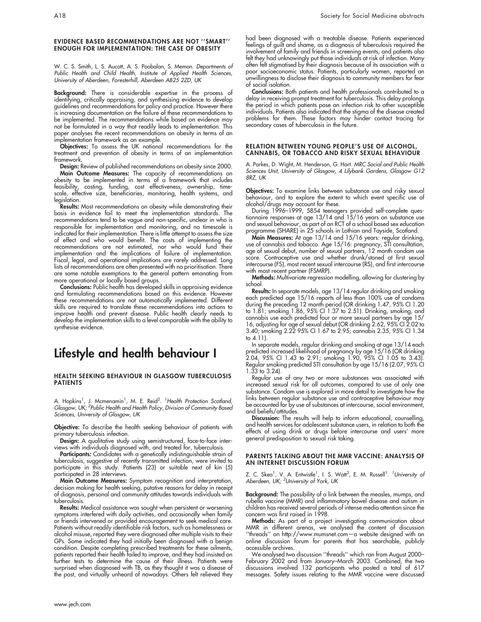#### EVIDENCE BASED RECOMMENDATIONS ARE NOT ''SMART'' ENOUGH FOR IMPLEMENTATION: THE CASE OF OBESITY

W. C. S. Smith, L. S. Aucott, A. S. Poobalan, S. Memon. *Departments of* Public Health and Child Health, Institute of Applied Health Sciences, University of Aberdeen, Foresterhill, Aberdeen AB25 2ZD, UK

Background: There is considerable expertise in the process of identifying, critically appraising, and synthesising evidence to develop guidelines and recommendations for policy and practice. However there is increasing documentation on the failure of these recommendations to be implemented. The recommendations while based on evidence may not be formulated in a way that readily leads to implementation. This paper analyses the recent recommendations on obesity in terms of an implementation framework as an example.

Objectives: To assess the UK national recommendations for the treatment and prevention of obesity in terms of an implementation framework.

Design: Review of published recommendations on obesity since 2000. Main Outcome Measures: The capacity of recommendations on obesity to be implemented in terms of  $\alpha$  framework that includes feasibility, costing, funding, cost effectiveness, ownership, timescale, effective size, beneficiaries, monitoring, health systems, and legislation.

Results: Most recommendations on obesity while demonstrating their basis in evidence fail to meet the implementation standards. The recommendations tend to be vague and non-specific, unclear in who is responsible for implementation and monitoring, and no timescale is indicated for their implementation. There is little attempt to assess the size of effect and who would benefit. The costs of implementing the recommendations are not estimated, nor who would fund their implementation and the implications of failure of implementation. Fiscal, legal, and operational implications are rarely addressed. Long lists of recommendations are often presented with no prioritisation. There are some notable exemptions to the general pattern emanating from more operational or locally based groups.

Conclusions: Public health has developed skills in appraising evidence and formulating recommendations based on this evidence. However these recommendations are not automatically implemented. Different skills are required to translate these recommendations into actions to improve health and prevent disease. Public health clearly needs to develop the implementation skills to a level comparable with the ability to synthesise evidence.

# Lifestyle and health behaviour I

#### HEALTH SEEKING BEHAVIOUR IN GLASGOW TUBERCULOSIS PATIENTS

A. Hopkins<sup>1</sup>, J. Mcmenamin<sup>1</sup>, M. E. Reid<sup>2</sup>. <sup>1</sup>Health Protection Scotland, Glasgow, UK; <sup>2</sup>Public Health and Health Policy, Division of Community Based Sciences, University of Glasgow, UK

Objective: To describe the health seeking behaviour of patients with primary tuberculosis infection.

**Design:** A qualitative study using semistructured, face-to-face interviews with individuals diagnosed with, and treated for, tuberculosis.

Participants: Candidates with a genetically indistinguishable strain of tuberculosis, suggestive of recently transmitted infection, were invited to participate in this study. Patients (23) or suitable next of kin (5) participated in 28 interviews.

**Main Outcome Measures:** Symptom recognition and interpretation, decision making for health seeking, putative reasons for delay in receipt of diagnosis, personal and community attitudes towards individuals with tuberculosis.

Results: Medical assistance was sought when persistent or worsening symptoms interfered with daily activities, and occasionally when family or friends intervened or provided encouragement to seek medical care. Patients without readily identifiable risk factors, such as homelessness or alcohol misuse, reported they were diagnosed after multiple visits to their GPs. Some indicated they had initially been diagnosed with a benign condition. Despite completing prescribed treatments for these ailments, patients reported their health failed to improve, and they had insisted on further tests to determine the cause of their illness. Patients were surprised when diagnosed with TB, as they thought it was a disease of the past, and virtually unheard of nowadays. Others felt relieved they

Conclusions: Both patients and health professionals contributed to a delay in receiving prompt treatment for tuberculosis. This delay prolongs the period in which patients pose an infection risk to other susceptible individuals. Patients also indicated that the stigma of the disease created problems for them. These factors may hinder contact tracing for secondary cases of tuberculosis in the future.

#### RELATION BETWEEN YOUNG PEOPLE'S USE OF ALCOHOL, CANNABIS, OR TOBACCO AND RISKY SEXUAL BEHAVIOUR

A. Parkes, D. Wight, M. Henderson, G. Hart. MRC Social and Public Health Sciences Unit, University of Glasgow, 4 Lilybank Gardens, Glasgow G12 8RZ, UK

Objectives: To examine links between substance use and risky sexual behaviour, and to explore the extent to which event specific use of alcohol/drugs may account for these.

During 1996–1999, 5854 teenagers provided self-complete questionnaire responses at age 13/14 and 15/16 years on substance use and sexual behaviour, as part of an RCT of a school based sex education programme (SHARE) in 25 schools in Lothian and Tayside, Scotland.

Main Measures: At age 13/14 and 15/16 years: regular drinking, use of cannabis and tobacco. Age 15/16: pregnancy, STI consultation, age of sexual debut, number of sexual partners, 12 month condom use score. Contraceptive use and whether drunk/stoned at first sexual intercourse (FS), most recent sexual intercourse (RS), and first intercourse with most recent partner (FSMRP).

Methods: Multivariate regression modelling, allowing for clustering by school.

**Results:** In separate models, age 13/14 regular drinking and smoking each predicted age 15/16 reports of less than 100% use of condoms during the preceding 12 month period (OR drinking 1.47, 95% CI 1.20 to 1.81; smoking 1.86, 95% CI 1.37 to 2.51). Drinking, smoking, and cannabis use each predicted four or more sexual partners by age 15/ 16, adjusting for age of sexual debut (OR drinking 2.62, 95% CI 2.02 to 3.40; smoking 2.22 95% CI 1.67 to 2.95; cannabis 2.35, 95% CI 1.34 to 4.11).

In separate models, regular drinking and smoking at age 13/14 each predicted increased likelihood of pregnancy by age 15/16 (OR drinking 2.04, 95% CI 1.43 to 2.91; smoking 1.90, 95% CI 1.05 to 3.43). Regular smoking predicted STI consultation by age 15/16 (2.07, 95% CI 1.33 to 3.24).

Regular use of any two or more substances was associated with increased sexual risk for all outcomes, compared to use of only one substance. Condom use is explored in more detail to investigate how the links between regular substance use and contraceptive behaviour may be accounted for by use of substances at intercourse, social environment, and beliefs/attitudes.

Discussion: The results will help to inform educational, counselling, and health services for adolescent substance users, in relation to both the effects of using drink or drugs before intercourse and users' more general predisposition to sexual risk taking.

#### PARENTS TALKING ABOUT THE MMR VACCINE: ANALYSIS OF AN INTERNET DISCUSSION FORUM

Z. C. Skea<sup>1</sup>, V. A. Entwistle<sup>1</sup>, I. S. Watt<sup>2</sup>, E. M. Russell<sup>1</sup>. *<sup>1</sup>University of* Aberdeen, UK; <sup>2</sup>University of York, UK

Background: The possibility of a link between the measles, mumps, and rubella vaccine (MMR) and inflammatory bowel disease and autism in children has received several periods of intense media attention since the concern was first raised in 1998.

Methods: As part of a project investigating communication about MMR in different arenas, we analysed the content of discussion ''threads'' on http://www.mumsnet.com—a website designed with an online discussion forum for parents that has searchable, publicly accessible archives.

We analysed two discussion ''threads'' which ran from August 2000– February 2002 and from January–March 2003. Combined, the two discussions involved 132 participants who posted a total of 617 messages. Safety issues relating to the MMR vaccine were discussed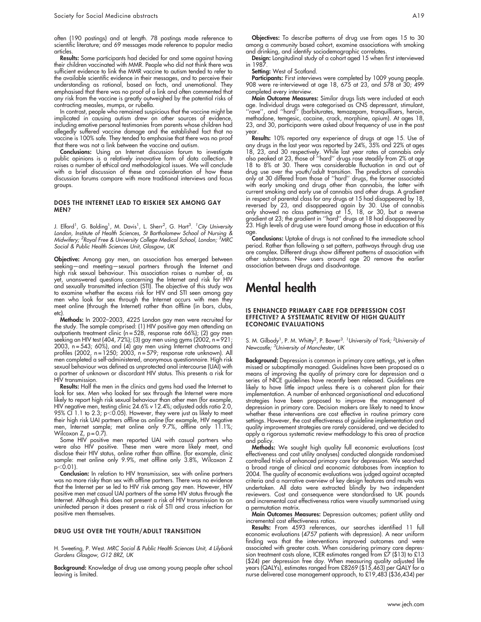often (190 postings) and at length. 78 postings made reference to scientific literature; and 69 messages made reference to popular media articles.

Results: Some participants had decided for and some against having their children vaccinated with MMR. People who did not think there was sufficient evidence to link the MMR vaccine to autism tended to refer to the available scientific evidence in their messages, and to perceive their understanding as rational, based on facts, and unemotional. They emphasised that there was no proof of a link and often commented that any risk from the vaccine is greatly outweighed by the potential risks of contracting measles, mumps, or rubella.

In contrast, people who remained suspicious that the vaccine might be implicated in causing autism drew on other sources of evidence, including emotive personal testimonies from parents whose children had allegedly suffered vaccine damage and the established fact that no vaccine is 100% safe. They tended to emphasise that there was no proof that there was not a link between the vaccine and autism.

Conclusions: Using an Internet discussion forum to investigate public opinions is a relatively innovative form of data collection. It raises a number of ethical and methodological issues. We will conclude with a brief discussion of these and consideration of how these discussion forums compare with more traditional interviews and focus groups.

#### DOES THE INTERNET LEAD TO RISKIER SEX AMONG GAY MEN?

J. Elford<sup>1</sup>, G. Bolding<sup>1</sup>, M. Davis<sup>1</sup>, L. Sherr<sup>2</sup>, G. Hart<sup>3</sup>. <sup>1</sup>City University London, Institute of Health Sciences, St Bartholomew School of Nursing & Midwifery; <sup>2</sup>Royal Free & University College Medical School, London; <sup>3</sup>MRC Social & Public Health Sciences Unit, Glasgow, UK

Objective: Among gay men, an association has emerged between seeking—and meeting—sexual partners through the Internet and high risk sexual behaviour. This association raises a number of, as yet, unanswered questions concerning the Internet and risk for HIV and sexually transmitted infection (STI). The objective of this study was to examine whether the excess risk for HIV and STI seen among gay men who look for sex through the Internet occurs with men they meet online (through the Internet) rather than offline (in bars, clubs, etc).

Methods: In 2002–2003, 4225 London gay men were recruited for the study. The sample comprised: (1) HIV positive gay men attending an outpatients treatment clinic (n = 528, response rate 66%); (2) gay men seeking an HIV test (404, 72%); (3) gay men using gyms (2002,  $n = 921$ ; 2003, n = 543; 60%), and (4) gay men using Internet chatrooms and profiles (2002, n = 1250; 2003, n = 579; response rate unknown). All men completed a self-administered, anonymous questionnaire. High risk sexual behaviour was defined as unprotected anal intercourse (UAI) with a partner of unknown or discordant HIV status. This presents a risk for HIV transmission.

Results: Half the men in the clinics and gyms had used the Internet to look for sex. Men who looked for sex through the Internet were more likely to report high risk sexual behaviour than other men (for example, HIV negative men, testing clinic 24.6% v 12.4%; adjusted odds ratio 2.0, 95% CI 1.1 to 2.3; p $<$ 0.05). However, they were just as likely to meet their high risk UAI partners offline as online (for example, HIV negative men, Internet sample; met online only 9.7%, offline only 11.1%; Wilcoxon  $Z$ ,  $p = 0.7$ ).

Some HIV positive men reported UAI with casual partners who were also HIV positive. These men were more likely meet, and disclose their HIV status, online rather than offline. (for example, clinic sample: met online only 9.9%, met offline only 3.8%, Wilcoxon Z  $p<0.01$ ).

Conclusion: In relation to HIV transmission, sex with online partners was no more risky than sex with offline partners. There was no evidence that the Internet per se led to HIV risk among gay men. However, HIV positive men met casual UAI partners of the same HIV status through the Internet. Although this does not present a risk of HIV transmission to an uninfected person it does present a risk of STI and cross infection for positive men themselves.

#### DRUG USE OVER THE YOUTH/ADULT TRANSITION

H. Sweeting, P. West. MRC Social & Public Health Sciences Unit, 4 Lilybank Gardens Glasgow, G12 8RZ, UK

Background: Knowledge of drug use among young people after school leaving is limited.

Objectives: To describe patterns of drug use from ages 15 to 30 among a community based cohort, examine associations with smoking and drinking, and identify sociodemographic correlates.

Design: Longitudinal study of a cohort aged 15 when first interviewed in 1987.

Setting: West of Scotland.

Participants: First interviews were completed by 1009 young people. 908 were re-interviewed at age 18, 675 at 23, and 578 at 30; 499 completed every interview.

Main Outcome Measures: Similar drugs lists were included at each age. Individual drugs were categorised as CNS depressant, stimulant, ''rave'', and ''hard'' (barbiturates, temazepam, tranquillisers, heroin, methadone, temgesic, cocaine, crack, morphine, opium). At ages 18, 23, and 30, participants were asked about frequency of use in the past year.

**Results:** 10% reported any experience of drugs at age 15. Use of any drugs in the last year was reported by 24%, 35% and 22% at ages 18, 23, and 30 respectively. While last year rates of cannabis only also peaked at 23, those of ''hard'' drugs rose steadily from 2% at age 18 to 8% at 30. There was considerable fluctuation in and out of drug use over the youth/adult transition. The predictors of cannabis only at 30 differed from those of ''hard'' drugs, the former associated with early smoking and drugs other than cannabis, the latter with current smoking and early use of cannabis and other drugs. A gradient in respect of parental class for any drugs at 15 had disappeared by 18, reversed by 23, and disappeared again by 30. Use of cannabis only showed no class patterning at 15, 18, or 30, but a reverse gradient at 23; the gradient in ''hard'' drugs at 18 had disappeared by 23. High levels of drug use were found among those in education at this age.

**Conclusions:** Uptake of drugs is not confined to the immediate school period. Rather than following a set pattern, pathways through drug use are complex. Different drugs show different patterns of association with other substances. New users around age 20 remove the earlier association between drugs and disadvantage.

# Mental health

#### IS ENHANCED PRIMARY CARE FOR DEPRESSION COST EFFECTIVE? A SYSTEMATIC REVIEW OF HIGH QUALITY ECONOMIC EVALUATIONS

S. M. Gilbody<sup>1</sup>, P. M. Whitty<sup>2</sup>, P. Bower<sup>3</sup>. *<sup>1</sup>University of York; <sup>2</sup>University of* Newcastle; <sup>3</sup>University of Manchester, UK

**Background:** Depression is common in primary care settings, yet is often missed or suboptimally managed. Guidelines have been proposed as a means of improving the quality of primary care for depression and a series of NICE guidelines have recently been released. Guidelines are likely to have little impact unless there is a coherent plan for their implementation. A number of enhanced organisational and educational strategies have been proposed to improve the management of depression in primary care. Decision makers are likely to need to know whether these interventions are cost effective in routine primary care settings. However, the cost effectiveness of guideline implementation and quality improvement strategies are rarely considered, and we decided to apply a rigorous systematic review methodology to this area of practice and policy.

Methods: We sought high quality full economic evaluations (cost effectiveness and cost utility analyses) conducted alongside randomised controlled trials of enhanced primary care for depression. We searched a broad range of clinical and economic databases from inception to 2004. The quality of economic evaluations was judged against accepted criteria and a narrative overview of key design features and results was undertaken. All data were extracted blindly by two independent reviewers. Cost and consequence were standardised to UK pounds and incremental cost effectiveness ratios were visually summarised using a permutation matrix.

**Main Outcomes Measures:** Depression outcomes; patient utility and incremental cost effectiveness ratios.

Results: From 4593 references, our searches identified 11 full economic evaluations (4757 patients with depression). A near uniform finding was that the interventions improved outcomes and were associated with greater costs. When considering primary care depression treatment costs alone, ICER estimates ranged from £7 (\$13) to £13 (\$24) per depression free day. When measuring quality adjusted life years (QALYs), estimates ranged from £8269 (\$15,463) per QALY for a nurse delivered case management approach, to £19,483 (\$36,434) per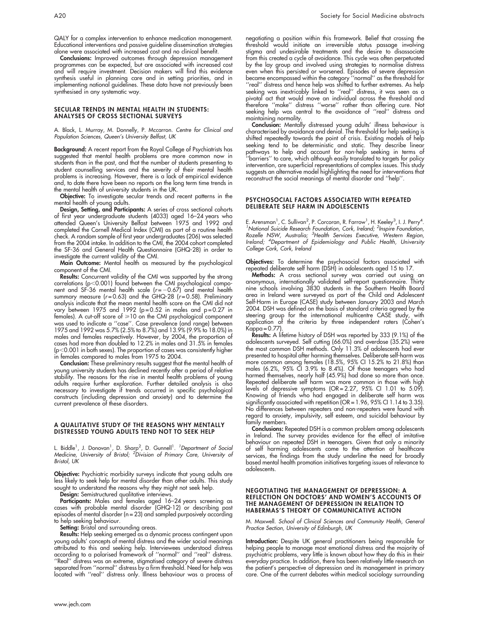QALY for a complex intervention to enhance medication management. Educational interventions and passive guideline dissemination strategies alone were associated with increased cost and no clinical benefit.

Conclusions: Improved outcomes through depression management programmes can be expected, but are associated with increased cost and will require investment. Decision makers will find this evidence synthesis useful in planning care and in setting priorities, and in implementing national guidelines. These data have not previously been synthesised in any systematic way.

#### SECULAR TRENDS IN MENTAL HEALTH IN STUDENTS: ANALYSES OF CROSS SECTIONAL SURVEYS

A. Black, L. Murray, M. Donnelly, P. Mccarron. Centre for Clinical and Population Sciences, Queen's University Belfast, UK

Background: A recent report from the Royal College of Psychiatrists has suggested that mental health problems are more common now in students than in the past, and that the number of students presenting to student counselling services and the severity of their mental health problems is increasing. However, there is a lack of empirical evidence and, to date there have been no reports on the long term time trends in the mental health of university students in the UK.

Objective: To investigate secular trends and recent patterns in the mental health of young adults.

**Design, Setting, and Participants:** A series of cross sectional cohorts of first year undergraduate students (4033) aged 16–24 years who attended Queen's University Belfast between 1975 and 1992 and completed the Cornell Medical Index (CMI) as part of a routine health check. A random sample of first year undergraduates (206) was selected from the 2004 intake. In addition to the CMI, the 2004 cohort completed the SF-36 and General Health Questionnaire (GHQ-28) in order to investigate the current validity of the CMI.

Main Outcome: Mental health as measured by the psychological component of the CMI.

Results: Concurrent validity of the CMI was supported by the strong  $correlations$  (p $<$ 0.001) found between the CMI psychological component and SF-36 mental health scale ( $r = -0.67$ ) and mental health summary measure (r = 0.63) and the GHQ-28 (r = 0.58). Preliminary analysis indicate that the mean mental health score on the CMI did not vary between 1975 and 1992 (p = 0.52 in males and p = 0.27 in  $f$  females). A cut-off score of  $\geq 10$  on the CMI psychological component was used to indicate a ''case''. Case prevalence (and range) between 1975 and 1992 was 5.7% (2.5% to 8.7%) and 13.9% (9.9% to 18.0%) in males and females respectively. However, by 2004, the proportion of cases had more than doubled to 12.2% in males and 31.5% in females  $(p<0.001$  in both sexes). The proportion of cases was consistently higher in females compared to males from 1975 to 2004.

Conclusion: These preliminary results suggest that the mental health of young university students has declined recently after a period of relative stability. The reasons for the rise in mental health problems of young adults require further exploration. Further detailed analysis is also necessary to investigate if trends occurred in specific psychological constructs (including depression and anxiety) and to determine the current prevalence of these disorders.

#### A QUALITATIVE STUDY OF THE REASONS WHY MENTALLY DISTRESSED YOUNG ADULTS TEND NOT TO SEEK HELP

L. Biddle<sup>1</sup>, J. Donovan<sup>1</sup>, D. Sharp<sup>2</sup>, D. Gunnell<sup>1</sup>. *<sup>1</sup>Department of Social* Medicine, University of Bristol; <sup>2</sup>Division of Primary Care, University of Bristol, UK

Objective: Psychiatric morbidity surveys indicate that young adults are less likely to seek help for mental disorder than other adults. This study sought to understand the reasons why they might not seek help.

**Design:** Semistructured qualitative interviews.

**Participants:** Males and females aged 16–24 years screening as cases with probable mental disorder (GHQ-12) or describing past episodes of mental disorder (n = 23) and sampled purposively according to help seeking behaviour.

Setting: Bristol and surrounding areas.

Results: Help seeking emerged as a dynamic process contingent upon young adults' concepts of mental distress and the wider social meanings attributed to this and seeking help. Interviewees understood distress according to a polarised framework of ''normal'' and ''real'' distress. ''Real'' distress was an extreme, stigmatised category of severe distress separated from ''normal'' distress by a firm threshold. Need for help was located with ''real'' distress only. Illness behaviour was a process of

negotiating a position within this framework. Belief that crossing the threshold would initiate an irreversible status passage involving stigma and undesirable treatments and the desire to disassociate from this created a cycle of avoidance. This cycle was often perpetuated by the lay group and involved using strategies to normalise distress even when this persisted or worsened. Episodes of severe depression became encompassed within the category ''normal'' as the threshold for ''real'' distress and hence help was shifted to further extremes. As help seeking was inextricably linked to ''real'' distress, it was seen as a pivotal act that would move an individual across the threshold and therefore ''make'' distress ''worse'' rather than offering cure. Not seeking help was central to the avoidance of ''real'' distress and maintaining normality.

Conclusion: Mentally distressed young adults' illness behaviour is characterised by avoidance and denial. The threshold for help seeking is shifted repeatedly towards the point of crisis. Existing models of help seeking tend to be deterministic and static. They describe linear pathways to help and account for non-help seeking in terms of ''barriers'' to care, which although easily translated to targets for policy intervention, are superficial representations of complex issues. This study suggests an alternative model highlighting the need for interventions that reconstruct the social meanings of mental disorder and ''help''.

#### PSYCHOSOCIAL FACTORS ASSOCIATED WITH REPEATED DELIBERATE SELF HARM IN ADOLESCENTS

E. Arensman $^1$ , C. Sullivan $^2$ , P. Corcoran, R. Farrow $^1$ , H. Keeley $^3$ , I. J. Perry $^4$ E. Arensman', C. Sullivan<sup>2</sup>, P. Corcoran, R. Farrow', H. Keeley<sup>3</sup>, I. J. Perry<sup>4</sup>.<br><sup>1</sup>National Suicide Research Foundation, Cork, Ireland; <sup>2</sup>Inspire Foundation,<br>Rozelle NSW, Australia; <sup>3</sup>Health Services Executive, West Ireland; <sup>4</sup> Department of Epidemiology and Public Health, University College Cork, Cork, Ireland

**Objectives:** To determine the psychosocial factors associated with repeated deliberate self harm (DSH) in adolescents aged 15 to 17.

Methods: A cross sectional survey was carried out using an anonymous, internationally validated self-report questionnaire. Thirty nine schools involving 3830 students in the Southern Health Board area in Ireland were surveyed as part of the Child and Adolescent Self-Harm in Europe (CASE) study between January 2003 and March 2004. DSH was defined on the basis of standard criteria agreed by the steering group for the international multicentre CASE study, with application of the criteria by three independent raters (Cohen's Kappa = 0.77).

Results: A lifetime history of DSH was reported by 333 (9.1%) of the adolescents surveyed. Self cutting (66.0%) and overdose (35.2%) were the most common DSH methods. Only 11.3% of adolescents had ever presented to hospital after harming themselves. Deliberate self-harm was more common among females (18.5%, 95% CI 15.2% to 21.8%) than males (6.2%, 95% CI 3.9% to 8.4%). Of those teenagers who had harmed themselves, nearly half (45.9%) had done so more than once. Repeated deliberate self harm was more common in those with high levels of depressive symptoms (OR = 2.27, 95% CI 1.01 to 5.09). Knowing of friends who had engaged in deliberate self harm was significantly associated with repetition (OR = 1.96, 95% CI 1.14 to 3.35). No differences between repeaters and non-repeaters were found with regard to anxiety, impulsivity, self esteem, and suicidal behaviour by family members.

Conclusions: Repeated DSH is a common problem among adolescents in Ireland. The survey provides evidence for the effect of imitative behaviour on repeated DSH in teenagers. Given that only a minority of self harming adolescents come to the attention of healthcare services, the findings from the study underline the need for broadly based mental health promotion initiatives targeting issues of relevance to adolescents.

#### NEGOTIATING THE MANAGEMENT OF DEPRESSION: A REFLECTION ON DOCTORS' AND WOMEN'S ACCOUNTS OF THE MANAGEMENT OF DEPRESSION IN RELATION TO HABERMAS'S THEORY OF COMMUNICATIVE ACTION

M. Maxwell. School of Clinical Sciences and Community Health, General Practice Section, University of Edinburgh, UK

Introduction: Despite UK general practitioners being responsible for helping people to manage most emotional distress and the majority of psychiatric problems, very little is known about how they do this in their everyday practice. In addition, there has been relatively little research on the patient's perspective of depression and its management in primary care. One of the current debates within medical sociology surrounding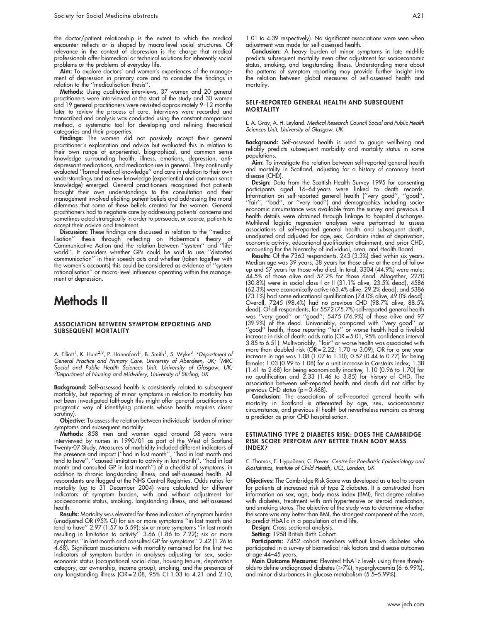the doctor/patient relationship is the extent to which the medical encounter reflects or is shaped by macro-level social structures. Of relevance in the context of depression is the charge that medical professionals offer biomedical or technical solutions for inherently social problems or the problems of everyday life.

Aim: To explore doctors' and women's experiences of the management of depression in primary care and to consider the findings in relation to the ''medicalisation thesis''.

**Methods:** Using qualitative interviews, 37 women and 20 general practitioners were interviewed at the start of the study and 30 women and 19 general practitioners were revisited approximately 9–12 months later to review the process of care. Interviews were recorded and transcribed and analysis was conducted using the constant comparison method, a systematic tool for developing and refining theoretical categories and their properties.

Findings: The women did not passively accept their general practitioner's explanation and advice but evaluated this in relation to their own range of experiential, biographical, and common sense knowledge surrounding health, illness, emotions, depression, antidepressant medications, and medication use in general. They continually evaluated "formal medical knowledge" and care in relation to their own understandings and as new knowledge (experiential and common sense knowledge) emerged. General practitioners recognised that patients brought their own understandings to the consultation and their management involved eliciting patient beliefs and addressing the moral dilemmas that some of these beliefs created for the women. General practitioners had to negotiate care by addressing patients' concerns and sometimes acted strategically in order to persuade, or coerce, patients to accept their advice and treatment.

Discussion: These findings are discussed in relation to the ''medicalisation'' thesis through reflecting on Habermas's theory of Communicative Action and the relation between ''system'' and ''lifeworld''. It considers whether GPs could be said to use ''distorted communication'' in their speech acts and whether (taken together with the women's accounts) this could be considered as evidence of ''system rationalisation'' or macro-level influences operating within the management of depression.

# Methods II

#### ASSOCIATION BETWEEN SYMPTOM REPORTING AND SUBSEQUENT MORTALITY

A. Elliott<sup>1</sup>, K. Hunt<sup>2,3</sup>, P. Hannaford<sup>1</sup>, B. Smith<sup>1</sup>, S. Wyke<sup>3</sup>. *<sup>1</sup>Department of* General Practice and Primary Care, University of Aberdeen, UK; <sup>2</sup>MRC Social and Public Health Sciences Unit, University of Glasgow, UK;  $3$ Department of Nursing and Midwifery, University of Stirling, UK

Background: Self-assessed health is consistently related to subsequent mortality, but reporting of minor symptoms in relation to mortality has not been investigated (although this might offer general practitioners a pragmatic way of identifying patients whose health requires closer scrutiny).

Objective: To assess the relation between individuals' burden of minor symptoms and subsequent mortality.

**Methods:** 858 men and women aged around 58 years were interviewed by nurses in 1990/01 as part of the West of Scotland Twenty-07 Study. Measures of morbidity included different indicators of the presence and impact (''had in last month'', ''had in last month and tend to have'', ''caused limitation to activity in last month'', ''had in last month and consulted GP in last month'') of a checklist of symptoms, in addition to chronic longstanding illness, and self-assessed health. All respondents are flagged at the NHS Central Registries. Odds ratios for mortality (up to 31 December 2004) were calculated for different indicators of symptom burden, with and without adjustment for socioeconomic status, smoking, longstanding illness, and self-assessed health.

Results: Mortality was elevated for three indicators of symptom burden (unadjusted OR (95% CI) for six or more symptoms ''in last month and tend to have'' 2.97 (1.57 to 5.59); six or more symptoms ''in last month resulting in limitation to activity'' 3.66 (1.86 to 7.22); six or more symptoms ''in last month and consulted GP for symptoms'' 2.42 (1.26 to 4.68). Significant associations with mortality remained for the first two indicators of symptom burden in analyses adjusting for sex, socioeconomic status (occupational social class, housing tenure, deprivation category, car ownership, income group), smoking, and the presence of any longstanding illness (OR = 2.08, 95% CI 1.03 to 4.21 and 2.10,

1.01 to 4.39 respectively). No significant associations were seen when adjustment was made for self-assessed health.

Conclusion: A heavy burden of minor symptoms in late mid-life predicts subsequent mortality even after adjustment for socioeconomic status, smoking, and longstanding illness. Understanding more about the patterns of symptom reporting may provide further insight into the relation between global measures of self-assessed health and mortality.

#### SELF-REPORTED GENERAL HEALTH AND SUBSEQUENT **MORTALITY**

L. A. Gray, A. H. Leyland. Medical Research Council Social and Public Health Sciences Unit, University of Glasgow, UK

Background: Self-assessed health is used to gauge wellbeing and reliably predicts subsequent morbidity and mortality status in some populations.

Aim: To investigate the relation between self-reported general health and mortality in Scotland, adjusting for a history of coronary heart disease (CHD).

**Design:** Data from the Scottish Health Survey 1995 for consenting participants aged 16–64 years were linked to death records. Information on self-reported general health (''very good'', ''good'', ''fair'', ''bad'', or ''very bad'') and demographics including socioeconomic circumstance was available from the survey and previous ill health details were obtained through linkage to hospital discharges. Multilevel logistic regression analyses were performed to assess associations of self-reported general health and subsequent death, unadjusted and adjusted for age, sex, Carstairs index of deprivation, economic activity, educational qualification attainment, and prior CHD, accounting for the hierarchy of individual, area, and Health Board.

**Results:** Of the 7363 respondents, 243 (3.3%) died within six years. Median age was 39 years; 38 years for those alive at the end of follow<br>up and 57 years for those who died. In total, 3304 (44.9%) were maleup and 57 years for those who died. In total, 3304 (44.9%) were male; 44.5% of those alive and 57.2% for those dead. Altogether, 2270 (30.8%) were in social class I or II (31.1% alive, 23.5% dead), 4586 (62.3%) were economically active (63.4% alive, 29.2% dead), and 5386 (73.1%) had some educational qualification (74.0% alive, 49.0% dead). Overall, 7245 (98.4%) had no previous CHD (98.7% alive, 88.5% dead). Of all respondents, for 5572 (75.7%) self-reported general health was ''very good'' or ''good''; 5475 (76.9%) of those alive and 97 (39.9%) of the dead. Univariably, compared with ''very good'' or ''good'' health, those reporting ''fair'' or worse health had a fivefold increase in risk of death: odds ratio (OR = 5.01, 95% confidence interval 3.85 to 6.51). Multivariably, ''fair'' or worse health was associated with more than doubled risk (OR = 2.22; 1.70 to 3.09); OR for a one year increase in age was 1.08 (1.07 to 1.10); 0.57 (0.44 to 0.77) for being female; 1.03 (0.99 to 1.08) for a unit increase in Carstairs index; 1.38 (1.41 to 2.68) for being economically inactive; 1.10 (0.96 to 1.70) for no qualification and 2.33 (1.46 to 3.85) for history of CHD. The association between self-reported health and death did not differ by previous CHD status  $(p = 0.468)$ .

Conclusion: The association of self-reported general health with mortality in Scotland is attenuated by age, sex, socioeconomic circumstance, and previous ill health but nevertheless remains as strong a predictor as prior CHD hospitalisation.

#### ESTIMATING TYPE 2 DIABETES RISK: DOES THE CAMBRIDGE RISK SCORE PERFORM ANY BETTER THAN BODY MASS INDEX?

C. Thomas, E. Hyppönen, C. Power. Centre for Paediatric Epidemiology and Biostatistics, Institute of Child Health, UCL, London, UK

Objectives: The Cambridge Risk Score was developed as a tool to screen for patients at increased risk of type 2 diabetes. It is constructed from information on sex, age, body mass index (BMI), first degree relative with diabetes, treatment with anti-hypertensive or steroid medication, and smoking status. The objective of the study was to determine whether the score was any better than BMI, the strongest component of the score, to predict HbA1c in a population at mid-life.

Design: Cross sectional analysis.

Setting: 1958 British Birth Cohort.

Participants: 7452 cohort members without known diabetes who participated in a survey of biomedical risk factors and disease outcomes at age 44–45 years.

Main Outcome Measures: Elevated HbA1c levels using three thresholds to define undiagnosed diabetes (≥7%), hyperglycaemia (6–6.99%), and minor disturbances in glucose metabolism (5.5–5.99%).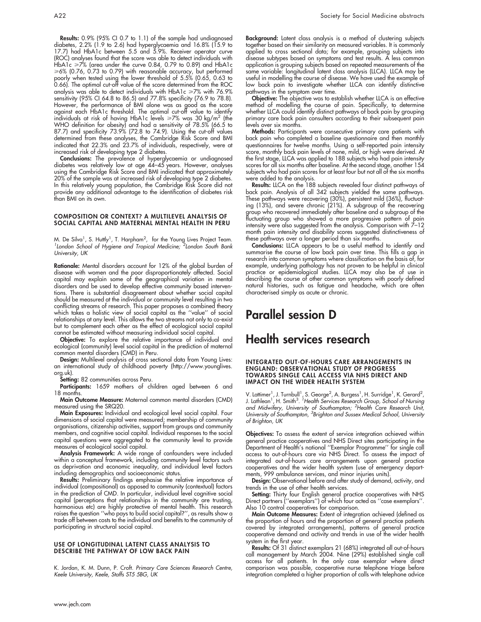Results: 0.9% (95% CI 0.7 to 1.1) of the sample had undiagnosed diabetes, 2.2% (1.9 to 2.6) had hyperglycaemia and 16.8% (15.9 to 17.7) had HbA1c between 5.5 and 5.9%. Receiver operator curve (ROC) analyses found that the score was able to detect individuals with HbA1c  $\geq 7\%$  (area under the curve 0.84, 0.79 to 0.89) and HbA1c >6% (0.76, 0.73 to 0.79) with reasonable accuracy, but performed poorly when tested using the lower threshold of 5.5% (0.65, 0.63 to 0.66). The optimal cut-off value of the score determined from the ROC analysis was able to detect individuals with HbA1c ≥7% with 76.9% sensitivity (95% CI 64.8 to 86.5) and 77.8% specificity (76.9 to 78.8). However, the performance of BMI alone was as good as the score against each HbA1c threshold. The optimal cut-off value to identify individuals at risk of having HbA1c levels  $\geq 7\%$  was 30 kg/m<sup>2</sup> (the WHO definition for obesity) and had a sensitivity of 78.5% (66.5 to 87.7) and specificity 73.9% (72.8 to 74.9). Using the cut-off values determined from these analyses, the Cambridge Risk Score and BMI indicated that 22.3% and 23.7% of individuals, respectively, were at increased risk of developing type 2 diabetes.

Conclusions: The prevalence of hyperglycaemia or undiagnosed diabetes was relatively low at age 44–45 years. However, analyses using the Cambridge Risk Score and BMI indicated that approximately 20% of the sample was at increased risk of developing type 2 diabetes. In this relatively young population, the Cambridge Risk Score did not provide any additional advantage to the identification of diabetes risk than BMI on its own.

#### COMPOSITION OR CONTEXT? A MULTILEVEL ANALYSIS OF SOCIAL CAPITAL AND MATERNAL MENTAL HEALTH IN PERU

M. De Silva<sup>1</sup>, S. Huttly<sup>1</sup>, T. Harpham<sup>2</sup>, for the Young Lives Project Team.<br><sup>1</sup> Landen, School of Hygiene and Tropical Medicine: <sup>2</sup> Landen, South Bank London School of Hygiene and Tropical Medicine; <sup>2</sup>London South Bank University, UK

Rationale: Mental disorders account for 12% of the global burden of disease with women and the poor disproportionately affected. Social capital may explain some of the geographical variation in mental disorders and be used to develop effective community based interventions. There is substantial disagreement about whether social capital should be measured at the individual or community level resulting in two conflicting streams of research. This paper proposes a combined theory which takes a holistic view of social capital as the ''value'' of social relationships at any level. This allows the two streams not only to co-exist but to complement each other as the effect of ecological social capital cannot be estimated without measuring individual social capital.

Objective: To explore the relative importance of individual and ecological (community) level social capital in the prediction of maternal common mental disorders (CMD) in Peru.

Design: Multilevel analysis of cross sectional data from Young Lives: an international study of childhood poverty (http://www.younglives. org.uk).

Setting: 82 communities across Peru.

Participants: 1659 mothers of children aged between 6 and 18 months.

Main Outcome Measure: Maternal common mental disorders (CMD) measured using the SRQ20.

Main Exposures: Individual and ecological level social capital. Four dimensions of social capital were measured; membership of community organisations, citizenship activities, support from groups and community members, and cognitive social capital. Individual responses to the social capital questions were aggregated to the community level to provide measures of ecological social capital.

Analysis Framework: A wide range of confounders were included within a conceptual framework, including community level factors such as deprivation and economic inequality, and individual level factors including demographics and socioeconomic status.

Results: Preliminary findings emphasise the relative importance of individual (compositional) as opposed to community (contextual) factors in the prediction of CMD. In particular, individual level cognitive social capital (perceptions that relationships in the community are trusting, harmonious etc) are highly protective of mental health. This research raises the question ''who pays to build social capital?'', as results show a trade off between costs to the individual and benefits to the community of participating in structural social capital.

#### USE OF LONGITUDINAL LATENT CLASS ANALYSIS TO DESCRIBE THE PATHWAY OF LOW BACK PAIN

K. Jordan, K. M. Dunn, P. Croft. Primary Care Sciences Research Centre, Keele University, Keele, Staffs ST5 5BG, UK

Background: Latent class analysis is a method of clustering subjects together based on their similarity on measured variables. It is commonly applied to cross sectional data; for example, grouping subjects into disease subtypes based on symptoms and test results. A less common application is grouping subjects based on repeated measurements of the same variable: longitudinal latent class analysis (LLCA). LLCA may be useful in modelling the course of disease. We have used the example of low back pain to investigate whether LLCA can identify distinctive pathways in the symptom over time.

**Objective:** The objective was to establish whether LLCA is an effective method of modelling the course of pain. Specifically, to determine whether LLCA could identify distinct pathways of back pain by grouping primary care back pain consulters according to their subsequent pain levels over six months.

Methods: Participants were consecutive primary care patients with back pain who completed a baseline questionnaire and then monthly questionnaires for twelve months. Using a self-reported pain intensity score, monthly back pain levels of none, mild, or high were derived. At the first stage, LLCA was applied to 188 subjects who had pain intensity scores for all six months after baseline. At the second stage, another 154 subjects who had pain scores for at least four but not all of the six months were added to the analysis.

**Results:** LLCA on the 188 subjects revealed four distinct pathways of back pain. Analysis of all 342 subjects yielded the same pathways. These pathways were recovering (30%), persistent mild (36%), fluctuating (13%), and severe chronic (21%). A subgroup of the recovering group who recovered immediately after baseline and a subgroup of the fluctuating group who showed a more progressive pattern of pain intensity were also suggested from the analysis. Comparison with  $7-12$ month pain intensity and disability scores suggested distinctiveness of these pathways over a longer period than six months.

**Conclusions:** LLCA appears to be a useful method to identify and summarise the course of low back pain over time. This fills a gap in research into common symptoms where classification on the basis of, for example, underlying pathology has not proven to be helpful in clinical practice or epidemiological studies. LLCA may also be of use in describing the course of other common symptoms with poorly defined natural histories, such as fatigue and headache, which are often characterised simply as acute or chronic.

# Parallel session D

### Health services research

#### INTEGRATED OUT-OF-HOURS CARE ARRANGEMENTS IN ENGLAND: OBSERVATIONAL STUDY OF PROGRESS TOWARDS SINGLE CALL ACCESS VIA NHS DIRECT AND IMPACT ON THE WIDER HEALTH SYSTEM

V. Lattimer<sup>1</sup>, J. Turnbull<sup>1</sup>, S. George<sup>2</sup>, A. Burgess<sup>1</sup>, H. Surridge<sup>1</sup>, K. Gerard<sup>2</sup>,<br>J. Lathlean<sup>1</sup>, H. Smith<sup>3</sup>. <sup>7</sup>Health Services Research Group, School of Nursing and Midwifery, University of Southampton; <sup>2</sup>Health Care Research Unit,<br>University of Southampton, <sup>3</sup>Brighton and Sussex Medical School, University of Brighton, UK

Objectives: To assess the extent of service integration achieved within general practice cooperatives and NHS Direct sites participating in the Department of Health's national ''Exemplar Programme'' for single call access to out-of-hours care via NHS Direct. To assess the impact of integrated out-of-hours care arrangements upon general practice cooperatives and the wider health system (use of emergency departments, 999 ambulance services, and minor injuries units).

Design: Observational before and after study of demand, activity, and trends in the use of other health services.

**Setting:** Thirty four English general practice cooperatives with NHS Direct partners (''exemplars'') of which four acted as ''case exemplars''. Also 10 control cooperatives for comparison.

Main Outcome Measures: Extent of integration achieved (defined as the proportion of hours and the proportion of general practice patients covered by integrated arrangements), patterns of general practice cooperative demand and activity and trends in use of the wider health system in the first year.

**Results:** Of 31 distinct exemplars 21 (68%) integrated all out-of-hours call management by March 2004. Nine (29%) established single call access for all patients. In the only case exemplar where direct comparison was possible, cooperative nurse telephone triage before integration completed a higher proportion of calls with telephone advice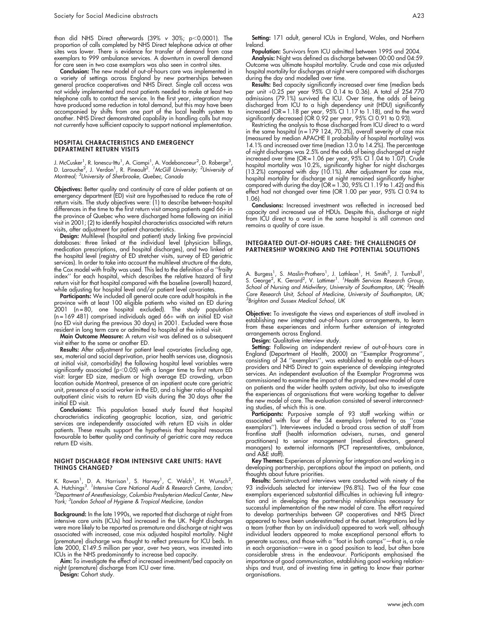than did NHS Direct afterwards (39%  $v$  30%; p<0.0001). The proportion of calls completed by NHS Direct telephone advice at other sites was lower. There is evidence for transfer of demand from case exemplars to 999 ambulance services. A downturn in overall demand for care seen in two case exemplars was also seen in control sites.

Conclusion: The new model of out-of-hours care was implemented in a variety of settings across England by new partnerships between general practice cooperatives and NHS Direct. Single call access was not widely implemented and most patients needed to make at least two telephone calls to contact the service. In the first year, integration may have produced some reduction in total demand, but this may have been accompanied by shifts from one part of the local health system to another. NHS Direct demonstrated capability in handling calls but may not currently have sufficient capacity to support national implementation.

#### HOSPITAL CHARACTERISTICS AND EMERGENCY DEPARTMENT RETURN VISITS

J. McCusker<sup>1</sup>, R. Ionescu-Ittu<sup>1</sup>, A. Ciampi<sup>1</sup>, A. Vadeboncoeur<sup>2</sup>, D. Roberge<sup>3</sup>,<br>D. Larouche<sup>2</sup>, J. Verdon<sup>1</sup>, R. Pineault<sup>2</sup>. *<sup>1</sup>McGill University; <sup>2</sup>University of* Montreal; <sup>3</sup> University of Sherbrooke, Quebec, Canada

Objectives: Better quality and continuity of care of older patients at an emergency department (ED) visit are hypothesised to reduce the rate of return visits. The study objectives were: (1) to describe between-hospital differences in the time to the first return visit among patients aged 66+ in the province of Quebec who were discharged home following an initial visit in 2001; (2) to identify hospital characteristics associated with return visits, after adjustment for patient characteristics.

Design: Multilevel (hospital and patient) study linking five provincial databases: three linked at the individual level (physician billings, medication prescriptions, and hospital discharges), and two linked at the hospital level (registry of ED stretcher visits, survey of ED geriatric services). In order to take into account the multilevel structure of the data, the Cox model with frailty was used. This led to the definition of a ''frailty index'' for each hospital, which describes the relative hazard of first return visit for that hospital compared with the baseline (overall) hazard, while adjusting for hospital level and/or patient level covariates.

Participants: We included all general acute care adult hospitals in the province with at least 100 eligible patients who visited an ED during 2001 (n = 80, one hospital excluded). The study population  $(n = 169 481)$  comprised individuals aged  $66+$  with an initial ED visit (no ED visit during the previous 30 days) in 2001. Excluded were those resident in long term care or admitted to hospital at the initial visit.

Main Outcome Measure: A return visit was defined as a subsequent visit either to the same or another ED.

Results: After adjustment for patient level covariates (including age, sex, material and social deprivation, prior health services use, diagnosis at initial visit, comorbidity) the following hospital level variables were significantly associated ( $p$ <0.05) with a longer time to first return ED visit: larger ED size, medium or high average ED crowding, urban location outside Montreal, presence of an inpatient acute care geriatric unit, presence of a social worker in the ED, and a higher ratio of hospital outpatient clinic visits to return ED visits during the 30 days after the initial ED visit.

Conclusions: This population based study found that hospital characteristics indicating geographic location, size, and geriatric services are independently associated with return ED visits in older patients. These results support the hypothesis that hospital resources favourable to better quality and continuity of geriatric care may reduce return ED visits.

#### NIGHT DISCHARGE FROM INTENSIVE CARE UNITS: HAVE THINGS CHANGED?

K. Rowan<sup>1</sup>, D. A. Harrison<sup>1</sup>, S. Harvey<sup>1</sup>, C. Welch<sup>1</sup>, H. Wunsch<sup>2</sup>,<br>A. Hutchings<sup>3</sup>. <sup>1</sup>Intensive Care National Audit & Research Centre, London;<br><sup>2</sup>Denational of Anatherialaev, Columbia Prechytorian Modical Center Nov  ${}^{2}$ Department of Anesthesiology, Columbia Presbyterian Medical Center, New York; <sup>3</sup>London School of Hygiene & Tropical Medicine, London

**Background:** In the late 1990s, we reported that discharge at night from intensive care units (ICUs) had increased in the UK. Night discharges were more likely to be reported as premature and discharge at night was associated with increased, case mix adjusted hospital mortality. Night (premature) discharge was thought to reflect pressure for ICU beds. In late 2000, £149.5 million per year, over two years, was invested into ICUs in the NHS predominantly to increase bed capacity.

Aim: To investigate the effect of increased investment/bed capacity on night (premature) discharge from ICU over time.

Design: Cohort study.

Setting: 171 adult, general ICUs in England, Wales, and Northern Ireland.

Population: Survivors from ICU admitted between 1995 and 2004.

Analysis: Night was defined as discharge between 00:00 and 04:59. Outcome was ultimate hospital mortality. Crude and case mix adjusted hospital mortality for discharges at night were compared with discharges during the day and modelled over time.

**Results:** Bed capacity significantly increased over time (median beds per unit +0.25 per year 95% CI 0.14 to 0.36). A total of 254 770 admissions (79.1%) survived the ICU. Over time, the odds of being discharged from ICU to a high dependency unit (HDU) significantly increased (OR = 1.18 per year, 95% CI 1.17 to 1.18), and to the ward significantly decreased (OR 0.92 per year, 95% CI 0.91 to 0.93).

Restricting the analysis to those discharged from ICU direct to a ward in the same hospital (n = 179 124, 70.3%), overall severity of case mix (measured by median APACHE II probability of hospital mortality) was 14.1% and increased over time (median 13.0 to 14.2%). The percentage of night discharges was 2.5% and the odds of being discharged at night increased over time (OR = 1.06 per year, 95% CI 1.04 to 1.07). Crude hospital mortality was 10.2%, significantly higher for night discharges (13.2%) compared with day (10.1%). After adjustment for case mix, hospital mortality for discharge at night remained significantly higher compared with during the day (OR = 1.30, 95% CI 1.19 to 1.42) and this effect had not changed over time (OR 1.00 per year, 95% CI 0.94 to 1.06).

Conclusions: Increased investment was reflected in increased bed capacity and increased use of HDUs. Despite this, discharge at night from ICU direct to a ward in the same hospital is still common and remains a quality of care issue.

#### INTEGRATED OUT-OF-HOURS CARE: THE CHALLENGES OF PARTNERSHIP WORKING AND THE POTENTIAL SOLUTIONS

A. Burgess<sup>1</sup>, S. Maslin-Prothero<sup>1</sup>, J. Lathlean<sup>1</sup>, H. Smith<sup>3</sup>, J. Turnbull<sup>1</sup>,<br>S. George<sup>2</sup>, K. Gerard<sup>2</sup>, V. Lattimer<sup>1</sup>. <sup>7</sup>Health Services Research Group, School of Nursing and Midwifery, University of Southampton, UK; <sup>2</sup>Health Care Research Unit, School of Medicine, University of Southampton, UK; <sup>3</sup>Brighton and Sussex Medical School, UK

Objective: To investigate the views and experiences of staff involved in establishing new integrated out-of-hours care arrangements, to learn from these experiences and inform further extension of integrated arrangements across England.

Design: Qualitative interview study.

**Setting:** Following an independent review of out-of-hours care in England (Department of Health, 2000) an ''Exemplar Programme'', consisting of 34 ''exemplars'', was established to enable out-of-hours providers and NHS Direct to gain experience of developing integrated services. An independent evaluation of the Exemplar Programme was commissioned to examine the impact of the proposed new model of care on patients and the wider health system activity, but also to investigate the experiences of organisations that were working together to deliver the new model of care. The evaluation consisted of several interconnecting studies, of which this is one.

**Participants:** Purposive sample of 93 staff working within or associated with four of the 34 exemplars (referred to as ''case exemplars''). Interviewees included a broad cross section of staff from frontline staff (health information advisers, nurses, and general practitioners) to senior management (medical directors, general managers) to external informants (PCT representatives, ambulance, and A&E staff).

Key Themes: Experiences of planning for integration and working in a developing partnership, perceptions about the impact on patients, and thoughts about future priorities.

Results: Semistructured interviews were conducted with ninety of the 93 individuals selected for interview (96.8%). Two of the four case exemplars experienced substantial difficulties in achieving full integration and in developing the partnership relationships necessary for successful implementation of the new model of care. The effort required to develop partnerships between GP cooperatives and NHS Direct appeared to have been underestimated at the outset. Integrations led by a team (rather than by an individual) appeared to work well, although individual leaders appeared to make exceptional personal efforts to generate success, and those with a "foot in both camps" - that is, a role in each organisation—were in a good position to lead, but often bore considerable stress in the endeavour. Participants emphasised the importance of good communication, establishing good working relationships and trust, and of investing time in getting to know their partner organisations.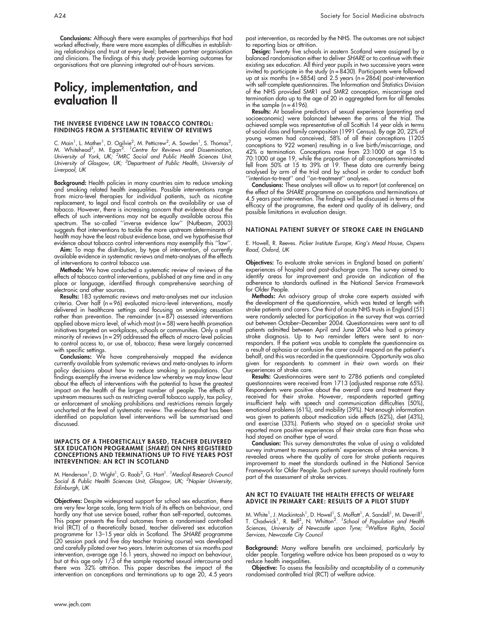# Policy, implementation, and evaluation II

#### THE INVERSE EVIDENCE LAW IN TOBACCO CONTROL: FINDINGS FROM A SYSTEMATIC REVIEW OF REVIEWS

C. Main<sup>1</sup>, L. Mather<sup>1</sup>, D. Ogilvie<sup>2</sup>, M. Petticrew<sup>2</sup>, A. Sowden<sup>1</sup>, S. Thomas<sup>2</sup>,<br>M. Whitehead<sup>3</sup>, M. Egan<sup>2</sup>. <sup>1</sup>Centre for Reviews and Dissemination,<br>University of York, UK; <sup>2</sup>MRC Social and Public Health Sciences U University of Glasgow, UK; <sup>3</sup>Department of Public Health, University of Liverpool, UK

Background: Health policies in many countries aim to reduce smoking and smoking related health inequalities. Possible interventions range from micro-level therapies for individual patients, such as nicotine replacement, to legal and fiscal controls on the availability or use of tobacco. However, there is increasing concern that evidence about the effects of such interventions may not be equally available across this spectrum. The so-called ''inverse evidence law'' (Nutbeam, 2003) suggests that interventions to tackle the more upstream determinants of health may have the least robust evidence base, and we hypothesise that evidence about tobacco control interventions may exemplify this ''law''.

Aim: To map the distribution, by type of intervention, of currently available evidence in systematic reviews and meta-analyses of the effects of interventions to control tobacco use.

**Methods:** We have conducted a systematic review of reviews of the effects of tobacco control interventions, published at any time and in any place or language, identified through comprehensive searching of electronic and other sources.

Results: 183 systematic reviews and meta-analyses met our inclusion criteria. Over half (n = 96) evaluated micro-level interventions, mostly delivered in healthcare settings and focusing on smoking cessation rather than prevention. The remainder (n = 87) assessed interventions applied above micro level, of which most (n = 58) were health promotion initiatives targeted on workplaces, schools or communities. Only a small minority of reviews (n = 29) addressed the effects of macro-level policies to control access to, or use of, tobacco; these were largely concerned with specific settings.

Conclusions: We have comprehensively mapped the evidence currently available from systematic reviews and meta-analyses to inform policy decisions about how to reduce smoking in populations. Our findings exemplify the inverse evidence law whereby we may know least about the effects of interventions with the potential to have the greatest impact on the health of the largest number of people. The effects of upstream measures such as restricting overall tobacco supply, tax policy, or enforcement of smoking prohibitions and restrictions remain largely uncharted at the level of systematic review. The evidence that has been identified on population level interventions will be summarised and discussed.

#### IMPACTS OF A THEORETICALLY BASED, TEACHER DELIVERED SEX EDUCATION PROGRAMME (SHARE) ON NHS REGISTERED CONCEPTIONS AND TERMINATIONS UP TO FIVE YEARS POST INTERVENTION: AN RCT IN SCOTLAND

M. Henderson<sup>1</sup>, D. Wight<sup>1</sup>, G. Raab<sup>2</sup>, G. Hart<sup>1</sup>. *<sup>1</sup>Medical Research Council* Social & Public Health Sciences Unit, Glasgow, UK; <sup>2</sup>Napier University, Edinburgh, UK

Objectives: Despite widespread support for school sex education, there are very few large scale, long term trials of its effects on behaviour, and hardly any that use service based, rather than self-reported, outcomes. This paper presents the final outcomes from a randomised controlled trial (RCT) of a theoretically based, teacher delivered sex education programme for 13–15 year olds in Scotland. The SHARE programme (20 session pack and five day teacher training course) was developed and carefully piloted over two years. Interim outcomes at six months post intervention, average age 16.1 years, showed no impact on behaviour, but at this age only 1/3 of the sample reported sexual intercourse and there was 32% attrition. This paper describes the impact of the intervention on conceptions and terminations up to age 20, 4.5 years

post intervention, as recorded by the NHS. The outcomes are not subject to reporting bias or attrition.

Design: Twenty five schools in eastern Scotland were assigned by a balanced randomisation either to deliver SHARE or to continue with their existing sex education. All third year pupils in two successive years were invited to participate in the study (n = 8430). Participants were followed up at six months (n = 5854) and 2.5 years (n = 2864) post-intervention with self-complete questionnaires. The Information and Statistics Division of the NHS provided SMR1 and SMR2 conception, miscarriage and termination data up to the age of 20 in aggregated form for all females in the sample  $(n = 4196)$ .

**Results:** At baseline predictors ot sexual experience (parenting and socioeconomic) were balanced between the arms of the trial. The achieved sample was representative of all Scottish 14 year olds in terms of social class and family composition (1991 Census). By age 20, 22% of young women had conceived, 58% of all their conceptions (1205 conceptions to 922 women) resulting in a live birth/miscarriage, and 42% a termination. Conceptions rose from 23:1000 at age 15 to 70:1000 at age 19, while the proportion of all conceptions terminated fell from 50% at 15 to 39% at 19. These data are currently being analysed by arm of the trial and by school in order to conduct both ''intention-to-treat'' and ''on-treatment'' analyses.

Conclusions: These analyses will allow us to report (at conference) on the effect of the SHARE programme on conceptions and terminations at 4.5 years post-intervention. The findings will be discussed in terms of the efficacy of the programme, the extent and quality of its delivery, and possible limitations in evaluation design.

#### NATIONAL PATIENT SURVEY OF STROKE CARE IN ENGLAND

E. Howell, R. Reeves. Picker Institute Europe, King's Mead House, Oxpens Road, Oxford, UK

Objectives: To evaluate stroke services in England based on patients' experiences of hospital and post-discharge care. The survey aimed to identify areas for improvement and provide an indication of the adherence to standards outlined in the National Service Framework for Older People.

Methods: An advisory group of stroke care experts assisted with the development of the questionnaire, which was tested at length with stroke patients and carers. One third of acute NHS trusts in England (51) were randomly selected for participation in the survey that was carried out between October–December 2004. Questionnaires were sent to all patients admitted between April and June 2004 who had a primary stroke diagnosis. Up to two reminder letters were sent to nonresponders. If the patient was unable to complete the questionnaire as a result of aphasia or confusion the carer could respond on the patient's behalf, and this was recorded in the questionnaire. Opportunity was also given for respondents to comment in their own words on their experiences of stroke care.

Results: Questionnaires were sent to 2786 patients and completed questionnaires were received from 1713 (adjusted response rate 65%). Respondents were positive about the overall care and treatment they received for their stroke. However, respondents reported getting insufficient help with speech and communication difficulties (50%), emotional problems (61%), and mobility (39%). Not enough information was given to patients about medication side effects (62%), diet (43%), and exercise (33%). Patients who stayed on a specialist stroke unit reported more positive experiences of their stroke care than those who had stayed on another type of ward.

**Conclusion:** This survey demonstrates the value of using a validated survey instrument to measure patients' experiences of stroke services. It revealed areas where the quality of care for stroke patients requires improvement to meet the standards outlined in the National Service Framework for Older People. Such patient surveys should routinely form part of the assessment of stroke services.

#### AN RCT TO EVALUATE THE HEALTH EFFECTS OF WELFARE ADVICE IN PRIMARY CARE: RESULTS OF A PILOT STUDY

M. White<sup>1</sup>, J. Mackintosh<sup>1</sup>, D. Howel<sup>1</sup>, S. Moffatt<sup>1</sup>, A. Sandell<sup>1</sup>, M. Deverill<sup>1</sup>,<br>T. Chadwick<sup>1</sup>, R. Bell<sup>2</sup>, N. Whitton<sup>2</sup>. <sup>7</sup>School of Population and Health<br>Sciences, University of Newcastle upon Tyne; <sup>2</sup>Welfar Services, Newcastle City Council

Background: Many welfare benefits are unclaimed, particularly by older people. Targeting welfare advice has been proposed as a way to reduce health inequalities.

Objective: To assess the feasibility and acceptability of a community randomised controlled trial (RCT) of welfare advice.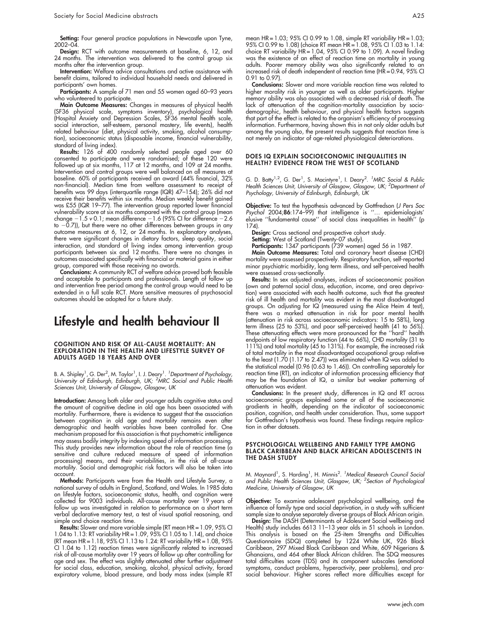Setting: Four general practice populations in Newcastle upon Tyne, 2002–04.

Design: RCT with outcome measurements at baseline, 6, 12, and 24 months. The intervention was delivered to the control group six months after the intervention group.

Intervention: Welfare advice consultations and active assistance with benefit claims, tailored to individual household needs and delivered in participants' own homes.

Participants: A sample of 71 men and 55 women aged 60-93 years who volunteered to participate.

Main Outcome Measures: Changes in measures of physical health (SF36 physical scale, symptoms inventory), psychological health (Hospital Anxiety and Depression Scales, SF36 mental health scale, social interaction, self-esteem, personal mastery, life events), health related behaviour (diet, physical activity, smoking, alcohol consumption), socioeconomic status (disposable income, financial vulnerability, standard of living index).

Results: 126 of 400 randomly selected people aged over 60 consented to participate and were randomised; of these 120 were followed up at six months, 117 at 12 months, and 109 at 24 months. Intervention and control groups were well balanced on all measures at baseline. 60% of participants received an award (44% financial, 32% non-financial). Median time from welfare assessment to receipt of benefits was 99 days (interquartile range (IQR) 47–154); 26% did not receive their benefits within six months. Median weekly benefit gained was £55 (IQR 19–77). The intervention group reported lower financial vulnerability score at six months compared with the control group (mean change  $-1.5$  v 0.1; mean difference  $-1.6$  (95% CI for difference  $-2.6$ to  $-0.7$ )), but there were no other differences between groups in any outcome measures at 6, 12, or 24 months. In explanatory analyses, there were significant changes in dietary factors, sleep quality, social interaction, and standard of living index among intervention group participants between six and 12 months. There were no changes in outcomes associated specifically with financial or material gains in either group, compared with those receiving no awards.

Conclusions: A community RCT of welfare advice proved both feasible and acceptable to participants and professionals. Length of follow up and intervention free period among the control group would need to be extended in a full scale RCT. More sensitive measures of psychosocial outcomes should be adopted for a future study.

# Lifestyle and health behaviour II

#### COGNITION AND RISK OF ALL-CAUSE MORTALITY: AN EXPLORATION IN THE HEALTH AND LIFESTYLE SURVEY OF ADULTS AGED 18 YEARS AND OVER

B. A. Shipley<sup>1</sup>, G. Der<sup>2</sup>, M. Taylor<sup>1</sup>, I. J. Deary<sup>1</sup>. 'Department of Psychology,<br>University of Edinburgh, Edinburgh, UK; <sup>2</sup>MRC Social and Public Health Sciences Unit, University of Glasgow, Glasgow, UK

Introduction: Among both older and younger adults cognitive status and the amount of cognitive decline in old age has been associated with mortality. Furthermore, there is evidence to suggest that the association between cognition in old age and mortality remains even after demographic and health variables have been controlled for. One mechanism proposed for this association is that psychometric intelligence may assess bodily integrity by indexing speed of information processing. This study provides new information about the role of reaction time (a sensitive and culture reduced measure of speed of information processing) means, and their variabilities, in the risk of all-cause mortality. Social and demographic risk factors will also be taken into account.

Methods: Participants were from the Health and Lifestyle Survey, a national survey of adults in England, Scotland, and Wales. In 1985 data on lifestyle factors, socioeconomic status, health, and cognition were collected for 9003 individuals. All-cause mortality over 19 years of follow up was investigated in relation to performance on a short term verbal declarative memory test, a test of visual spatial reasoning, and simple and choice reaction time.

**Results:** Slower and more variable simple (RT mean HR = 1.09, 95% CI 1.04 to 1.13: RT variability HR = 1.09, 95% CI 1.05 to 1.14), and choice (RT mean HR =  $1.18$ ,  $95\%$  CI 1.13 to 1.24: RT variability HR =  $1.08$ ,  $95\%$ CI 1.04 to 1.12) reaction times were significantly related to increased risk of all-cause mortality over 19 years of follow up after controlling for age and sex. The effect was slightly attenuated after further adjustment for social class, education, smoking, alcohol, physical activity, forced expiratory volume, blood pressure, and body mass index (simple RT mean HR = 1.03; 95% CI 0.99 to 1.08, simple RT variability HR = 1.03; 95% CI 0.99 to 1.08) (choice RT mean HR = 1.08, 95% CI 1.03 to 1.14: choice RT variability  $HR = 1.04$ ,  $95\%$  CI 0.99 to 1.09). A novel finding was the existence of an effect of reaction time on mortality in young adults. Poorer memory ability was also significantly related to an increased risk of death independent of reaction time (HR = 0.94, 95% CI 0.91 to 0.97)

Conclusions: Slower and more variable reaction time was related to higher morality risk in younger as well as older participants. Higher memory ability was also associated with a decreased risk of death. The lack of attenuation of the cognition-mortality association by sociodemographic, health behaviour, and physical health factors suggests that part of the effect is related to the organism's efficiency of processing information. Furthermore, having shown this in not only older adults but among the young also, the present results suggests that reaction time is not merely an indicator of age-related physiological deteriorations.

#### DOES IQ EXPLAIN SOCIOECONOMIC INEQUALITIES IN HEALTH? EVIDENCE FROM THE WEST OF SCOTLAND

G. D. Batty<sup>1,2</sup>, G. Der<sup>1</sup>, S. Macintyre<sup>1</sup>, I. Deary<sup>2</sup>. <sup>1</sup>MRC Social & Public Health Sciences Unit, University of Glasgow, Glasgow, UK; <sup>2</sup>Department of Psychology, University of Edinburgh, Edinburgh, UK

Objective: To test the hypothesis advanced by Gottfredson (J Pers Soc Psychol 2004;86:174–99) that intelligence is ''… epidemiologists' elusive ''fundamental cause'' of social class inequalities in health'' (p 174).

Design: Cross sectional and prospective cohort study.

Setting: West of Scotland (Twenty-07 study).

Participants: 1347 participants (739 women) aged 56 in 1987.

**Main Outcome Measures:** Total and coronary heart disease (CHD) mortality were assessed prospectively. Respiratory function, self-reported minor psychiatric morbidity, long term illness, and self-perceived health were assessed cross-sectionally.

Results: In sex adjusted analyses, indices of socioeconomic position (own and paternal social class, education, income, and area deprivation) were associated with each health outcome, such that the greatest risk of ill health and mortality was evident in the most disadvantaged groups. On adjusting for IQ (measured using the Alice Heim 4 test), there was a marked attenuation in risk for poor mental health (attenuation in risk across socioeconomic indicators: 15 to 58%), long term illness (25 to 53%), and poor self-perceived health (41 to 56%). These attenuating effects were more pronounced for the ''hard'' health endpoints of low respiratory function (44 to 66%), CHD mortality (31 to 111%) and total mortality (45 to 131%). For example, the increased risk of total mortality in the most disadvantaged occupational group relative to the least (1.70 (1.17 to 2.47)) was eliminated when IQ was added to the statistical model (0.96 (0.63 to 1.46)). On controlling separately for reaction time (RT), an indicator of information processing efficiency that may be the foundation of IQ, a similar but weaker patterning of attenuation was evident.

Conclusions: In the present study, differences in IQ and RT across socioeconomic groups explained some or all of the socioeconomic gradients in health, depending on the indicator of socioeconomic position, cognition, and health under consideration. Thus, some support for Gottfredson's hypothesis was found. These findings require replication in other datasets.

#### PSYCHOLOGICAL WELLBEING AND FAMILY TYPE AMONG BLACK CARIBBEAN AND BLACK AFRICAN ADOLESCENTS IN THE DASH STUDY

M. Maynard<sup>1</sup>, S. Harding<sup>1</sup>, H. Minnis<sup>2</sup>. <sup>1</sup>Medical Research Council Social and Public Health Sciences Unit, Glasgow, UK; <sup>2</sup>Section of Psychological Medicine, University of Glasgow, UK

Objective: To examine adolescent psychological wellbeing, and the influence of family type and social deprivation, in a study with sufficient sample size to analyse separately diverse groups of Black African origin.

**Design:** The DASH (Determinants ot Adolescent Social wellbeing and Health) study includes 6613 11–13 year olds in 51 schools in London. This analysis is based on the 25-item Strengths and Difficulties Questionnaire (SDQ) completed by 1224 White UK, 926 Black Caribbean, 297 Mixed Black Caribbean and White, 609 Nigerians & Ghanaians, and 464 other Black African children. The SDQ measures total difficulties score (TDS) and its component subscales (emotional symptoms, conduct problems, hyperactivity, peer problems), and prosocial behaviour. Higher scores reflect more difficulties except for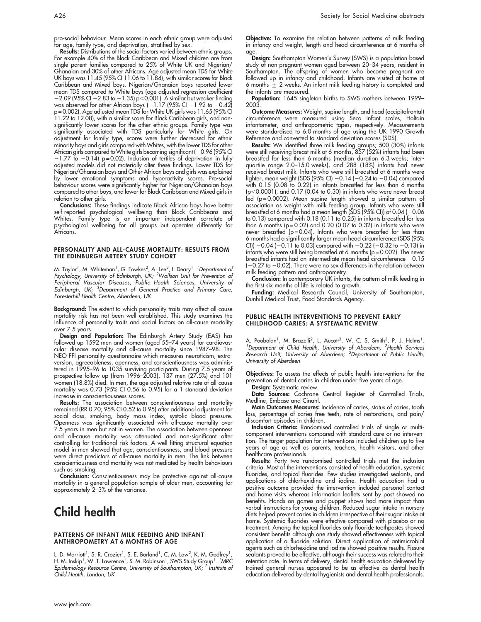pro-social behaviour. Mean scores in each ethnic group were adjusted for age, family type, and deprivation, stratified by sex.

Results: Distributions of the social factors varied between ethnic groups. For example 40% of the Black Caribbean and Mixed children are from single parent families compared to 25% of White UK and Nigerian/ Ghanaian and 30% of other Africans. Age adjusted mean TDS for White UK boys was 11.45 (95% CI 11.06 to 11.84), with similar scores for Black Caribbean and Mixed boys. Nigerian/Ghanaian boys reported lower mean TDS compared to White boys (age adjusted regression coefficient  $-2.09$  (95% CI  $-2.83$  to  $-1.35$ ) p $<$ 0.001). A similar but weaker finding was observed for other African boys (–1.17 (95% CI –1.92 to  $-0.42$ ) p = 0.002). Age adjusted mean TDS for White UK girls was 11.65 (95% CI 11.22 to 12.08), with a similar score for Black Caribbean girls, and nonsignificantly lower scores for the other ethnic groups. Family type was significantly associated with TDS particularly for White girls. On adjustment for family type, scores were further decreased for ethnic minority boys and girls compared with Whites, with the lower TDS for other African girls compared to White girls becoming significant (-0.96 (95% CI  $-1.77$  to  $-0.14$ ) p = 0.02). Inclusion of tertiles of deprivation in fully adjusted models did not materially alter these findings. Lower TDS for Nigerian/Ghanaian boys and Other African boys and girls was explained by lower emotional symptoms and hyperactivity scores. Pro-social behaviour scores were significantly higher for Nigerian/Ghanaian boys compared to other boys, and lower for Black Caribbean and Mixed girls in relation to other girls.

Conclusions: These findings indicate Black African boys have better self-reported psychological wellbeing than Black Caribbeans and Whites. Family type is an important independent correlate of psychological wellbeing for all groups but operates differently for Africans.

#### PERSONALITY AND ALL-CAUSE MORTALITY: RESULTS FROM THE EDINBURGH ARTERY STUDY COHORT

M. Taylor<sup>1</sup>, M. Whiteman<sup>1</sup>, G. Fowkes<sup>2</sup>, A. Lee<sup>3</sup>, I. Deary<sup>1</sup>. <sup>1</sup> Department of<br>Psychology, University of Edinburgh, UK; <sup>2</sup>Wolfson Unit for Prevention of Peripheral Vascular Diseases, Public Health Sciences, University of<br>Edinburgh, UK; <sup>3</sup>Department of General Practice and Primary Care, Foresterhill Health Centre, Aberdeen, UK

Background: The extent to which personality traits may affect all-cause mortality risk has not been well established. This study examines the influence of personality traits and social factors on all-cause mortality over 7.5 years.

**Design and Population:** The Edinburgh Artery Study (EAS) has followed up 1592 men and women (aged 55–74 years) for cardiovascular disease mortality and all-cause mortality since 1987–98. The NEO-FFI personality questionnaire which measures neuroticism, extraversion, agreeableness, openness, and conscientiousness was administered in 1995–96 to 1035 surviving participants. During 7.5 years of prospective follow up (from 1996–2003), 137 men (27.5%) and 101 women (18.8%) died. In men, the age adjusted relative rate of all-cause mortality was 0.73 (95% CI 0.56 to 0.95) for a 1 standard deviation increase in conscientiousness scores.

Results: The association between conscientiousness and mortality remained (RR 0.70; 95% CI 0.52 to 0.95) after additional adjustment for social class, smoking, body mass index, systolic blood pressure. Openness was significantly associated with all-cause mortality over 7.5 years in men but not in women. The association between openness and all-cause mortality was attenuated and non-significant after controlling for traditional risk factors. A well fitting structural equation model in men showed that age, conscientiousness, and blood pressure were direct predictors of all-cause mortality in men. The link between conscientiousness and mortality was not mediated by health behaviours such as smoking.

**Conclusion:** Conscientiousness may be protective against all-cause mortality in a general population sample of older men, accounting for approximately 2–3% of the variance.

# Child health

#### PATTERNS OF INFANT MILK FEEDING AND INFANT ANTHROPOMETRY AT 6 MONTHS OF AGE

L. D. Marriott<sup>1</sup>, S. R. Crozier<sup>1</sup>, S. E. Borland<sup>1</sup>, C. M. Law<sup>2</sup>, K. M. Godfrey<sup>1</sup>,<br>H. M. Inskip<sup>1</sup>, W. T. Lawrence<sup>1</sup>, S. M. Robinson<sup>1</sup>, SWS Study Group<sup>1</sup>. <sup>7</sup>MRC Epidemiology Resource Centre, University of Southampton, UK; <sup>2</sup> Institute of Child Health, London, UK

Objective: To examine the relation between patterns of milk feeding in infancy and weight, length and head circumference at 6 months of age.

**Design:** Southampton Women's Survey (SWS) is a population based study of non-pregnant women aged between 20–34 years, resident in Southampton. The offspring of women who become pregnant are followed up in infancy and childhood. Infants are visited at home at 6 months  $\pm$  2 weeks. An infant milk feeding history is completed and the infants are measured.

Population: 1645 singleton births to SWS mothers between 1999-2003.

Outcome Measures: Weight, supine length, and head (occipitofrontal) circumference were measured using Seca infant scales, Holtain infantometer, and anthropometric tapes, respectively. Measurements were standardised to 6.0 months of age using the UK 1990 Growth Reference and converted to standard deviation scores (SDS).

**Results:** We identified three milk feeding groups; 500 (30%) infants were still receiving breast milk at 6 months, 857 (52%) infants had been breastfed for less than 6 months (median duration 6.3 weeks, interquartile range 2.0–15.0 weeks), and 288 (18%) infants had never received breast milk. Infants who were still breastfed at 6 months were lighter, mean weight (SDS (95% CI) –0.14 (–0.24 to –0.04) compared with 0.15 (0.08 to 0.22) in infants breastfed for less than 6 months (p $<$ 0.0001), and 0.17 (0.04 to 0.30) in infants who were never breast fed (p=0.0002). Mean supine length showed a similar pattern of association as weight with milk feeding group. Infants who were still breastfed at 6 months had a mean length (SDS (95% CI)) of 0.04 (–0.06 to 0.13) compared with 0.18 (0.11 to 0.25) in infants breastfed for less than 6 months ( $p = 0.02$ ) and 0.20 (0.07 to 0.32) in infants who were never breastfed (p = 0.04). Infants who were breastfed for less than 6 months had a significantly larger mean head circumference (SDS (95% CI))  $-0.04$  ( $-0.11$  to 0.03) compared with  $-0.22$  ( $-0.32$  to  $-0.13$ ) in infants who were still being breastfed at 6 months (p = 0.002). The never breastfed infants had an intermediate mean head circumference  $-0.15$ ( $-0.27$  to  $-0.02$ ). There were no sex differences in the relation between milk feeding pattern and anthropometry.

Conclusion: In contemporary UK infants, the pattern of milk feeding in the first six months of life is related to growth.

Funding: Medical Research Council, University of Southampton, Dunhill Medical Trust, Food Standards Agency.

#### PUBLIC HEALTH INTERVENTIONS TO PREVENT EARLY CHILDHOOD CARIES: A SYSTEMATIC REVIEW

A. Poobalan<sup>1</sup>, M. Brazelli<sup>2</sup>, L. Aucott<sup>3</sup>, W. C. S. Smith<sup>3</sup>, P. J. Helms<sup>1</sup>.<br><sup>1</sup>Department of Child Health, University of Aberdeen; <sup>2</sup>Health Services<br>Research Unit, University of Aberdeen; <sup>3</sup>Department of Public Heal University of Aberdeen

Objectives: To assess the effects of public health interventions for the prevention of dental caries in children under five years of age.

Design: Systematic review. Data Sources: Cochrane Central Register of Controlled Trials,

Medline, Embase and Cinahl. Main Outcomes Measures: Incidence of caries, status of caries, tooth

loss, percentage of caries free teeth, rate of restorations, and pain/ discomfort episodes in children.

Inclusion Criteria: Randomised controlled trials of single or multicomponent interventions compared with standard care or no intervention. The target population for interventions included children up to five years of age as well as parents, teachers, health visitors, and other healthcare professionals.

**Results:** Forty two randomised controlled trials met the inclusion criteria. Most of the interventions consisted of health education, systemic fluorides, and topical fluorides. Few studies investigated sealants, and applications of chlorhexidine and iodine. Health education had a positive outcome provided the intervention included personal contact and home visits whereas information leaflets sent by post showed no benefits. Hands on games and puppet shows had more impact than verbal instructions for young children. Reduced sugar intake in nursery diets helped prevent caries in children irrespective of their sugar intake at home. Systemic fluorides were effective compared with placebo or no treatment. Among the topical fluorides only fluoride toothpastes showed consistent benefits although one study showed effectiveness with topical application of a fluoride solution. Direct application of antimicrobial agents such as chlorhexidine and iodine showed positive results. Fissure sealants proved to be effective, although their success was related to their retention rate. In terms of delivery, dental health education delivered by trained general nurses appeared to be as effective as dental health education delivered by dental hygienists and dental health professionals.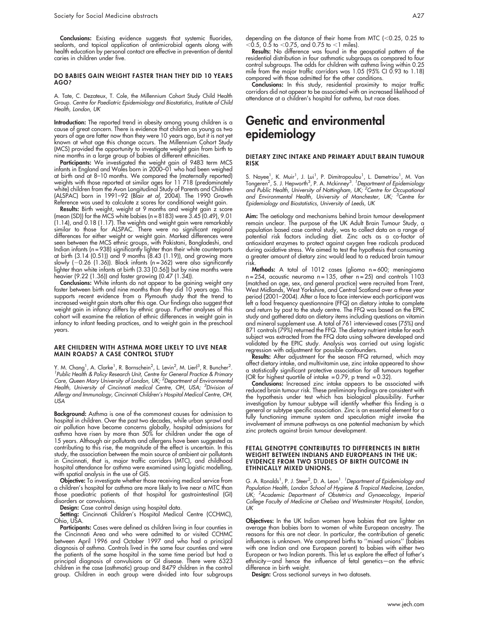Conclusions: Existing evidence suggests that systemic fluorides, sealants, and topical application of antimicrobial agents along with health education by personal contact are effective in prevention of dental caries in children under five.

#### DO BABIES GAIN WEIGHT FASTER THAN THEY DID 10 YEARS AGO?

A. Tate, C. Dezateux, T. Cole, the Millennium Cohort Study Child Health Group. Centre for Paediatric Epidemiology and Biostatistics, Institute of Child Health, London, UK

Introduction: The reported trend in obesity among young children is a cause of great concern. There is evidence that children as young as two years of age are fatter now than they were 10 years ago, but it is not yet known at what age this change occurs. The Millennium Cohort Study (MCS) provided the opportunity to investigate weight gain from birth to nine months in a large group of babies of different ethnicities.

**Participants:** We investigated the weight gain of 9483 term MCS infants in England and Wales born in 2000–01 who had been weighed at birth and at 8-10 months. We compared the (maternally reported) weights with those reported at similar ages for 11 718 (predominately white) children from the Avon Longitudinal Study of Parents and Children (ALSPAC) born in 1991–92 (Blair et al, 2004). The 1990 Growth Reference was used to calculate z scores for conditional weight gain.

**Results:** Birth weight, weight at 9 months and weight gain z score (mean (SD)) for the MCS white babies (n = 8183) were 3.45 (0.49), 9.01 (1.14), and 0.18 (1.17). The weights and weight gain were remarkably similar to those for ALSPAC. There were no significant regional differences for either weight or weight gain. Marked differences were seen between the MCS ethnic groups, with Pakistani, Bangladeshi, and Indian infants (n = 938) significantly lighter than their white counterparts at birth (3.14 (0.51)) and 9 months (8.43 (1.19)), and growing more slowly  $(-0.26 \, (1.36))$ . Black infants  $(n = 362)$  were also significantly lighter than white infants at birth (3.33 [0.56]) but by nine months were heavier (9.22 (1.36)) and faster growing (0.47 (1.34)).

**Conclusions:** White infants do not appear to be gaining weight any faster between birth and nine months than they did 10 years ago. This supports recent evidence from a Plymouth study that the trend to increased weight gain starts after this age. Our findings also suggest that weight gain in infancy differs by ethnic group. Further analyses of this cohort will examine the relation of ethnic differences in weight gain in infancy to infant feeding practices, and to weight gain in the preschool years.

#### ARE CHILDREN WITH ASTHMA MORE LIKELY TO LIVE NEAR MAIN ROADS? A CASE CONTROL STUDY

Y. M. Chang<sup>1</sup>, A. Clarke<sup>1</sup>, R. Bornschein<sup>2</sup>, L. Levin<sup>2</sup>, M. Lier<sup>13</sup>, R. Buncher<sup>2</sup>.<br><sup>1</sup> Bublie Hoalth & Policy Possarsh Unit, Contro for Gonoral Practico & Primany ' Public Health & Policy Research Unit, Centre for General Practice & Primary<br>Care, Queen Mary University of London, UK; <sup>2</sup>Department of Environmental Health, University of Cincinnati medical Centre, OH, USA; <sup>3</sup>Division of Allergy and Immunology, Cincinnati Children's Hospital Medical Centre, OH, **USA** 

Background: Asthma is one of the commonest causes for admission to hospital in children. Over the past two decades, while urban sprawl and air pollution have become concerns globally, hospital admissions for asthma have risen by more than 50% for children under the age of 15 years. Although air pollutants and allergens have been suggested as contributing to this rise, the magnitude of the effect is uncertain. In this study, the association between the main source of ambient air pollutants in Cincinnati, that is, major traffic corridors (MTC), and childhood hospital attendance for asthma were examined using logistic modelling, with spatial analysis in the use of GIS.

Objective: To investigate whether those receiving medical service from a children's hospital for asthma are more likely to live near a MTC than those paediatric patients of that hospital for gastrointestinal (GI) disorders or convulsions.

Design: Case control design using hospital data.

**Setting:** Cincinnati Children's Hospital Medical Centre (CCHMC), Ohio, USA.

Participants: Cases were defined as children living in four counties in the Cincinnati Area and who were admitted to or visited CCHMC between April 1996 and October 1997 and who had a principal diagnosis of asthma. Controls lived in the same four counties and were the patients of the same hospital in the same time period but had a principal diagnosis of convulsions or GI disease. There were 6323 children in the case (asthmatic) group and 8479 children in the control group. Children in each group were divided into four subgroups

depending on the distance of their home from MTC ( $<$ 0.25, 0.25 to  $<$ 0.5, 0.5 to  $<$ 0.75, and 0.75 to  $<$ 1 miles)

Results: No difference was found in the geospatial pattern of the residential distribution in four asthmatic subgroups as compared to four control subgroups. The odds for children with asthma living within 0.25 mile from the major traffic corridors was 1.05 (95% CI 0.93 to 1.18) compared with those admitted for the other conditions.

Conclusions: In this study, residential proximity to major traffic corridors did not appear to be associated with an increased likelihood of attendance at a children's hospital for asthma, but race does.

# Genetic and environmental epidemiology

#### DIETARY ZINC INTAKE AND PRIMARY ADULT BRAIN TUMOUR RISK

S. Nayee<sup>1</sup>, K. Muir<sup>1</sup>, J. Lui<sup>1</sup>, P. Dimitropoulou<sup>1</sup>, L. Demetriou<sup>1</sup>, M. Van Tongeren<sup>2</sup>, S. J. Hepworth<sup>3</sup>, P. A. Mckinney<sup>3</sup>. <sup>1</sup>Department of Epidemiology<br>and Public Health, University of Nottingham, UK; <sup>2</sup>Centre for Occupational and Environmental Health, University of Manchester, UK; <sup>3</sup>Centre for Epidemiology and Biostatistics, University of Leeds, UK

**Aim:** The aetiology and mechanisms behind brain tumour development remain unclear. The purpose of the UK Adult Brain Tumour Study, a population based case control study, was to collect data on a range of potential risk factors including diet. Zinc acts as a co-factor of antioxidant enzymes to protect against oxygen free radicals produced during oxidative stress. We aimed to test the hypothesis that consuming a greater amount of dietary zinc would lead to a reduced brain tumour risk.

**Methods:** A total of 1012 cases (glioma n=600; meningioma n = 254, acoustic neuroma n = 135, other n = 25) and controls 1103 (matched on age, sex, and general practice) were recruited from Trent, West Midlands, West Yorkshire, and Central Scotland over a three year period (2001–2004). After a face to face interview each participant was left a food frequency questionnaire (FFQ) on dietary intake to complete and return by post to the study centre. The FFQ was based on the EPIC study and gathered data on dietary items including questions on vitamin and mineral supplement use. A total of 761 interviewed cases (75%) and 871 controls (79%) returned the FFQ. The dietary nutrient intake for each subject was extracted from the FFQ data using software developed and validated by the EPIC study. Analysis was carried out using logistic regression with adjustment for possible confounders.

Results: After adjustment for the season FFQ returned, which may affect dietary intake, and multivitamin use, zinc intake appeared to show a statistically significant protective association for all tumours together (OR for highest quartile of intake  $= 0.79$ , p trend  $= 0.32$ ).

Conclusions: Increased zinc intake appears to be associated with reduced brain tumour risk. These preliminary findings are consistent with the hypothesis under test which has biological plausibility. Further investigation by tumour subtype will identify whether this finding is a general or subtype specific association. Zinc is an essential element for a fully functioning immune system and speculation might invoke the involvement of immune pathways as one potential mechanism by which zinc protects against brain tumour development.

#### FETAL GENOTYPE CONTRIBUTES TO DIFFERENCES IN BIRTH WEIGHT BETWEEN INDIANS AND EUROPEANS IN THE UK: EVIDENCE FROM TWO STUDIES OF BIRTH OUTCOME IN ETHNICALLY MIXED UNIONS.

G. A. Ronalds<sup>1</sup>, P. J. Steer<sup>2</sup>, D. A. Leon<sup>1</sup>. *<sup>1</sup>Department of Epidemiology and* Population Health, London School of Hygiene & Tropical Medicine, London, UK; <sup>2</sup>Academic Department of Obstetrics and Gynaecology, Imperial College Faculty of Medicine at Chelsea and Westminster Hospital, London, UK

Objectives: In the UK Indian women have babies that are lighter on average than babies born to women of white European ancestry. The reasons for this are not clear. In particular, the contribution of genetic influences is unknown. We compared births to ''mixed unions'' (babies with one Indian and one European parent) to babies with either two European or two Indian parents. This let us explore the effect of father's ethnicity—and hence the influence of fetal genetics—on the ethnic difference in birth weight.

Design: Cross sectional surveys in two datasets.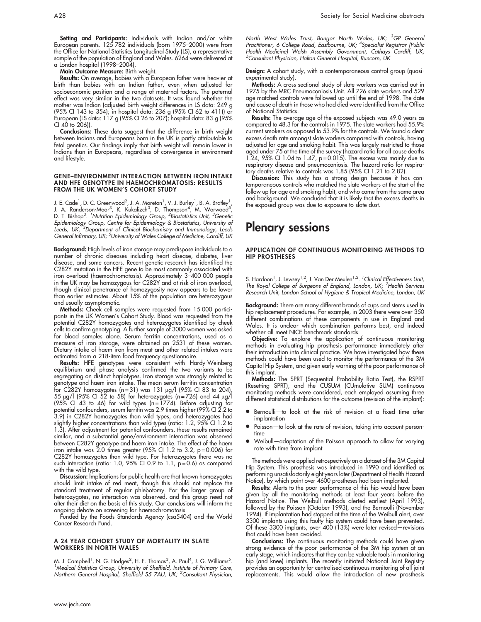Setting and Participants: Individuals with Indian and/or white European parents. 125 782 individuals (born 1975–2000) were from the Office for National Statistics Longitudinal Study (LS), a representative sample of the population of England and Wales. 6264 were delivered at a London hospital (1998–2004).

Main Outcome Measure: Birth weight.

Results: On average, babies with a European father were heavier at birth than babies with an Indian father, even when adjusted for socioeconomic position and a range of maternal factors. The paternal effect was very similar in the two datasets. It was found whether the mother was Indian (adjusted birth weight differences in LS data: 249 g (95% CI 143 to 354); in hospital data: 236 g (95% CI 62 to 411)) or European (LS data: 117 g (95% CI 26 to 207); hospital data: 83 g (95% CI 40 to 206)).

Conclusions: These data suggest that the difference in birth weight between Indians and Europeans born in the UK is partly attributable to fetal genetics. Our findings imply that birth weight will remain lower in Indians than in Europeans, regardless of convergence in environment and lifestyle.

#### GENE–ENVIRONMENT INTERACTION BETWEEN IRON INTAKE AND HFE GENOTYPE IN HAEMOCHROMATOSIS: RESULTS FROM THE UK WOMEN'S COHORT STUDY

J. E. Cade<sup>1</sup>, D. C. Greenwood<sup>2</sup>, J. A. Moreton<sup>1</sup>, V. J. Burley<sup>1</sup>, B. A. Bratley<sup>1</sup>,<br>J. A. Randerson-Moor<sup>3</sup>, K. Kukalizch<sup>3</sup>, D. Thompson<sup>4</sup>, M. Worwood<sup>5</sup>, D. T. Bishop<sup>3.</sup> <sup>1</sup>Nutrition Epidemiology Group, <sup>2</sup>Biostatistics Unit, <sup>3</sup>Genetic Epidemiology Group, Centre for Epidemiology & Biostatistics, University of Leeds, UK, <sup>4</sup>Department of Clinical Biochemistry and Immunology, Leeds General Infirmary, UK; <sup>5</sup>University of Wales College of Medicine, Cardiff, UK

Background: High levels of iron storage may predispose individuals to a number of chronic diseases including heart disease, diabetes, liver disease, and some cancers. Recent genetic research has identified the C282Y mutation in the HFE gene to be most commonly associated with iron overload (haemochromatosis). Approximately 3–400 000 people in the UK may be homozygous for C282Y and at risk of iron overload, though clinical penetrance of homozygosity now appears to be lower than earlier estimates. About 15% of the population are heterozygous and usually asymptomatic.

**Methods:** Cheek cell samples were requested from 15 000 participants in the UK Women's Cohort Study. Blood was requested from the potential C282Y homozygotes and heterozygotes identified by cheek cells to confirm genotyping. A further sample of 3000 women was asked for blood samples alone. Serum ferritin concentrations, used as a measure of iron storage, were obtained on 2531 of these women. Dietary intake of haem iron from meat and other related intakes were estimated from a 218-item food frequency questionnaire.

**Results:** HFE genotypes were consistent with Hardy-Weinberg equilibrium and phase analysis confirmed the two variants to be segregating on distinct haplotypes. Iron storage was strongly related to genotype and haem iron intake. The mean serum ferritin concentration for C282Y homozygotes (n = 31) was 131 mg/l (95% CI 83 to 204), 55  $\mu$ g/l (95% CI 52 to 58) for heterozygotes (n=726) and 44  $\mu$ g/l (95% CI 43 to 46) for wild types (n = 1774). Before adjusting for potential confounders, serum ferritin was 2.9 times higher (99% CI 2.2 to 3.9) in C282Y homozygotes than wild types, and heterozygotes had slightly higher concentrations than wild types (ratio: 1.2, 95% CI 1.2 to 1.3). After adjustment for potential confounders, these results remained similar, and a substantial gene/environment interaction was observed between C282Y genotype and haem iron intake. The effect of the haem iron intake was  $2.0$  times greater (95% CI 1.2 to 3.2, p=0.006) for C282Y homozygotes than wild type. For heterozygotes there was no such interaction (ratio: 1.0, 95% CI 0.9 to 1.1, p = 0.6) as compared with the wild type.

Discussion: Implications for public health are that known homozygotes should limit intake of red meat, though this should not replace the standard treatment of regular phlebotomy. For the larger group of heterozygotes, no interaction was observed, and this group need not alter their diet on the basis of this study. Our conclusions will inform the ongoing debate on screening for haemochromatosis.

Funded by the Foods Standards Agency (csa5404) and the World Cancer Research Fund.

#### A 24 YEAR COHORT STUDY OF MORTALITY IN SLATE WORKERS IN NORTH WALES

M. J. Campbell<sup>1</sup>, N. G. Hodges<sup>2</sup>, H. F. Thomas<sup>3</sup>, A. Paul<sup>4</sup>, J. G. Williams<sup>5</sup>.<br><sup>1</sup> Medical Statistics Group, University of Sheffield, Institute of Primary Care Medical Statistics Group, University of Sheffield, Institute of Primary Care, Northern General Hospital, Sheffield S5 7AU, UK; <sup>2</sup>Consultant Physician,

North West Wales Trust, Bangor North Wales, UK; <sup>3</sup>GP General Practitioner, 6 College Road, Eastbourne, UK; <sup>4</sup>Specialist Registrar (Public Health Medicine) Welsh Assembly Government, Cathays Cardiff, UK; 5 Consultant Physician, Halton General Hospital, Runcorn, UK

Design: A cohort study, with a contemporaneous control group (quasiexperimental study).

**Methods:** A cross sectional study of slate workers was carried out in 1975 by the MRC Pneumoconiosis Unit. All 726 slate workers and 529 age matched controls were followed up until the end of 1998. The date and cause of death in those who had died were identified from the Office of National Statistics.

**Results:** The average age of the exposed subjects was 49.0 years as compared to 48.3 for the controls in 1975. The slate workers had 55.9% current smokers as opposed to 53.9% for the controls. We found a clear excess death rate amongst slate workers compared with controls, having adjusted for age and smoking habit. This was largely restricted to those aged under 75 at the time of the survey (hazard ratio for all cause deaths 1.24, 95% CI 1.04 to 1.47,  $p = 0.015$ ). The excess was mainly due to respiratory disease and pneumoconiosis. The hazard ratio for respiratory deaths relative to controls was 1.85 (95% CI 1.21 to 2.82).

**Discussion:** This study has a strong design because it has contemporaneous controls who matched the slate workers at the start of the follow up for age and smoking habit, and who came from the same area and background. We concluded that it is likely that the excess deaths in the exposed group was due to exposure to slate dust.

# Plenary sessions

#### APPLICATION OF CONTINUOUS MONITORING METHODS TO HIP PROSTHESES

S. Hardoon<sup>1</sup>, J. Lewsey<sup>1,2</sup>, J. Van Der Meulen<sup>1,2</sup>. <sup>1</sup>Clinical Effectiveness Unit, The Royal College of Surgeons of England, London, UK; <sup>2</sup>Health Services Research Unit, London School of Hygiene & Tropical Medicine, London, UK

Background: There are many different brands of cups and stems used in hip replacement procedures. For example, in 2003 there were over 350 different combinations of these components in use in England and Wales. It is unclear which combination performs best, and indeed whether all meet NICE benchmark standards.

Objective: To explore the application of continuous monitoring methods in evaluating hip prosthesis performance immediately after their introduction into clinical practice. We have investigated how these methods could have been used to monitor the performance of the 3M Capital Hip System, and given early warning of the poor performance of this implant.

Methods: The SPRT (Sequential Probability Ratio Test), the RSPRT (Resetting SPRT), and the CUSUM (CUmulative SUM) continuous monitoring methods were considered, each employed assuming three different statistical distributions for the outcome (revision of the implant):

- N Bernoulli—to look at the risk of revision at a fixed time after implantation
- Poisson-to look at the rate of revision, taking into account persontime
- Weibull-adaptation of the Poisson approach to allow for varying rate with time from implant

The methods were applied retrospectively on a dataset of the 3M Capital Hip System. This prosthesis was introduced in 1990 and identified as performing unsatisfactorily eight years later (Department of Health Hazard Notice), by which point over 4600 prostheses had been implanted.

Results: Alerts to the poor performance of this hip would have been given by all the monitoring methods at least four years before the Hazard Notice. The Weibull methods alerted earliest (April 1993), followed by the Poisson (October 1993), and the Bernoulli (November 1994). If implantation had stopped at the time of the Weibull alert, over 3300 implants using this faulty hip system could have been prevented. Of these 3300 implants, over 400 (13%) were later revised—revisions that could have been avoided.

Conclusions: The continuous monitoring methods could have given strong evidence of the poor performance of the 3M hip system at an early stage, which indicates that they can be valuable tools in monitoring hip (and knee) implants. The recently initiated National Joint Registry provides an opportunity for centralised continuous monitoring of all joint replacements. This would allow the introduction of new prosthesis